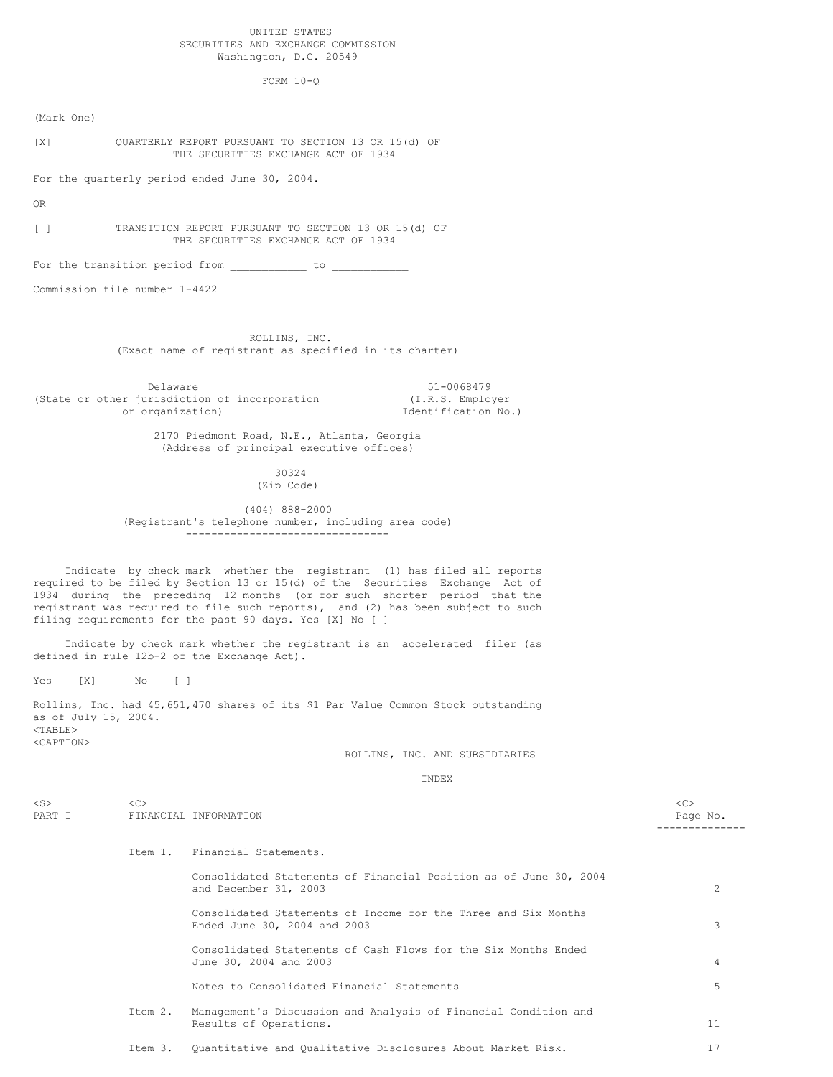#### UNITED STATES SECURITIES AND EXCHANGE COMMISSION Washington, D.C. 20549

FORM 10-Q

(Mark One)

[X] QUARTERLY REPORT PURSUANT TO SECTION 13 OR 15(d) OF THE SECURITIES EXCHANGE ACT OF 1934

For the quarterly period ended June 30, 2004.

OR

[ ] TRANSITION REPORT PURSUANT TO SECTION 13 OR 15(d) OF THE SECURITIES EXCHANGE ACT OF 1934

For the transition period from \_\_\_\_\_\_\_\_\_\_\_\_ to \_\_\_\_\_

Commission file number 1-4422

ROLLINS, INC. (Exact name of registrant as specified in its charter)

Delaware 51-0068479<br>arisdiction of incorporation (I.R.S. Employer (State or other jurisdiction of incorporation or organization) Identification No.)

> 2170 Piedmont Road, N.E., Atlanta, Georgia (Address of principal executive offices)

> > 30324 (Zip Code)

(404) 888-2000 (Registrant's telephone number, including area code) --------------------------------

Indicate by check mark whether the registrant (1) has filed all reports required to be filed by Section 13 or 15(d) of the Securities Exchange Act of 1934 during the preceding 12 months (or for such shorter period that the registrant was required to file such reports), and (2) has been subject to such filing requirements for the past 90 days. Yes [X] No [ ]

Indicate by check mark whether the registrant is an accelerated filer (as defined in rule 12b-2 of the Exchange Act).

Yes [X] No [ ]

Rollins, Inc. had 45,651,470 shares of its \$1 Par Value Common Stock outstanding as of July 15, 2004. <TABLE> <CAPTION>

ROLLINS, INC. AND SUBSIDIARIES

INDEX

| $<$ S $>$<br>PART I | <<      | FINANCIAL INFORMATION                                                                          | <<<br>Page No. |
|---------------------|---------|------------------------------------------------------------------------------------------------|----------------|
|                     | Ttem 1. | Financial Statements.                                                                          |                |
|                     |         | Consolidated Statements of Financial Position as of June 30, 2004<br>and December 31, 2003     | $\mathcal{D}$  |
|                     |         | Consolidated Statements of Income for the Three and Six Months<br>Ended June 30, 2004 and 2003 | 3              |
|                     |         | Consolidated Statements of Cash Flows for the Six Months Ended<br>June 30, 2004 and 2003       | 4              |
|                     |         | Notes to Consolidated Financial Statements                                                     | 5              |
|                     | Item 2. | Management's Discussion and Analysis of Financial Condition and<br>Results of Operations.      | 11             |
|                     | Item 3. | Quantitative and Qualitative Disclosures About Market Risk.                                    |                |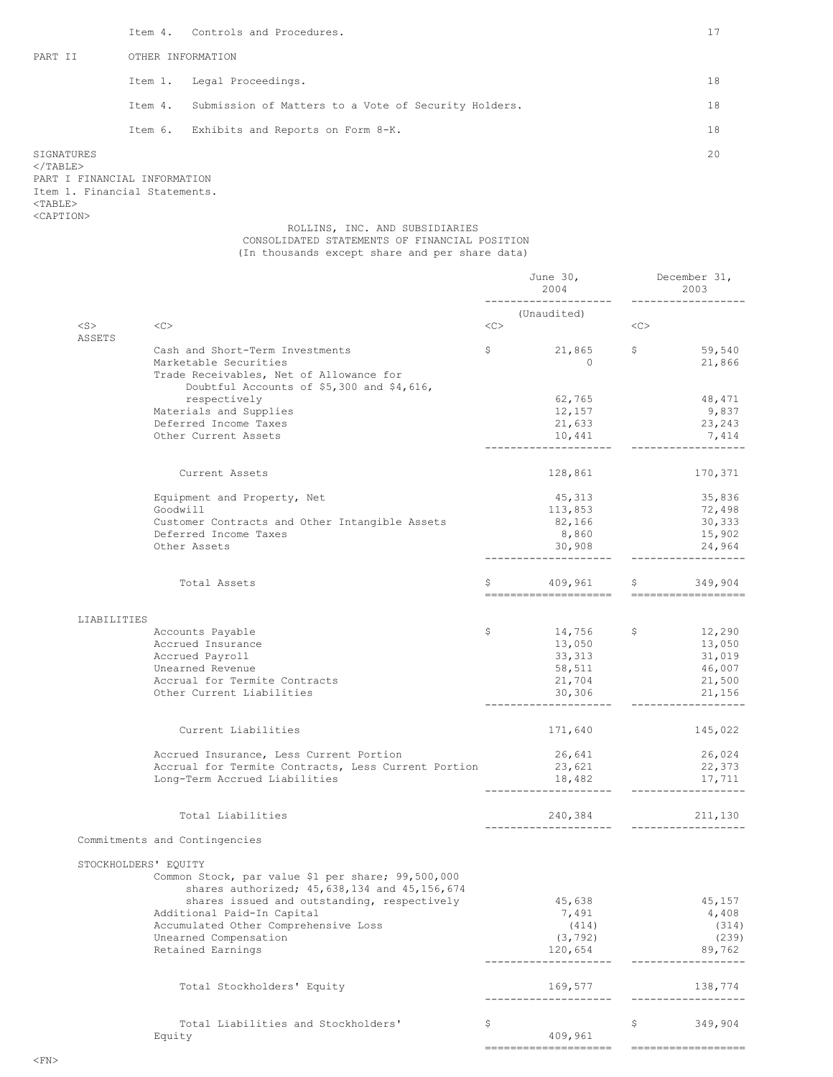|                                                                 |                   | Item 4. Controls and Procedures.                     | 17 |
|-----------------------------------------------------------------|-------------------|------------------------------------------------------|----|
| PART II                                                         | OTHER INFORMATION |                                                      |    |
|                                                                 | Item 1.           | Legal Proceedings.                                   | 18 |
|                                                                 | Item 4.           | Submission of Matters to a Vote of Security Holders. | 18 |
|                                                                 |                   | Item 6. Exhibits and Reports on Form 8-K.            | 18 |
| SIGNATURES<br>$\langle$ /TABLE><br>PART I FINANCIAL INFORMATION |                   |                                                      | 20 |

 $\frac{51}{5}$ <br> $\frac{2}{5}$ <br> $\frac{1}{5}$ <br> $\frac{1}{5}$ Item 1. Financial Statements. <TABLE> <CAPTION>

# ROLLINS, INC. AND SUBSIDIARIES CONSOLIDATED STATEMENTS OF FINANCIAL POSITION (In thousands except share and per share data)

| (Unaudited)<br>$<$ S $>$<br><<<br><<<br><<<br>ASSETS<br>\$<br>Cash and Short-Term Investments<br>21,865<br>$\mathsf{S}$<br>Marketable Securities<br>$\overline{0}$<br>Trade Receivables, Net of Allowance for<br>Doubtful Accounts of \$5,300 and \$4,616,<br>62,765<br>respectively<br>Materials and Supplies<br>12,157<br>Deferred Income Taxes<br>21,633<br>Other Current Assets<br>10,441<br>Current Assets<br>128,861<br>45,313<br>Equipment and Property, Net<br>Goodwill<br>113,853<br>82,166<br>Customer Contracts and Other Intangible Assets<br>Deferred Income Taxes<br>8,860<br>Other Assets<br>30,908<br>Total Assets<br>409,961<br>S<br>----------------<br>LIABILITIES<br>\$<br>14,756<br>\$<br>Accounts Payable<br>Accrued Insurance<br>13,050<br>Accrued Payroll<br>33,313<br>Unearned Revenue<br>58,511<br>Accrual for Termite Contracts<br>21,704<br>Other Current Liabilities<br>30,306<br>Current Liabilities<br>171,640<br>Accrued Insurance, Less Current Portion<br>26,641<br>Accrual for Termite Contracts, Less Current Portion<br>23,621<br>Long-Term Accrued Liabilities<br>18,482<br>Total Liabilities<br>240,384<br>Commitments and Contingencies<br>STOCKHOLDERS' EQUITY<br>Common Stock, par value \$1 per share; 99,500,000<br>shares authorized; 45, 638, 134 and 45, 156, 674<br>shares issued and outstanding, respectively<br>45,638<br>Additional Paid-In Capital<br>7,491<br>Accumulated Other Comprehensive Loss<br>(414)<br>Unearned Compensation<br>(3, 792)<br>Retained Earnings<br>120,654 | December 31,<br>2003                           |
|----------------------------------------------------------------------------------------------------------------------------------------------------------------------------------------------------------------------------------------------------------------------------------------------------------------------------------------------------------------------------------------------------------------------------------------------------------------------------------------------------------------------------------------------------------------------------------------------------------------------------------------------------------------------------------------------------------------------------------------------------------------------------------------------------------------------------------------------------------------------------------------------------------------------------------------------------------------------------------------------------------------------------------------------------------------------------------------------------------------------------------------------------------------------------------------------------------------------------------------------------------------------------------------------------------------------------------------------------------------------------------------------------------------------------------------------------------------------------------------------------------------------------------------|------------------------------------------------|
|                                                                                                                                                                                                                                                                                                                                                                                                                                                                                                                                                                                                                                                                                                                                                                                                                                                                                                                                                                                                                                                                                                                                                                                                                                                                                                                                                                                                                                                                                                                                        |                                                |
|                                                                                                                                                                                                                                                                                                                                                                                                                                                                                                                                                                                                                                                                                                                                                                                                                                                                                                                                                                                                                                                                                                                                                                                                                                                                                                                                                                                                                                                                                                                                        | 59,540<br>21,866                               |
|                                                                                                                                                                                                                                                                                                                                                                                                                                                                                                                                                                                                                                                                                                                                                                                                                                                                                                                                                                                                                                                                                                                                                                                                                                                                                                                                                                                                                                                                                                                                        | 48,471<br>9,837<br>23,243                      |
|                                                                                                                                                                                                                                                                                                                                                                                                                                                                                                                                                                                                                                                                                                                                                                                                                                                                                                                                                                                                                                                                                                                                                                                                                                                                                                                                                                                                                                                                                                                                        | 7,414                                          |
|                                                                                                                                                                                                                                                                                                                                                                                                                                                                                                                                                                                                                                                                                                                                                                                                                                                                                                                                                                                                                                                                                                                                                                                                                                                                                                                                                                                                                                                                                                                                        | 170,371                                        |
|                                                                                                                                                                                                                                                                                                                                                                                                                                                                                                                                                                                                                                                                                                                                                                                                                                                                                                                                                                                                                                                                                                                                                                                                                                                                                                                                                                                                                                                                                                                                        | 35,836<br>72,498<br>30,333<br>15,902<br>24,964 |
|                                                                                                                                                                                                                                                                                                                                                                                                                                                                                                                                                                                                                                                                                                                                                                                                                                                                                                                                                                                                                                                                                                                                                                                                                                                                                                                                                                                                                                                                                                                                        | 349,904<br>----------------                    |
|                                                                                                                                                                                                                                                                                                                                                                                                                                                                                                                                                                                                                                                                                                                                                                                                                                                                                                                                                                                                                                                                                                                                                                                                                                                                                                                                                                                                                                                                                                                                        |                                                |
|                                                                                                                                                                                                                                                                                                                                                                                                                                                                                                                                                                                                                                                                                                                                                                                                                                                                                                                                                                                                                                                                                                                                                                                                                                                                                                                                                                                                                                                                                                                                        | 12,290<br>13,050<br>31,019<br>46,007           |
|                                                                                                                                                                                                                                                                                                                                                                                                                                                                                                                                                                                                                                                                                                                                                                                                                                                                                                                                                                                                                                                                                                                                                                                                                                                                                                                                                                                                                                                                                                                                        | 21,500<br>21,156                               |
|                                                                                                                                                                                                                                                                                                                                                                                                                                                                                                                                                                                                                                                                                                                                                                                                                                                                                                                                                                                                                                                                                                                                                                                                                                                                                                                                                                                                                                                                                                                                        | 145,022                                        |
|                                                                                                                                                                                                                                                                                                                                                                                                                                                                                                                                                                                                                                                                                                                                                                                                                                                                                                                                                                                                                                                                                                                                                                                                                                                                                                                                                                                                                                                                                                                                        | 26,024<br>22,373<br>17,711                     |
|                                                                                                                                                                                                                                                                                                                                                                                                                                                                                                                                                                                                                                                                                                                                                                                                                                                                                                                                                                                                                                                                                                                                                                                                                                                                                                                                                                                                                                                                                                                                        | 211,130                                        |
|                                                                                                                                                                                                                                                                                                                                                                                                                                                                                                                                                                                                                                                                                                                                                                                                                                                                                                                                                                                                                                                                                                                                                                                                                                                                                                                                                                                                                                                                                                                                        |                                                |
|                                                                                                                                                                                                                                                                                                                                                                                                                                                                                                                                                                                                                                                                                                                                                                                                                                                                                                                                                                                                                                                                                                                                                                                                                                                                                                                                                                                                                                                                                                                                        |                                                |
|                                                                                                                                                                                                                                                                                                                                                                                                                                                                                                                                                                                                                                                                                                                                                                                                                                                                                                                                                                                                                                                                                                                                                                                                                                                                                                                                                                                                                                                                                                                                        | 45,157<br>4,408<br>(314)<br>(239)<br>89,762    |
| Total Stockholders' Equity<br>169,577                                                                                                                                                                                                                                                                                                                                                                                                                                                                                                                                                                                                                                                                                                                                                                                                                                                                                                                                                                                                                                                                                                                                                                                                                                                                                                                                                                                                                                                                                                  | 138,774                                        |
| \$<br>\$<br>Total Liabilities and Stockholders'<br>409,961<br>Equity<br>===================<br>===================                                                                                                                                                                                                                                                                                                                                                                                                                                                                                                                                                                                                                                                                                                                                                                                                                                                                                                                                                                                                                                                                                                                                                                                                                                                                                                                                                                                                                     | 349,904                                        |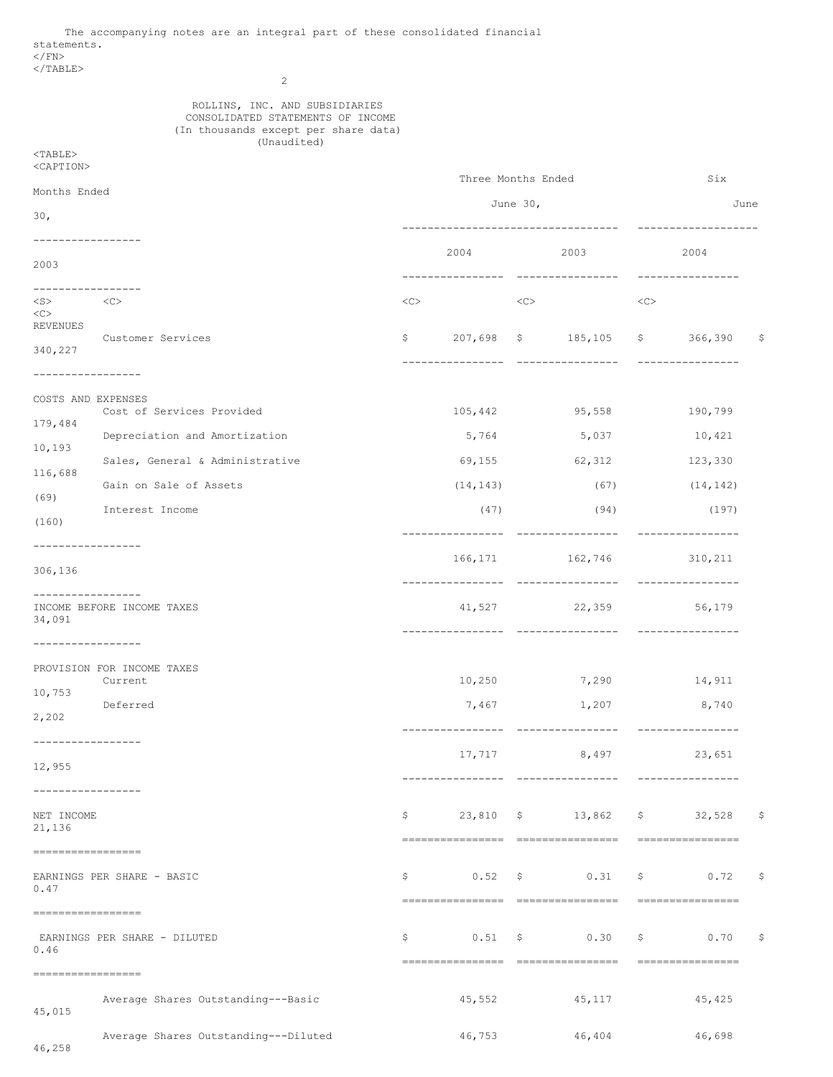The accompanying notes are an integral part of these consolidated financial statements.  $\rm  FN>$  $<$ /TABLE>

2

# ROLLINS, INC. AND SUBSIDIARIES CONSOLIDATED STATEMENTS OF INCOME (In thousands except per share data) (Unaudited)

<TABLE> <CAPTION>

| Months Ended                         |                                                          |              | Three Months Ended<br>June 30, | Six<br>June |                                                        |              |                               |             |
|--------------------------------------|----------------------------------------------------------|--------------|--------------------------------|-------------|--------------------------------------------------------|--------------|-------------------------------|-------------|
| 30 <sub>1</sub>                      |                                                          |              |                                |             | -----------------------------------                    |              |                               |             |
| 2003                                 | ---------------                                          |              | 2004                           |             | 2003<br>--------------------------------------         |              | 2004<br>----------------      |             |
| ----------------<br>$<$ S $>$<br><<> | <<>                                                      | <<>          |                                | $<<$ $>>$   |                                                        | <<           |                               |             |
| REVENUES<br>340,227                  | Customer Services                                        | $\mathsf{S}$ |                                |             | 207,698 \$ 185,105                                     |              | \$366,390<br>---------------- | -\$         |
| ----------------                     |                                                          |              |                                |             |                                                        |              |                               |             |
| COSTS AND EXPENSES<br>179,484        | Cost of Services Provided                                |              | 105,442                        |             | 95,558                                                 |              | 190,799                       |             |
| 10,193                               | Depreciation and Amortization                            |              | 5,764                          |             | 5,037                                                  |              | 10,421                        |             |
|                                      | Sales, General & Administrative                          |              | 69,155                         |             | 62, 312                                                |              | 123,330                       |             |
| 116,688                              | Gain on Sale of Assets                                   |              | (14, 143)                      |             | (67)                                                   |              | (14, 142)                     |             |
| (69)<br>(160)                        | Interest Income                                          |              | (47)                           |             | (94)<br>-----------------------------                  |              | (197)                         |             |
| 306,136                              | ----------------                                         |              | 166, 171                       |             | 162,746<br>-----------------------------------         |              | 310,211                       |             |
| 34,091                               | ---------------<br>INCOME BEFORE INCOME TAXES            |              |                                |             | 41,527 22,359<br>------------------------------------- |              | 56,179<br>----------------    |             |
|                                      | ---------------<br>PROVISION FOR INCOME TAXES<br>Current |              |                                |             | 10,250 7,290                                           |              | 14,911                        |             |
| 10,753<br>2,202                      | Deferred                                                 |              | 7,467                          |             | 1,207                                                  |              | 8,740<br>----------------     |             |
| -----------------<br>12,955          | ---------------                                          |              | 17,717                         |             | 8,497                                                  |              | 23,651                        |             |
| NET INCOME<br>21,136                 |                                                          | \$           |                                |             | 23,810 \$ 13,862                                       | $\mathsf{S}$ | 32,528                        | $\varsigma$ |
| =================<br>0.47            | EARNINGS PER SHARE - BASIC                               | \$           | 0.52                           | \$          | 0.31                                                   | \$           | 0.72<br>================      | -\$         |
| ------------------<br>0.46           | EARNINGS PER SHARE - DILUTED                             | \$           | 0.51                           | \$.         | 0.30                                                   | \$           | 0.70<br>=================     | $\varsigma$ |
| =================<br>45,015          | Average Shares Outstanding---Basic                       |              | 45,552                         |             | 45,117                                                 |              | 45,425                        |             |
| 46,258                               | Average Shares Outstanding---Diluted                     |              | 46,753                         |             | 46,404                                                 |              | 46,698                        |             |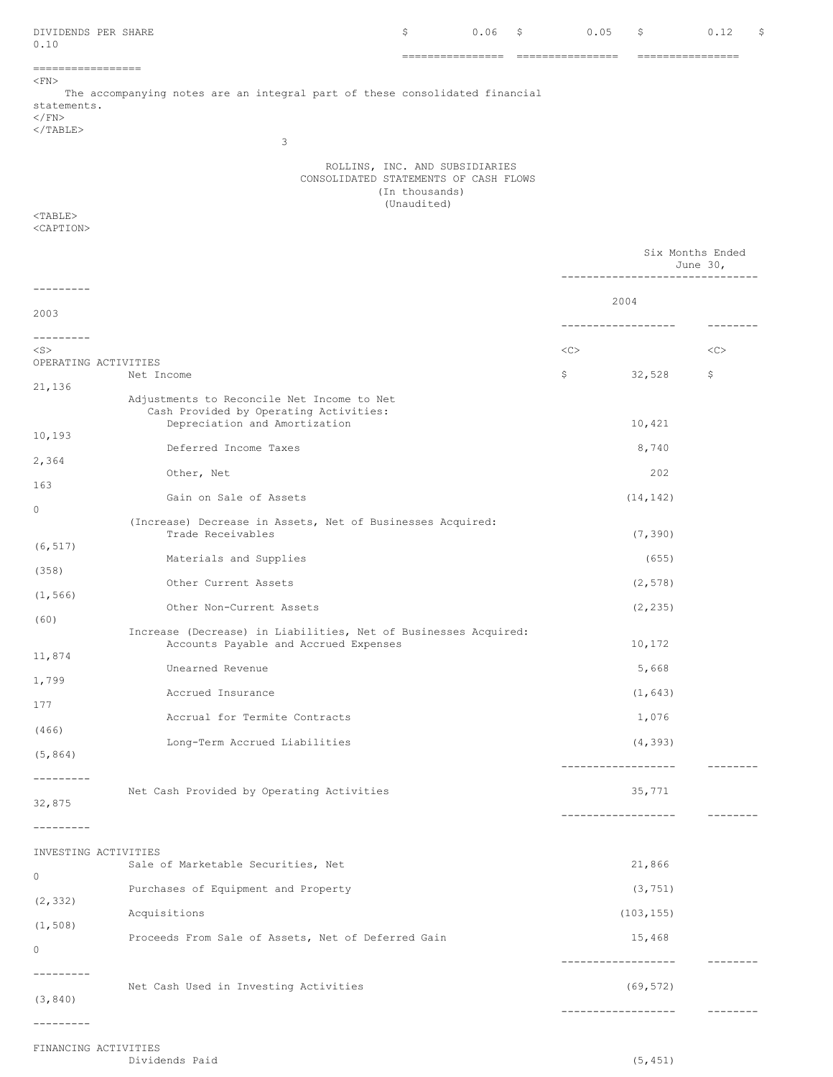0.10

DIVIDENDS PER SHARE  $\qquad \qquad$  \$ 0.06 \$ 0.05 \$ 0.12 \$

================ ================ ================

# =================  ${ <\hspace{-1.5pt}{\rm FN} \hspace{-1.5pt}>}$

The accompanying notes are an integral part of these consolidated financial statements.

3

 $\rm  FN>$ 

</TABLE>

## ROLLINS, INC. AND SUBSIDIARIES CONSOLIDATED STATEMENTS OF CASH FLOWS (In thousands) (Unaudited)

<TABLE> <CAPTION>

|                                                   |                                                                                                                       |              | -------------------------------- | Six Months Ended<br>June $30$ , |
|---------------------------------------------------|-----------------------------------------------------------------------------------------------------------------------|--------------|----------------------------------|---------------------------------|
| ---------                                         |                                                                                                                       |              | 2004                             |                                 |
| 2003                                              |                                                                                                                       |              | __________________               | --------                        |
| . <u>.</u> .<br>$<$ S $>$<br>OPERATING ACTIVITIES |                                                                                                                       | $<<$ $<$ $>$ |                                  | <<                              |
| 21,136                                            | Net Income                                                                                                            | $\mathsf{S}$ | 32,528                           | \$                              |
|                                                   | Adjustments to Reconcile Net Income to Net<br>Cash Provided by Operating Activities:<br>Depreciation and Amortization |              | 10,421                           |                                 |
| 10, 193                                           | Deferred Income Taxes                                                                                                 |              | 8,740                            |                                 |
| 2,364                                             |                                                                                                                       |              |                                  |                                 |
| 163                                               | Other, Net                                                                                                            |              | 202                              |                                 |
| 0                                                 | Gain on Sale of Assets                                                                                                |              | (14, 142)                        |                                 |
|                                                   | (Increase) Decrease in Assets, Net of Businesses Acquired:<br>Trade Receivables                                       |              | (7, 390)                         |                                 |
| (6, 517)                                          |                                                                                                                       |              |                                  |                                 |
| (358)                                             | Materials and Supplies                                                                                                |              | (655)                            |                                 |
| (1, 566)                                          | Other Current Assets                                                                                                  |              | (2, 578)                         |                                 |
| (60)                                              | Other Non-Current Assets                                                                                              |              | (2, 235)                         |                                 |
|                                                   | Increase (Decrease) in Liabilities, Net of Businesses Acquired:<br>Accounts Payable and Accrued Expenses              |              | 10,172                           |                                 |
| 11,874                                            | Unearned Revenue                                                                                                      |              | 5,668                            |                                 |
| 1,799                                             | Accrued Insurance                                                                                                     |              | (1, 643)                         |                                 |
| 177                                               | Accrual for Termite Contracts                                                                                         |              | 1,076                            |                                 |
| (466)                                             |                                                                                                                       |              |                                  |                                 |
| (5, 864)                                          | Long-Term Accrued Liabilities                                                                                         |              | (4, 393)                         |                                 |
| --------                                          |                                                                                                                       |              | ------------------               | $- - - - - - - -$               |
| 32,875                                            | Net Cash Provided by Operating Activities                                                                             |              | 35,771                           |                                 |
| ---------                                         |                                                                                                                       |              | ------------------               | $- - - - - - - -$               |
|                                                   |                                                                                                                       |              |                                  |                                 |
| INVESTING ACTIVITIES                              | Sale of Marketable Securities, Net                                                                                    |              | 21,866                           |                                 |
| 0                                                 | Purchases of Equipment and Property                                                                                   |              | (3, 751)                         |                                 |
| (2, 332)                                          | Acquisitions                                                                                                          |              | (103, 155)                       |                                 |
| (1, 508)                                          |                                                                                                                       |              |                                  |                                 |
| 0                                                 | Proceeds From Sale of Assets, Net of Deferred Gain                                                                    |              | 15,468                           |                                 |
|                                                   |                                                                                                                       |              | -----------------                |                                 |
| (3, 840)                                          | Net Cash Used in Investing Activities                                                                                 |              | (69, 572)                        |                                 |
| ---------                                         |                                                                                                                       |              | ---------------                  |                                 |

FINANCING ACTIVITIES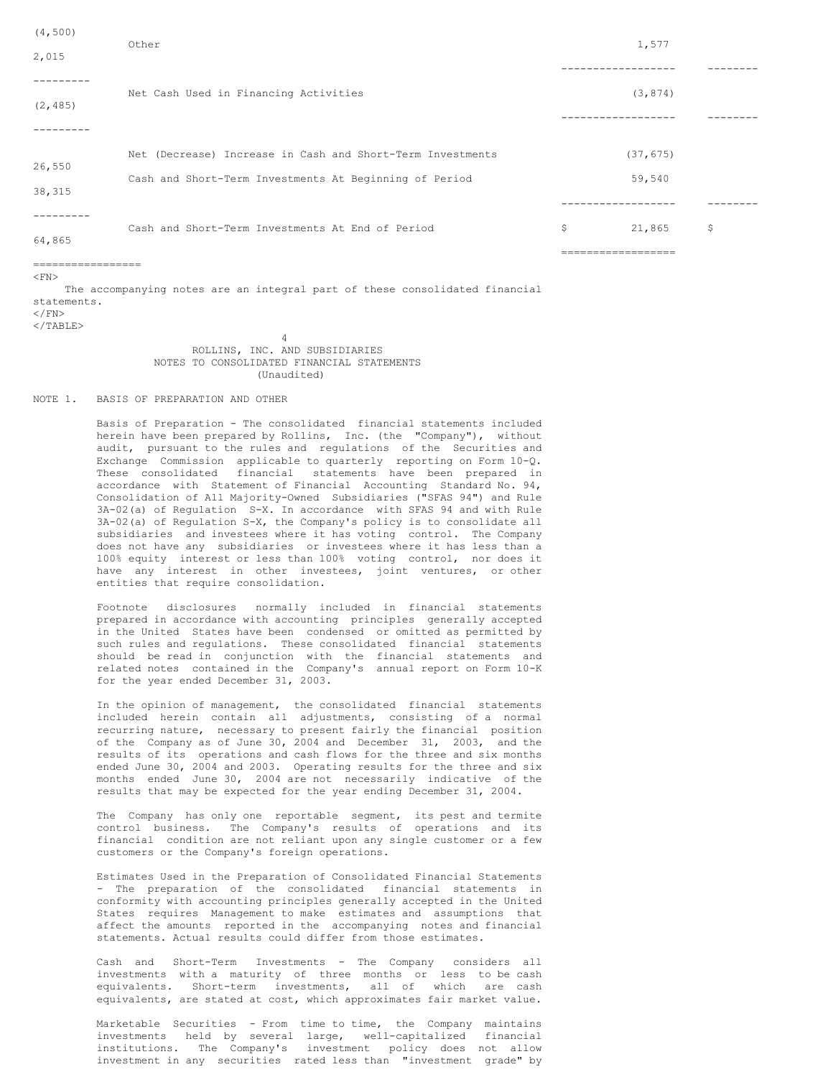| (4, 500) | Other                                                      | 1,577        |    |
|----------|------------------------------------------------------------|--------------|----|
| 2,015    |                                                            |              |    |
|          | Net Cash Used in Financing Activities                      | (3, 874)     |    |
| (2, 485) |                                                            |              |    |
|          |                                                            |              |    |
|          | Net (Decrease) Increase in Cash and Short-Term Investments | (37, 675)    |    |
| 26,550   | Cash and Short-Term Investments At Beginning of Period     | 59,540       |    |
| 38,315   |                                                            |              |    |
|          | Cash and Short-Term Investments At End of Period           | \$<br>21,865 | \$ |
| 64,865   |                                                            |              |    |
|          |                                                            |              |    |

=================

 $\langle$ FN>

The accompanying notes are an integral part of these consolidated financial statements.  $<$ / $FN$ 

 $<$ /TABLE>

4 ROLLINS, INC. AND SUBSIDIARIES NOTES TO CONSOLIDATED FINANCIAL STATEMENTS (Unaudited)

NOTE 1. BASIS OF PREPARATION AND OTHER

Basis of Preparation - The consolidated financial statements included herein have been prepared by Rollins, Inc. (the "Company"), without audit, pursuant to the rules and regulations of the Securities and Exchange Commission applicable to quarterly reporting on Form 10-Q. These consolidated financial statements have been prepared in accordance with Statement of Financial Accounting Standard No. 94, Consolidation of All Majority-Owned Subsidiaries ("SFAS 94") and Rule 3A-02(a) of Regulation S-X. In accordance with SFAS 94 and with Rule 3A-02(a) of Regulation S-X, the Company's policy is to consolidate all subsidiaries and investees where it has voting control. The Company does not have any subsidiaries or investees where it has less than a 100% equity interest or less than 100% voting control, nor does it have any interest in other investees, joint ventures, or other entities that require consolidation.

Footnote disclosures normally included in financial statements prepared in accordance with accounting principles generally accepted in the United States have been condensed or omitted as permitted by such rules and regulations. These consolidated financial statements should be read in conjunction with the financial statements and related notes contained in the Company's annual report on Form 10-K for the year ended December 31, 2003.

In the opinion of management, the consolidated financial statements included herein contain all adjustments, consisting of a normal recurring nature, necessary to present fairly the financial position of the Company as of June 30, 2004 and December 31, 2003, and the results of its operations and cash flows for the three and six months ended June 30, 2004 and 2003. Operating results for the three and six months ended June 30, 2004 are not necessarily indicative of the results that may be expected for the year ending December 31, 2004.

The Company has only one reportable segment, its pest and termite control business. The Company's results of operations and its financial condition are not reliant upon any single customer or a few customers or the Company's foreign operations.

Estimates Used in the Preparation of Consolidated Financial Statements - The preparation of the consolidated financial statements in conformity with accounting principles generally accepted in the United States requires Management to make estimates and assumptions that affect the amounts reported in the accompanying notes and financial statements. Actual results could differ from those estimates.

Cash and Short-Term Investments - The Company considers all investments with a maturity of three months or less to be cash equivalents. Short-term investments, all of which are cash equivalents, are stated at cost, which approximates fair market value.

Marketable Securities - From time to time, the Company maintains investments held by several large, well-capitalized financial institutions. The Company's investment policy does not allow investment in any securities rated less than "investment grade" by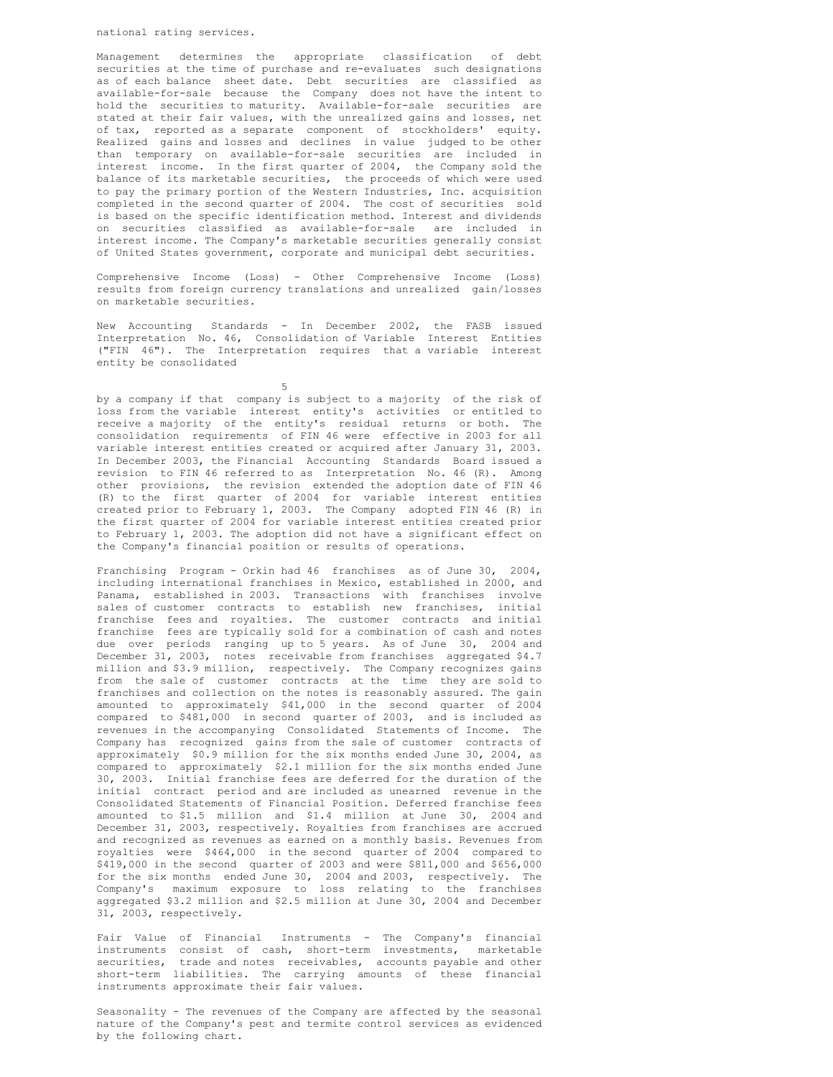Management determines the appropriate classification of debt securities at the time of purchase and re-evaluates such designations as of each balance sheet date. Debt securities are classified as available-for-sale because the Company does not have the intent to hold the securities to maturity. Available-for-sale securities are stated at their fair values, with the unrealized gains and losses, net of tax, reported as a separate component of stockholders' equity. Realized gains and losses and declines in value judged to be other than temporary on available-for-sale securities are included in interest income. In the first quarter of 2004, the Company sold the balance of its marketable securities, the proceeds of which were used to pay the primary portion of the Western Industries, Inc. acquisition completed in the second quarter of 2004. The cost of securities sold is based on the specific identification method. Interest and dividends on securities classified as available-for-sale are included in interest income. The Company's marketable securities generally consist of United States government, corporate and municipal debt securities.

Comprehensive Income (Loss) - Other Comprehensive Income (Loss) results from foreign currency translations and unrealized gain/losses on marketable securities.

New Accounting Standards - In December 2002, the FASB issued Interpretation No. 46, Consolidation of Variable Interest Entities ("FIN 46"). The Interpretation requires that a variable interest entity be consolidated

5

by a company if that company is subject to a majority of the risk of loss from the variable interest entity's activities or entitled to receive a majority of the entity's residual returns or both. The consolidation requirements of FIN 46 were effective in 2003 for all variable interest entities created or acquired after January 31, 2003. In December 2003, the Financial Accounting Standards Board issued a revision to FIN 46 referred to as Interpretation No. 46 (R). Among other provisions, the revision extended the adoption date of FIN 46 (R) to the first quarter of 2004 for variable interest entities created prior to February 1, 2003. The Company adopted FIN 46 (R) in the first quarter of 2004 for variable interest entities created prior to February 1, 2003. The adoption did not have a significant effect on the Company's financial position or results of operations.

Franchising Program - Orkin had 46 franchises as of June 30, 2004, including international franchises in Mexico, established in 2000, and Panama, established in 2003. Transactions with franchises involve sales of customer contracts to establish new franchises, initial franchise fees and royalties. The customer contracts and initial franchise fees are typically sold for a combination of cash and notes due over periods ranging up to 5 years. As of June 30, 2004 and December 31, 2003, notes receivable from franchises aggregated \$4.7 million and \$3.9 million, respectively. The Company recognizes gains from the sale of customer contracts at the time they are sold to franchises and collection on the notes is reasonably assured. The gain amounted to approximately \$41,000 in the second quarter of 2004 compared to \$481,000 in second quarter of 2003, and is included as revenues in the accompanying Consolidated Statements of Income. The Company has recognized gains from the sale of customer contracts of approximately \$0.9 million for the six months ended June 30, 2004, as compared to approximately \$2.1 million for the six months ended June 30, 2003. Initial franchise fees are deferred for the duration of the initial contract period and are included as unearned revenue in the Consolidated Statements of Financial Position. Deferred franchise fees amounted to \$1.5 million and \$1.4 million at June 30, 2004 and December 31, 2003, respectively. Royalties from franchises are accrued and recognized as revenues as earned on a monthly basis. Revenues from royalties were \$464,000 in the second quarter of 2004 compared to \$419,000 in the second quarter of 2003 and were \$811,000 and \$656,000 for the six months ended June 30, 2004 and 2003, respectively. The Company's maximum exposure to loss relating to the franchises aggregated \$3.2 million and \$2.5 million at June 30, 2004 and December 31, 2003, respectively.

Fair Value of Financial Instruments - The Company's financial instruments consist of cash, short-term investments, marketable securities, trade and notes receivables, accounts payable and other short-term liabilities. The carrying amounts of these financial instruments approximate their fair values.

Seasonality - The revenues of the Company are affected by the seasonal nature of the Company's pest and termite control services as evidenced by the following chart.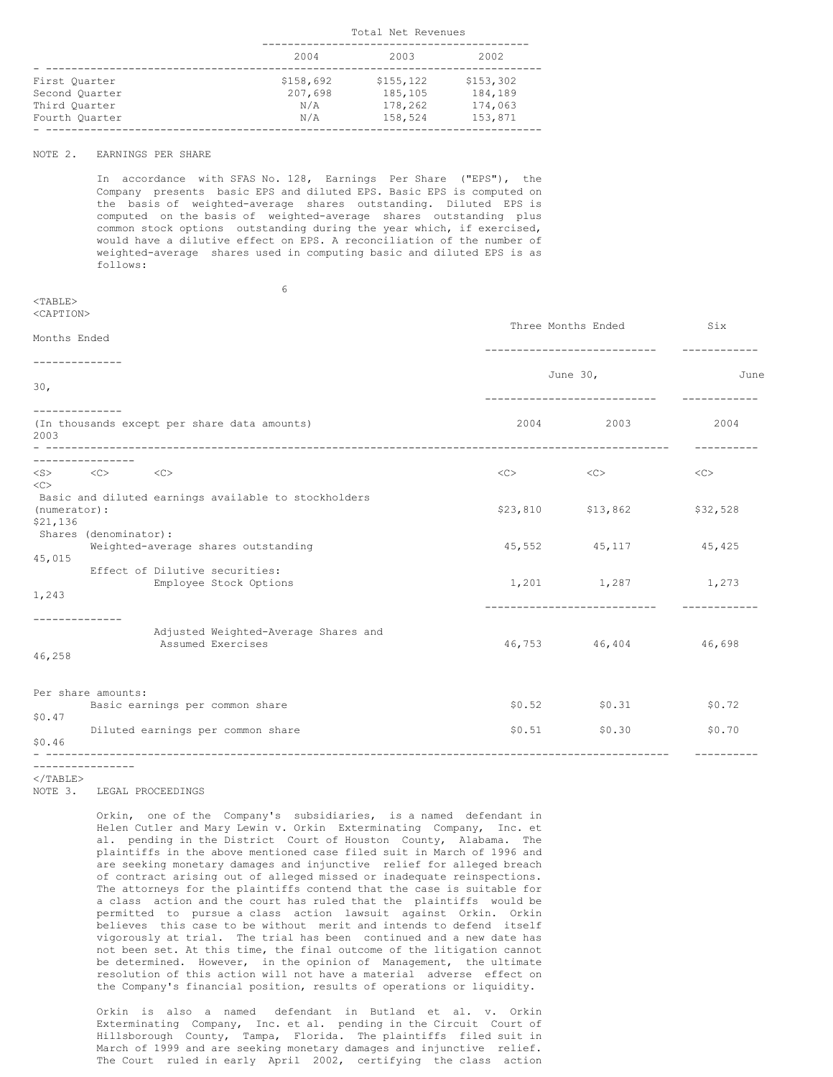|                                 | Total Net Revenues   |                      |                      |  |  |  |
|---------------------------------|----------------------|----------------------|----------------------|--|--|--|
|                                 | 2004                 | 2003                 | 2002                 |  |  |  |
| First Ouarter<br>Second Quarter | \$158,692<br>207,698 | \$155,122<br>185,105 | \$153,302<br>184,189 |  |  |  |
| Third Ouarter                   | N/A                  | 178,262              | 174,063              |  |  |  |
| Fourth Quarter                  | N/A                  | 158,524              | 153,871              |  |  |  |

6

# NOTE 2. EARNINGS PER SHARE

<TABLE>

In accordance with SFAS No. 128, Earnings Per Share ("EPS"), the Company presents basic EPS and diluted EPS. Basic EPS is computed on the basis of weighted-average shares outstanding. Diluted EPS is computed on the basis of weighted-average shares outstanding plus common stock options outstanding during the year which, if exercised, would have a dilutive effect on EPS. A reconciliation of the number of weighted-average shares used in computing basic and diluted EPS is as follows:

| Months Ended                                                                     |            | Six<br>June                                                                                                                                                                                                                                                     |          |
|----------------------------------------------------------------------------------|------------|-----------------------------------------------------------------------------------------------------------------------------------------------------------------------------------------------------------------------------------------------------------------|----------|
| 30,                                                                              | June $30r$ |                                                                                                                                                                                                                                                                 |          |
| --------------<br>(In thousands except per share data amounts)<br>2003           | 2004 700   | ----------------------------<br>2003 — 2004 — 2005 — 2006 — 2006 — 2006 — 2006 — 2006 — 2006 — 2006 — 2006 — 2006 — 2006 — 2006 — 2006 — 2006 — 2006 — 2006 — 2006 — 2006 — 2006 — 2006 — 2006 — 2006 — 2006 — 2006 — 2006 — 2006 — 2006 — 2006 — 2006 — 2006 — | 2004     |
| $<$ S $>$<br>$\langle C \rangle$ $\langle C \rangle$<br>$<\infty$                | $<\infty$  | $<<$ $<$ $<$ $>$                                                                                                                                                                                                                                                | <<       |
| Basic and diluted earnings available to stockholders<br>(numerator):<br>\$21,136 |            | \$23,810 \$13,862                                                                                                                                                                                                                                               | \$32,528 |
| Shares (denominator):<br>Weighted-average shares outstanding<br>45,015           |            | 45,552 45,117                                                                                                                                                                                                                                                   | 45,425   |
| Effect of Dilutive securities:<br>Employee Stock Options<br>1,243                |            | 1,201 1,287 1,273<br>--------------------------                                                                                                                                                                                                                 |          |
| Adjusted Weighted-Average Shares and<br>Assumed Exercises<br>46,258              |            | 46,753 46,404 46,698                                                                                                                                                                                                                                            |          |
| Per share amounts:<br>Basic earnings per common share<br>\$0.47                  |            | $$0.52$ $$0.31$                                                                                                                                                                                                                                                 | \$0.72   |
| Diluted earnings per common share<br>\$0.46                                      | \$0.51     | \$0.30                                                                                                                                                                                                                                                          | \$0.70   |

----------------

</TABLE>

NOTE 3. LEGAL PROCEEDINGS

Orkin, one of the Company's subsidiaries, is a named defendant in Helen Cutler and Mary Lewin v. Orkin Exterminating Company, Inc. et al. pending in the District Court of Houston County, Alabama. The plaintiffs in the above mentioned case filed suit in March of 1996 and are seeking monetary damages and injunctive relief for alleged breach of contract arising out of alleged missed or inadequate reinspections. The attorneys for the plaintiffs contend that the case is suitable for a class action and the court has ruled that the plaintiffs would be permitted to pursue a class action lawsuit against Orkin. Orkin believes this case to be without merit and intends to defend itself vigorously at trial. The trial has been continued and a new date has not been set. At this time, the final outcome of the litigation cannot be determined. However, in the opinion of Management, the ultimate resolution of this action will not have a material adverse effect on the Company's financial position, results of operations or liquidity.

Orkin is also a named defendant in Butland et al. v. Orkin Exterminating Company, Inc. et al. pending in the Circuit Court of Hillsborough County, Tampa, Florida. The plaintiffs filed suit in March of 1999 and are seeking monetary damages and injunctive relief. The Court ruled in early April 2002, certifying the class action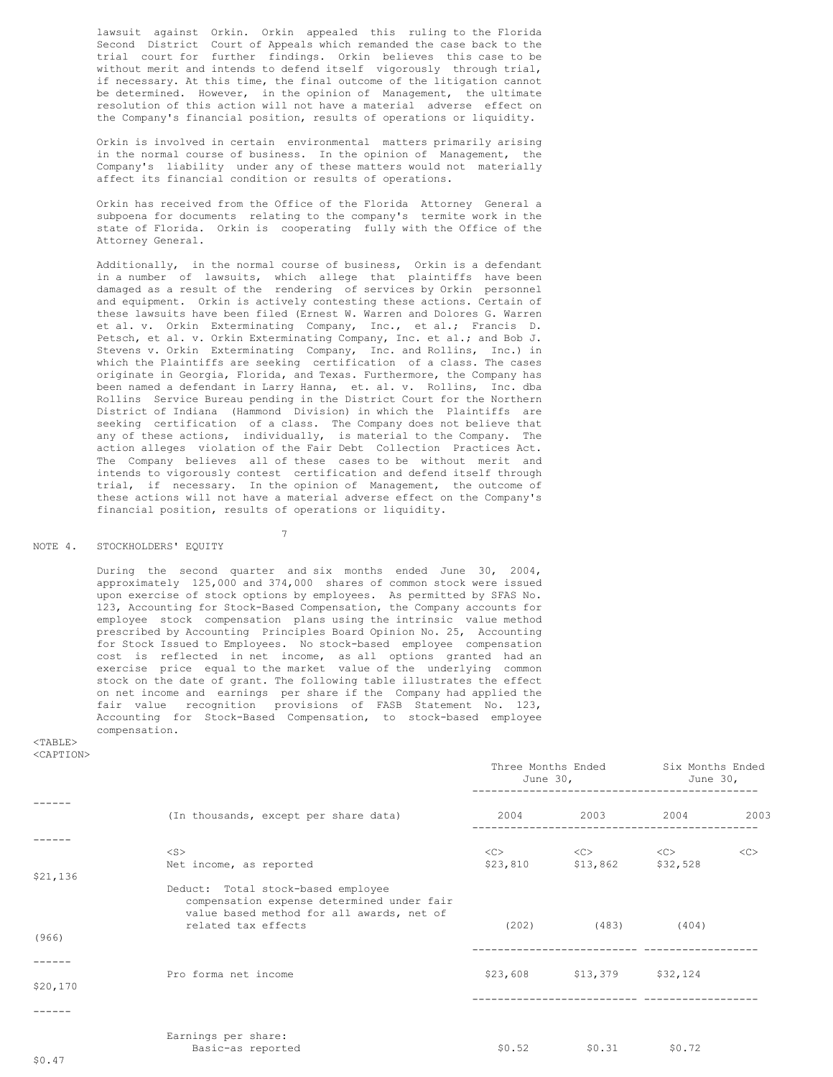lawsuit against Orkin. Orkin appealed this ruling to the Florida Second District Court of Appeals which remanded the case back to the trial court for further findings. Orkin believes this case to be without merit and intends to defend itself vigorously through trial, if necessary. At this time, the final outcome of the litigation cannot be determined. However, in the opinion of Management, the ultimate resolution of this action will not have a material adverse effect on the Company's financial position, results of operations or liquidity.

Orkin is involved in certain environmental matters primarily arising in the normal course of business. In the opinion of Management, the Company's liability under any of these matters would not materially affect its financial condition or results of operations.

Orkin has received from the Office of the Florida Attorney General a subpoena for documents relating to the company's termite work in the state of Florida. Orkin is cooperating fully with the Office of the Attorney General.

Additionally, in the normal course of business, Orkin is a defendant in a number of lawsuits, which allege that plaintiffs have been damaged as a result of the rendering of services by Orkin personnel and equipment. Orkin is actively contesting these actions. Certain of these lawsuits have been filed (Ernest W. Warren and Dolores G. Warren et al. v. Orkin Exterminating Company, Inc., et al.; Francis D. Petsch, et al. v. Orkin Exterminating Company, Inc. et al.; and Bob J. Stevens v. Orkin Exterminating Company, Inc. and Rollins, Inc.) in which the Plaintiffs are seeking certification of a class. The cases originate in Georgia, Florida, and Texas. Furthermore, the Company has been named a defendant in Larry Hanna, et. al. v. Rollins, Inc. dba Rollins Service Bureau pending in the District Court for the Northern District of Indiana (Hammond Division) in which the Plaintiffs are seeking certification of a class. The Company does not believe that any of these actions, individually, is material to the Company. The action alleges violation of the Fair Debt Collection Practices Act. The Company believes all of these cases to be without merit and intends to vigorously contest certification and defend itself through trial, if necessary. In the opinion of Management, the outcome of these actions will not have a material adverse effect on the Company's financial position, results of operations or liquidity.

#### NOTE 4. STOCKHOLDERS' EQUITY

During the second quarter and six months ended June 30, 2004, approximately 125,000 and 374,000 shares of common stock were issued upon exercise of stock options by employees. As permitted by SFAS No. 123, Accounting for Stock-Based Compensation, the Company accounts for employee stock compensation plans using the intrinsic value method prescribed by Accounting Principles Board Opinion No. 25, Accounting for Stock Issued to Employees. No stock-based employee compensation cost is reflected in net income, as all options granted had an exercise price equal to the market value of the underlying common stock on the date of grant. The following table illustrates the effect on net income and earnings per share if the Company had applied the fair value recognition provisions of FASB Statement No. 123, Accounting for Stock-Based Compensation, to stock-based employee compensation.

7

 $<$ TABLE> <CAPTION>

|          |                                                                                  | Three Months Ended<br>June $30$ , |                                 | Six Months Ended<br>June $30r$ |      |  |
|----------|----------------------------------------------------------------------------------|-----------------------------------|---------------------------------|--------------------------------|------|--|
|          | (In thousands, except per share data)                                            | 2004                              | 2003                            | 2004                           | 2003 |  |
|          |                                                                                  |                                   |                                 |                                |      |  |
|          | $<$ S $>$<br>Net income, as reported                                             | $\langle C \rangle$<br>\$23,810   | $\langle C \rangle$<br>\$13,862 | $<<$ $<$ $>$<br>\$32,528       | <<   |  |
| \$21,136 | Deduct: Total stock-based employee<br>compensation expense determined under fair |                                   |                                 |                                |      |  |
| (966)    | value based method for all awards, net of<br>related tax effects                 | (202)                             | (483)                           | (404)                          |      |  |
|          | Pro forma net income                                                             |                                   | \$23,608 \$13,379 \$32,124      |                                |      |  |
| \$20,170 |                                                                                  |                                   |                                 |                                |      |  |
|          |                                                                                  |                                   |                                 |                                |      |  |
| \$0,47   | Earnings per share:<br>Basic-as reported                                         | \$0.52                            | \$0.31                          | \$0.72                         |      |  |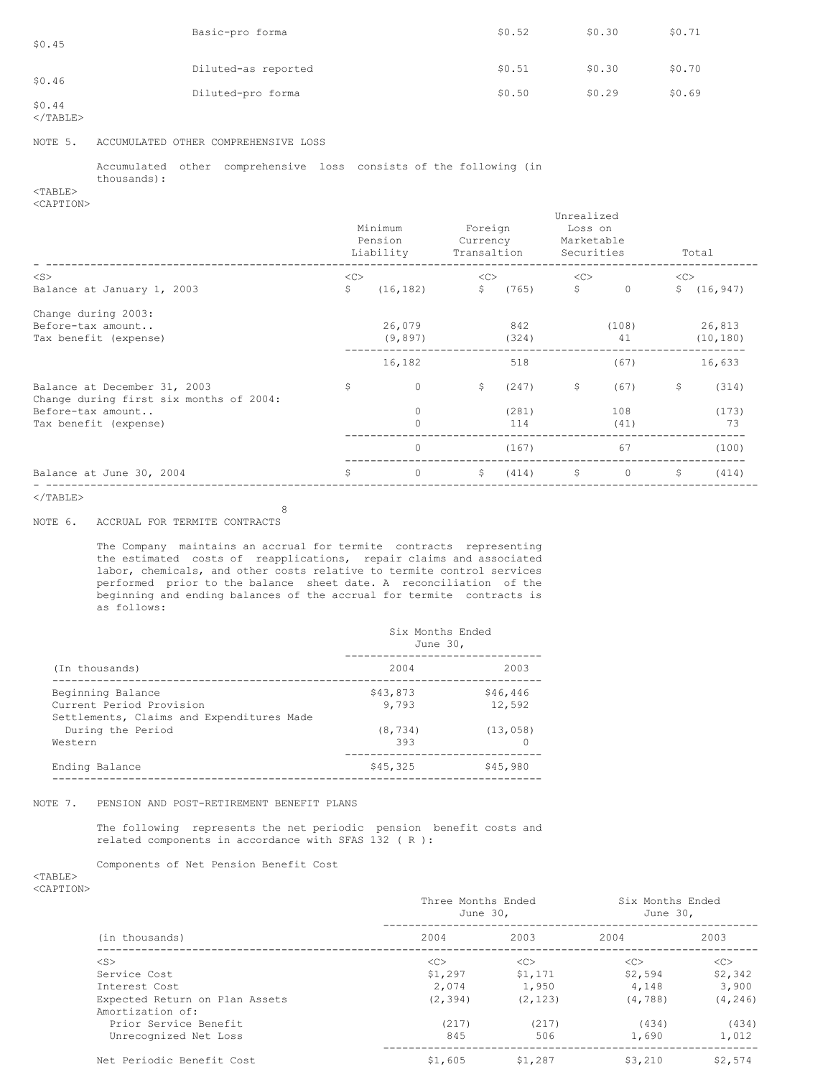| \$0.45 | Basic-pro forma     | \$0.52 | \$0.30 | \$0.71 |
|--------|---------------------|--------|--------|--------|
| \$0.46 | Diluted-as reported | \$0.51 | \$0.30 | \$0.70 |
| \$0.44 | Diluted-pro forma   | \$0.50 | \$0.29 | \$0.69 |

 $<$ /TABLE>

### NOTE 5. ACCUMULATED OTHER COMPREHENSIVE LOSS

Accumulated other comprehensive loss consists of the following (in

thousands):

<TABLE>

<CAPTION>

|                                                                         |    | Minimum<br>Pension<br>Liability | Foreign<br>Currency<br>Transaltion |       | Unrealized<br>Loss on<br>Marketable<br>Securities |          |    | Total       |
|-------------------------------------------------------------------------|----|---------------------------------|------------------------------------|-------|---------------------------------------------------|----------|----|-------------|
| $<$ S $>$                                                               | << |                                 | <<                                 |       | <<                                                |          | << |             |
| Balance at January 1, 2003                                              | \$ | (16, 182)                       | \$                                 | (765) | \$                                                | $\Omega$ |    | \$(16, 947) |
| Change during 2003:                                                     |    |                                 |                                    |       |                                                   |          |    |             |
| Before-tax amount                                                       |    | 26,079                          |                                    | 842   |                                                   | (108)    |    | 26,813      |
| Tax benefit (expense)                                                   |    | (9, 897)                        |                                    | (324) |                                                   | 41       |    | (10, 180)   |
|                                                                         |    | 16,182                          |                                    | 518   |                                                   | (67)     |    | 16,633      |
| Balance at December 31, 2003<br>Change during first six months of 2004: | \$ | $\Omega$                        | \$                                 | (247) | \$                                                | (67)     | \$ | (314)       |
| Before-tax amount                                                       |    | 0                               |                                    | (281) |                                                   | 108      |    | (173)       |
| Tax benefit (expense)                                                   |    |                                 |                                    | 114   |                                                   | (41)     |    | 73          |
|                                                                         |    | $\Omega$                        |                                    | (167) |                                                   | 67       |    | (100)       |
| Balance at June 30, 2004                                                | \$ | $\circ$                         | $\mathsf{S}^-$                     | (414) | \$                                                | $\circ$  | \$ | (414)       |
|                                                                         |    |                                 |                                    |       |                                                   |          |    |             |

 $<$ /TABLE>

8

NOTE 6. ACCRUAL FOR TERMITE CONTRACTS

The Company maintains an accrual for termite contracts representing the estimated costs of reapplications, repair claims and associated labor, chemicals, and other costs relative to termite control services performed prior to the balance sheet date. A reconciliation of the beginning and ending balances of the accrual for termite contracts is as follows:

|                                                                                            | Six Months Ended<br>June 30, |                    |  |
|--------------------------------------------------------------------------------------------|------------------------------|--------------------|--|
| (In thousands)                                                                             | 2004                         | 2003               |  |
| Beginning Balance<br>Current Period Provision<br>Settlements, Claims and Expenditures Made | \$43,873<br>9,793            | \$46,446<br>12,592 |  |
| During the Period<br>Western                                                               | (8, 734)<br>393              | (13, 058)          |  |
| Ending Balance                                                                             | \$45,325                     | \$45,980           |  |

NOTE 7. PENSION AND POST-RETIREMENT BENEFIT PLANS

The following represents the net periodic pension benefit costs and related components in accordance with SFAS 132 ( R ):

Components of Net Pension Benefit Cost

<TABLE> <CAPTION>

|                                | Three Months Ended<br>June 30, |          | Six Months Ended<br>June 30, |          |
|--------------------------------|--------------------------------|----------|------------------------------|----------|
| (in thousands)                 | 2004                           | 2003     | 2004                         | 2003     |
| $<$ S $>$                      | <<                             | <<       | <<                           | <<>      |
| Service Cost                   | \$1,297                        | \$1,171  | \$2,594                      | \$2,342  |
| Interest Cost                  | 2,074                          | 1,950    | 4.148                        | 3,900    |
| Expected Return on Plan Assets | (2, 394)                       | (2, 123) | (4, 788)                     | (4, 246) |
| Amortization of:               |                                |          |                              |          |
| Prior Service Benefit          | (217)                          | (217)    | (434)                        | (434)    |
| Unrecognized Net Loss          | 845                            | 506      | 1,690                        | 1,012    |
| Net Periodic Benefit Cost      | \$1,605                        | \$1,287  | \$3,210                      | \$2,574  |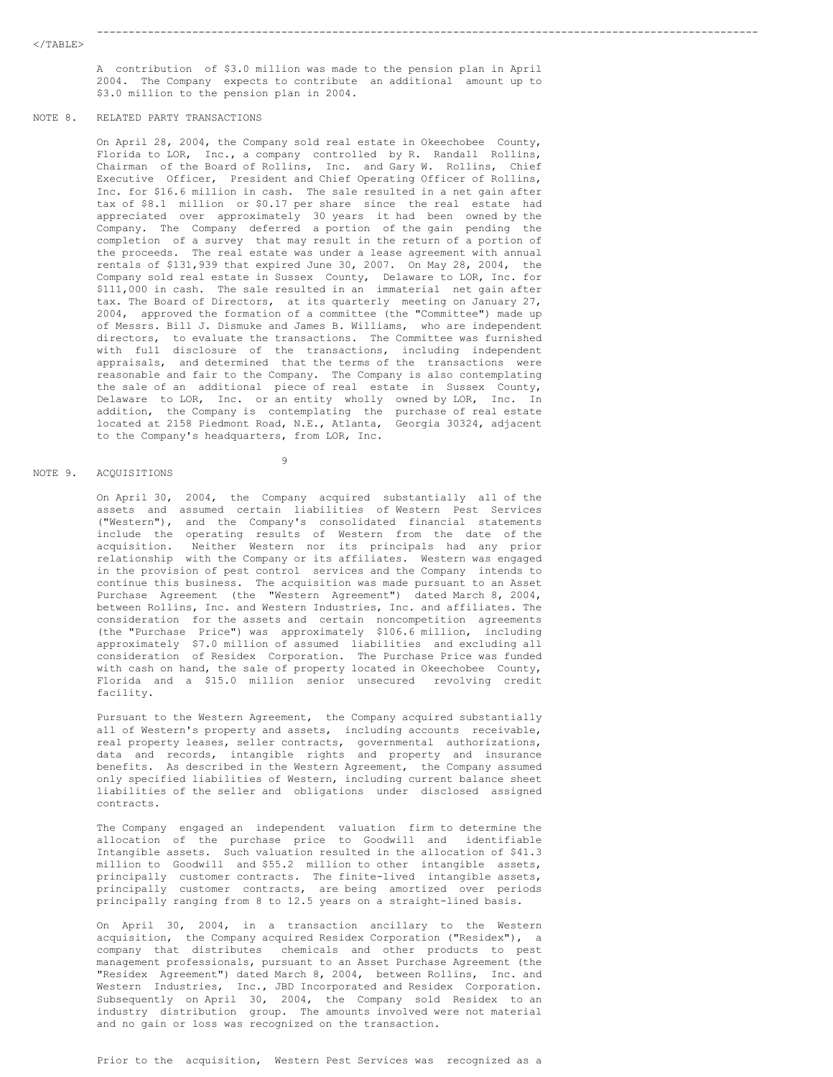A contribution of \$3.0 million was made to the pension plan in April 2004. The Company expects to contribute an additional amount up to \$3.0 million to the pension plan in 2004.

--------------------------------------------------------------------------------------------------------

## NOTE 8. RELATED PARTY TRANSACTIONS

On April 28, 2004, the Company sold real estate in Okeechobee County, Florida to LOR, Inc., a company controlled by R. Randall Rollins, Chairman of the Board of Rollins, Inc. and Gary W. Rollins, Chief Executive Officer, President and Chief Operating Officer of Rollins, Inc. for \$16.6 million in cash. The sale resulted in a net gain after tax of \$8.1 million or \$0.17 per share since the real estate had appreciated over approximately 30 years it had been owned by the Company. The Company deferred a portion of the gain pending the completion of a survey that may result in the return of a portion of the proceeds. The real estate was under a lease agreement with annual rentals of \$131,939 that expired June 30, 2007. On May 28, 2004, the Company sold real estate in Sussex County, Delaware to LOR, Inc. for \$111,000 in cash. The sale resulted in an immaterial net gain after tax. The Board of Directors, at its quarterly meeting on January 27, 2004, approved the formation of a committee (the "Committee") made up of Messrs. Bill J. Dismuke and James B. Williams, who are independent directors, to evaluate the transactions. The Committee was furnished with full disclosure of the transactions, including independent appraisals, and determined that the terms of the transactions were reasonable and fair to the Company. The Company is also contemplating the sale of an additional piece of real estate in Sussex County, Delaware to LOR, Inc. or an entity wholly owned by LOR, Inc. In addition, the Company is contemplating the purchase of real estate located at 2158 Piedmont Road, N.E., Atlanta, Georgia 30324, adjacent to the Company's headquarters, from LOR, Inc.

# NOTE 9. ACQUISITIONS

On April 30, 2004, the Company acquired substantially all of the assets and assumed certain liabilities of Western Pest Services ("Western"), and the Company's consolidated financial statements include the operating results of Western from the date of the acquisition. Neither Western nor its principals had any prior relationship with the Company or its affiliates. Western was engaged in the provision of pest control services and the Company intends to continue this business. The acquisition was made pursuant to an Asset Purchase Agreement (the "Western Agreement") dated March 8, 2004, between Rollins, Inc. and Western Industries, Inc. and affiliates. The consideration for the assets and certain noncompetition agreements (the "Purchase Price") was approximately \$106.6 million, including approximately \$7.0 million of assumed liabilities and excluding all consideration of Residex Corporation. The Purchase Price was funded with cash on hand, the sale of property located in Okeechobee County, Florida and a \$15.0 million senior unsecured revolving credit facility.

9

Pursuant to the Western Agreement, the Company acquired substantially all of Western's property and assets, including accounts receivable, real property leases, seller contracts, governmental authorizations, data and records, intangible rights and property and insurance benefits. As described in the Western Agreement, the Company assumed only specified liabilities of Western, including current balance sheet liabilities of the seller and obligations under disclosed assigned contracts.

The Company engaged an independent valuation firm to determine the allocation of the purchase price to Goodwill and identifiable Intangible assets. Such valuation resulted in the allocation of \$41.3 million to Goodwill and \$55.2 million to other intangible assets, principally customer contracts. The finite-lived intangible assets, principally customer contracts, are being amortized over periods principally ranging from 8 to 12.5 years on a straight-lined basis.

On April 30, 2004, in a transaction ancillary to the Western acquisition, the Company acquired Residex Corporation ("Residex"), a company that distributes chemicals and other products to pest management professionals, pursuant to an Asset Purchase Agreement (the "Residex Agreement") dated March 8, 2004, between Rollins, Inc. and Western Industries, Inc., JBD Incorporated and Residex Corporation. Subsequently on April 30, 2004, the Company sold Residex to an industry distribution group. The amounts involved were not material and no gain or loss was recognized on the transaction.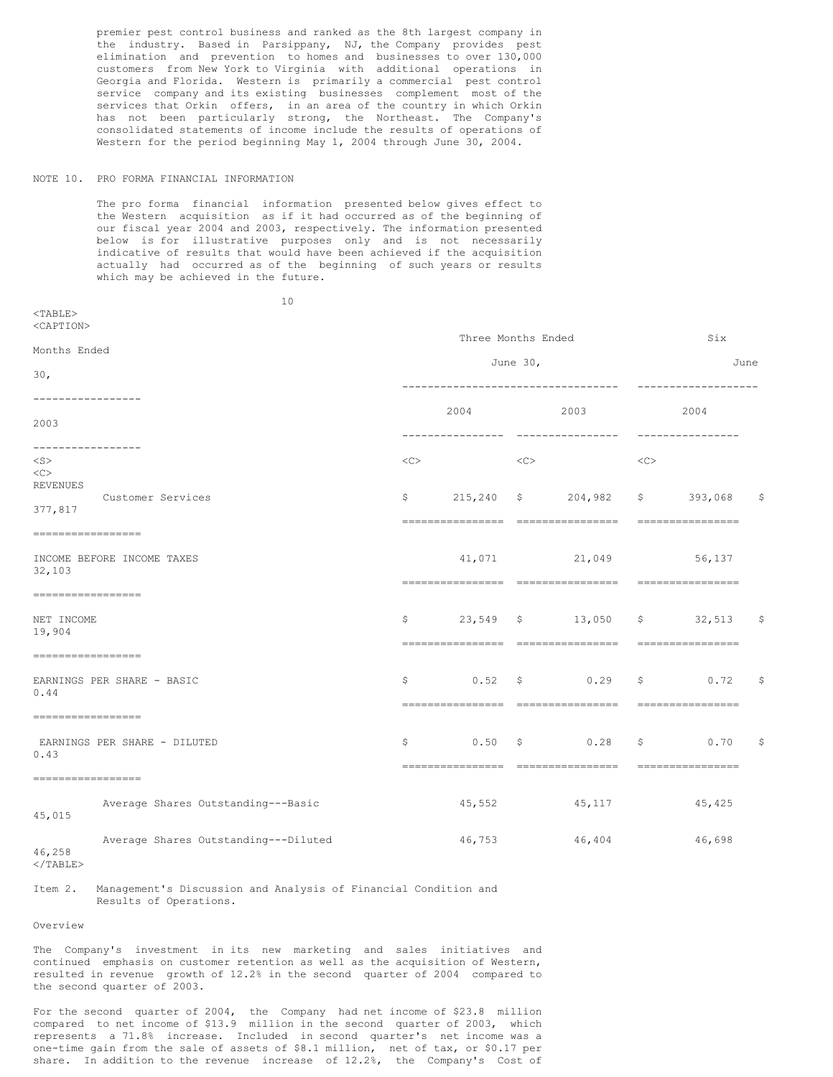premier pest control business and ranked as the 8th largest company in the industry. Based in Parsippany, NJ, the Company provides pest elimination and prevention to homes and businesses to over 130,000 customers from New York to Virginia with additional operations in Georgia and Florida. Western is primarily a commercial pest control service company and its existing businesses complement most of the services that Orkin offers, in an area of the country in which Orkin has not been particularly strong, the Northeast. The Company's consolidated statements of income include the results of operations of Western for the period beginning May 1, 2004 through June 30, 2004.

### NOTE 10. PRO FORMA FINANCIAL INFORMATION

The pro forma financial information presented below gives effect to the Western acquisition as if it had occurred as of the beginning of our fiscal year 2004 and 2003, respectively. The information presented below is for illustrative purposes only and is not necessarily indicative of results that would have been achieved if the acquisition actually had occurred as of the beginning of such years or results which may be achieved in the future.

10

| $<$ TABLE><br><caption></caption>                         |           | Three Months Ended                           |    |                                                        |              | Six                                             |  |
|-----------------------------------------------------------|-----------|----------------------------------------------|----|--------------------------------------------------------|--------------|-------------------------------------------------|--|
| Months Ended<br>30 <sub>1</sub>                           | June 30,  |                                              |    |                                                        | June         |                                                 |  |
| -----------------<br>2003                                 |           | ------------------------------------<br>2004 |    | 2003                                                   |              | -------------------<br>2004<br>---------------- |  |
| -----------------<br>$<$ S $>$<br><<<br><b>REVENUES</b>   | $<\infty$ |                                              | << |                                                        | <<           |                                                 |  |
| Customer Services<br>377,817<br>-----------------         | \$        |                                              |    | =====================================                  | $\mathsf{S}$ | $393,068$ \$<br>=================               |  |
| INCOME BEFORE INCOME TAXES<br>32,103<br>================= |           |                                              |    | 41,071 21,049<br>===================================== |              | 56,137<br>=================                     |  |
| NET INCOME<br>19,904<br>=================                 | \$        |                                              |    | 23,549 \$ 13,050                                       |              | $$32,513$ \$<br>=================               |  |
| EARNINGS PER SHARE - BASIC<br>0.44<br>=================   | \$        | 0.52 S                                       |    | 0.29<br>====================================           | \$           | $0.72$ \$<br>=================                  |  |
| EARNINGS PER SHARE - DILUTED<br>0.43<br>================= | \$        | $0.50$ \$                                    |    | 0.28                                                   | $\mathsf{S}$ | $0.70$ \$                                       |  |
| Average Shares Outstanding---Basic<br>45,015              |           | 45,552                                       |    | 45,117                                                 |              | 45,425                                          |  |
| Average Shares Outstanding---Diluted<br>46,258            |           |                                              |    | 46,753 46,404                                          |              | 46,698                                          |  |

 $<$ /TABLE>

Item 2. Management's Discussion and Analysis of Financial Condition and Results of Operations.

Overview

The Company's investment in its new marketing and sales initiatives and continued emphasis on customer retention as well as the acquisition of Western, resulted in revenue growth of 12.2% in the second quarter of 2004 compared to the second quarter of 2003.

For the second quarter of 2004, the Company had net income of \$23.8 million compared to net income of \$13.9 million in the second quarter of 2003, which represents a 71.8% increase. Included in second quarter's net income was a one-time gain from the sale of assets of \$8.1 million, net of tax, or \$0.17 per share. In addition to the revenue increase of 12.2%, the Company's Cost of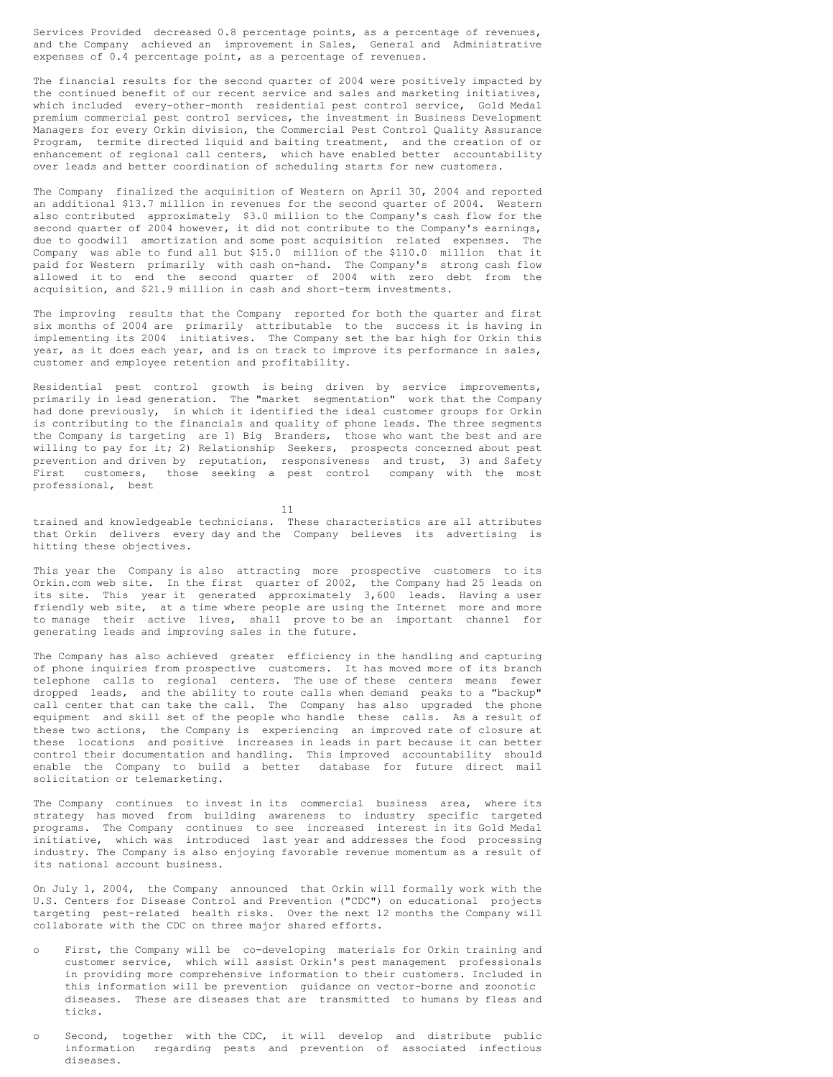Services Provided decreased 0.8 percentage points, as a percentage of revenues, and the Company achieved an improvement in Sales, General and Administrative expenses of 0.4 percentage point, as a percentage of revenues.

The financial results for the second quarter of 2004 were positively impacted by the continued benefit of our recent service and sales and marketing initiatives, which included every-other-month residential pest control service, Gold Medal premium commercial pest control services, the investment in Business Development Managers for every Orkin division, the Commercial Pest Control Quality Assurance Program, termite directed liquid and baiting treatment, and the creation of or enhancement of regional call centers, which have enabled better accountability over leads and better coordination of scheduling starts for new customers.

The Company finalized the acquisition of Western on April 30, 2004 and reported an additional \$13.7 million in revenues for the second quarter of 2004. Western also contributed approximately \$3.0 million to the Company's cash flow for the second quarter of 2004 however, it did not contribute to the Company's earnings, due to goodwill amortization and some post acquisition related expenses. The Company was able to fund all but \$15.0 million of the \$110.0 million that it paid for Western primarily with cash on-hand. The Company's strong cash flow allowed it to end the second quarter of 2004 with zero debt from the acquisition, and \$21.9 million in cash and short-term investments.

The improving results that the Company reported for both the quarter and first six months of 2004 are primarily attributable to the success it is having in implementing its 2004 initiatives. The Company set the bar high for Orkin this year, as it does each year, and is on track to improve its performance in sales, customer and employee retention and profitability.

Residential pest control growth is being driven by service improvements, primarily in lead generation. The "market segmentation" work that the Company had done previously, in which it identified the ideal customer groups for Orkin is contributing to the financials and quality of phone leads. The three segments the Company is targeting are 1) Big Branders, those who want the best and are willing to pay for it; 2) Relationship Seekers, prospects concerned about pest prevention and driven by reputation, responsiveness and trust, 3) and Safety First customers, those seeking a pest control company with the most professional, best

11

trained and knowledgeable technicians. These characteristics are all attributes that Orkin delivers every day and the Company believes its advertising is hitting these objectives.

This year the Company is also attracting more prospective customers to its Orkin.com web site. In the first quarter of 2002, the Company had 25 leads on its site. This year it generated approximately 3,600 leads. Having a user friendly web site, at a time where people are using the Internet more and more to manage their active lives, shall prove to be an important channel for generating leads and improving sales in the future.

The Company has also achieved greater efficiency in the handling and capturing of phone inquiries from prospective customers. It has moved more of its branch telephone calls to regional centers. The use of these centers means fewer dropped leads, and the ability to route calls when demand peaks to a "backup" call center that can take the call. The Company has also upgraded the phone equipment and skill set of the people who handle these calls. As a result of these two actions, the Company is experiencing an improved rate of closure at these locations and positive increases in leads in part because it can better control their documentation and handling. This improved accountability should enable the Company to build a better database for future direct mail solicitation or telemarketing.

The Company continues to invest in its commercial business area, where its strategy has moved from building awareness to industry specific targeted programs. The Company continues to see increased interest in its Gold Medal initiative, which was introduced last year and addresses the food processing industry. The Company is also enjoying favorable revenue momentum as a result of its national account business.

On July 1, 2004, the Company announced that Orkin will formally work with the U.S. Centers for Disease Control and Prevention ("CDC") on educational projects targeting pest-related health risks. Over the next 12 months the Company will collaborate with the CDC on three major shared efforts.

- o First, the Company will be co-developing materials for Orkin training and customer service, which will assist Orkin's pest management professionals in providing more comprehensive information to their customers. Included in this information will be prevention guidance on vector-borne and zoonotic diseases. These are diseases that are transmitted to humans by fleas and ticks.
- o Second, together with the CDC, it will develop and distribute public information regarding pests and prevention of associated infectious diseases.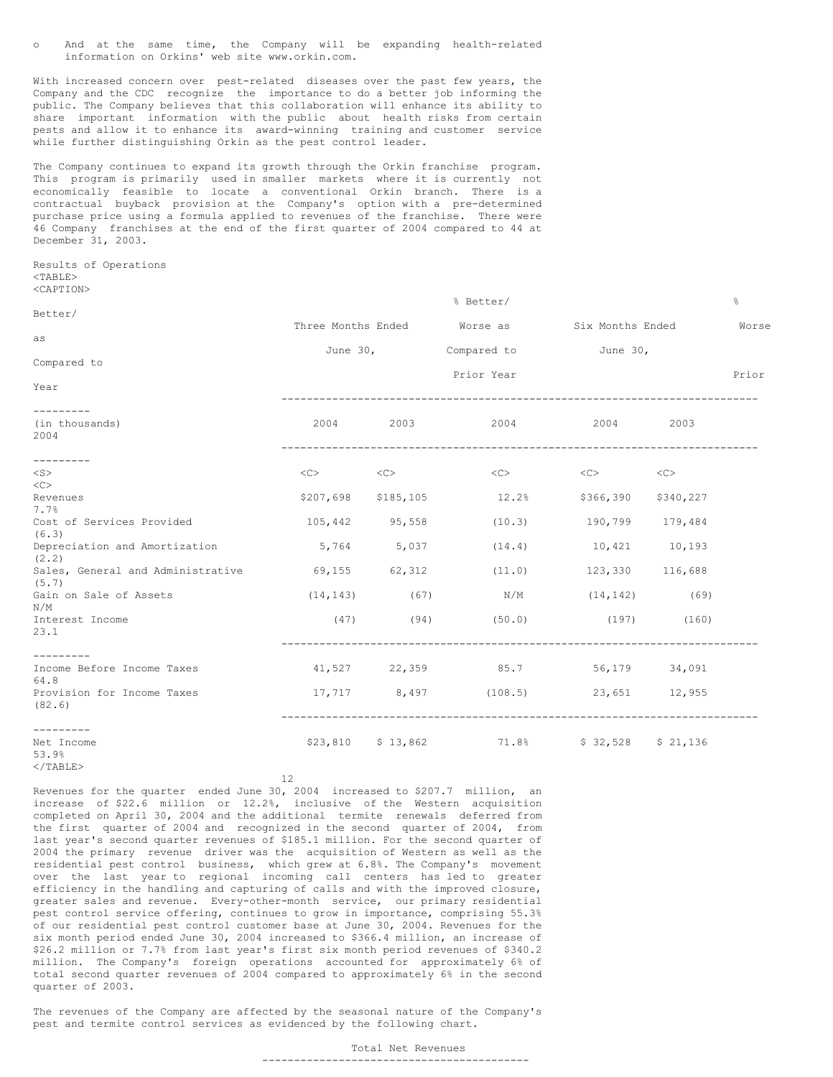o And at the same time, the Company will be expanding health-related information on Orkins' web site www.orkin.com.

With increased concern over pest-related diseases over the past few years, the Company and the CDC recognize the importance to do a better job informing the public. The Company believes that this collaboration will enhance its ability to share important information with the public about health risks from certain pests and allow it to enhance its award-winning training and customer service while further distinguishing Orkin as the pest control leader.

The Company continues to expand its growth through the Orkin franchise program. This program is primarily used in smaller markets where it is currently not economically feasible to locate a conventional Orkin branch. There is a contractual buyback provision at the Company's option with a pre-determined purchase price using a formula applied to revenues of the franchise. There were 46 Company franchises at the end of the first quarter of 2004 compared to 44 at December 31, 2003.

```
Results of Operations
<TABLE><CAPTION>
```
 $<$ /TABLE>

|                                              | % Better/         |                |                                              |                        |                 |       |
|----------------------------------------------|-------------------|----------------|----------------------------------------------|------------------------|-----------------|-------|
| Better/                                      |                   |                | Three Months Ended Worse as Six Months Ended |                        |                 | Worse |
| as                                           |                   |                | June 30, Compared to                         | June 30,               |                 |       |
| Compared to                                  |                   |                | Prior Year                                   |                        |                 | Prior |
| Year                                         |                   |                |                                              |                        |                 |       |
| -------<br>(in thousands)                    |                   |                | 2004 2003 2004 2004 2003                     |                        |                 |       |
| 2004                                         |                   |                |                                              |                        |                 |       |
| ----------                                   |                   |                |                                              |                        |                 |       |
| $<$ S $>$<br><<                              | <<>               | $<<$ $>$       | $\langle C \rangle$                          | $<<$ $>$               | <<              |       |
| Revenues<br>7.7%                             | \$207,698         | \$185, 105     | 12.2%                                        | \$366,390              | \$340,227       |       |
| Cost of Services Provided<br>(6.3)           |                   | 105,442 95,558 | (10.3)                                       |                        | 190,799 179,484 |       |
| Depreciation and Amortization<br>(2.2)       |                   | 5,764 5,037    |                                              | $(14.4)$ 10,421 10,193 |                 |       |
| Sales, General and Administrative<br>(5.7)   | $69,155$ $62,312$ |                | (11.0)                                       |                        | 123,330 116,688 |       |
| Gain on Sale of Assets<br>N/M                | (14, 143)         | (67)           |                                              | $N/M$ (14,142) (69)    |                 |       |
| Interest Income<br>23.1                      | (47)              | (94)           | $(50.0)$ (197) (160)                         |                        |                 |       |
| ---------<br>Income Before Income Taxes      |                   |                | $41,527$ 22,359 85.7 56,179 34,091           |                        |                 |       |
| 64.8<br>Provision for Income Taxes<br>(82.6) |                   |                | $17,717$ 8,497 (108.5) 23,651 12,955         |                        |                 |       |
| ---------<br>Net Income<br>53.9%             |                   |                | \$23,810 \$13,862 71.8% \$32,528 \$21,136    |                        |                 |       |

12

Revenues for the quarter ended June 30, 2004 increased to \$207.7 million, an increase of \$22.6 million or 12.2%, inclusive of the Western acquisition completed on April 30, 2004 and the additional termite renewals deferred from the first quarter of 2004 and recognized in the second quarter of 2004, from last year's second quarter revenues of \$185.1 million. For the second quarter of 2004 the primary revenue driver was the acquisition of Western as well as the residential pest control business, which grew at 6.8%. The Company's movement over the last year to regional incoming call centers has led to greater efficiency in the handling and capturing of calls and with the improved closure, greater sales and revenue. Every-other-month service, our primary residential pest control service offering, continues to grow in importance, comprising 55.3% of our residential pest control customer base at June 30, 2004. Revenues for the six month period ended June 30, 2004 increased to \$366.4 million, an increase of \$26.2 million or 7.7% from last year's first six month period revenues of \$340.2 million. The Company's foreign operations accounted for approximately 6% of total second quarter revenues of 2004 compared to approximately 6% in the second quarter of 2003.

The revenues of the Company are affected by the seasonal nature of the Company's pest and termite control services as evidenced by the following chart.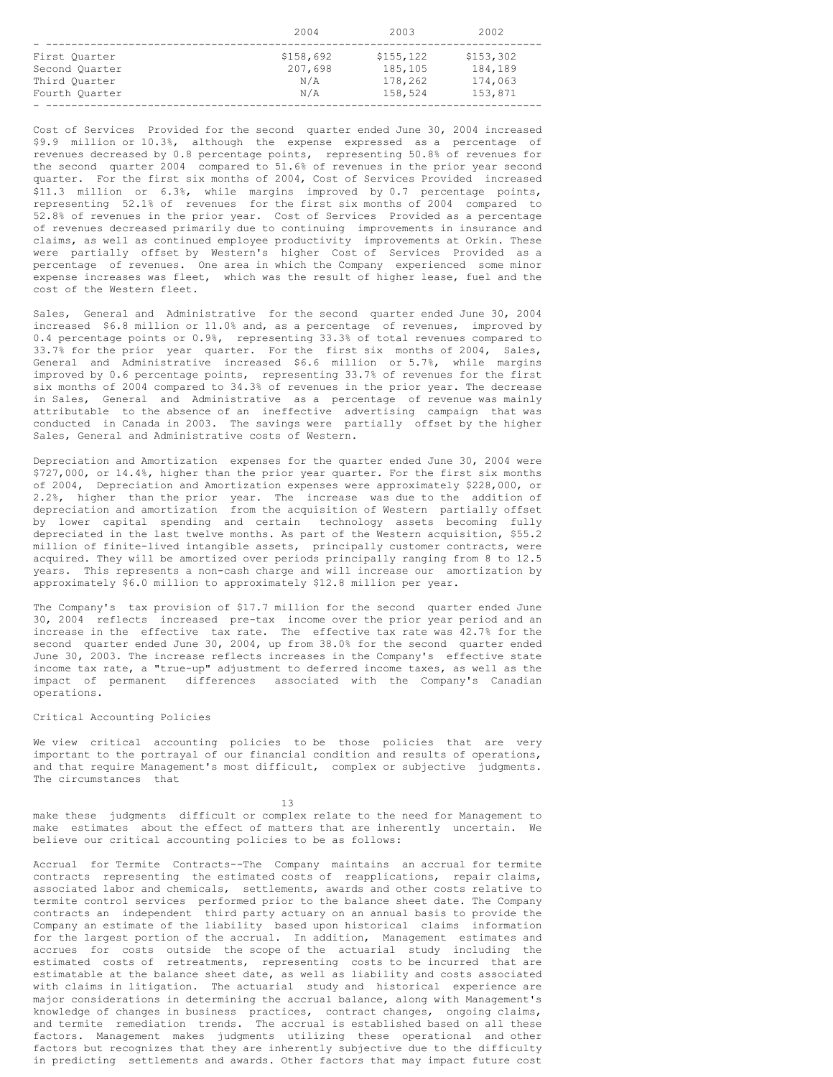|                | 2004      | 2003      | 2002      |
|----------------|-----------|-----------|-----------|
|                |           |           |           |
| First Ouarter  | \$158,692 | \$155.122 | \$153,302 |
| Second Ouarter | 207,698   | 185,105   | 184,189   |
| Third Quarter  | N/A       | 178,262   | 174,063   |
| Fourth Ouarter | N/A       | 158,524   | 153,871   |
|                |           |           |           |

Cost of Services Provided for the second quarter ended June 30, 2004 increased \$9.9 million or 10.3%, although the expense expressed as a percentage of revenues decreased by 0.8 percentage points, representing 50.8% of revenues for the second quarter 2004 compared to 51.6% of revenues in the prior year second quarter. For the first six months of 2004, Cost of Services Provided increased \$11.3 million or 6.3%, while margins improved by 0.7 percentage points, representing 52.1% of revenues for the first six months of 2004 compared to 52.8% of revenues in the prior year. Cost of Services Provided as a percentage of revenues decreased primarily due to continuing improvements in insurance and claims, as well as continued employee productivity improvements at Orkin. These were partially offset by Western's higher Cost of Services Provided as a percentage of revenues. One area in which the Company experienced some minor expense increases was fleet, which was the result of higher lease, fuel and the cost of the Western fleet.

Sales, General and Administrative for the second quarter ended June 30, 2004 increased \$6.8 million or 11.0% and, as a percentage of revenues, improved by 0.4 percentage points or 0.9%, representing 33.3% of total revenues compared to 33.7% for the prior year quarter. For the first six months of 2004, Sales, General and Administrative increased \$6.6 million or 5.7%, while margins improved by 0.6 percentage points, representing 33.7% of revenues for the first six months of 2004 compared to 34.3% of revenues in the prior year. The decrease in Sales, General and Administrative as a percentage of revenue was mainly attributable to the absence of an ineffective advertising campaign that was conducted in Canada in 2003. The savings were partially offset by the higher Sales, General and Administrative costs of Western.

Depreciation and Amortization expenses for the quarter ended June 30, 2004 were \$727,000, or 14.4%, higher than the prior year quarter. For the first six months of 2004, Depreciation and Amortization expenses were approximately \$228,000, or 2.2%, higher than the prior year. The increase was due to the addition of depreciation and amortization from the acquisition of Western partially offset by lower capital spending and certain technology assets becoming fully depreciated in the last twelve months. As part of the Western acquisition, \$55.2 million of finite-lived intangible assets, principally customer contracts, were acquired. They will be amortized over periods principally ranging from 8 to 12.5 years. This represents a non-cash charge and will increase our amortization by approximately \$6.0 million to approximately \$12.8 million per year.

The Company's tax provision of \$17.7 million for the second quarter ended June 30, 2004 reflects increased pre-tax income over the prior year period and an increase in the effective tax rate. The effective tax rate was 42.7% for the second quarter ended June 30, 2004, up from 38.0% for the second quarter ended June 30, 2003. The increase reflects increases in the Company's effective state income tax rate, a "true-up" adjustment to deferred income taxes, as well as the impact of permanent differences associated with the Company's Canadian operations.

### Critical Accounting Policies

We view critical accounting policies to be those policies that are very important to the portrayal of our financial condition and results of operations, and that require Management's most difficult, complex or subjective judgments. The circumstances that

13

make these judgments difficult or complex relate to the need for Management to make estimates about the effect of matters that are inherently uncertain. We believe our critical accounting policies to be as follows:

Accrual for Termite Contracts--The Company maintains an accrual for termite contracts representing the estimated costs of reapplications, repair claims, associated labor and chemicals, settlements, awards and other costs relative to termite control services performed prior to the balance sheet date. The Company contracts an independent third party actuary on an annual basis to provide the Company an estimate of the liability based upon historical claims information for the largest portion of the accrual. In addition, Management estimates and accrues for costs outside the scope of the actuarial study including the estimated costs of retreatments, representing costs to be incurred that are estimatable at the balance sheet date, as well as liability and costs associated with claims in litigation. The actuarial study and historical experience are major considerations in determining the accrual balance, along with Management's knowledge of changes in business practices, contract changes, ongoing claims, and termite remediation trends. The accrual is established based on all these factors. Management makes judgments utilizing these operational and other factors but recognizes that they are inherently subjective due to the difficulty in predicting settlements and awards. Other factors that may impact future cost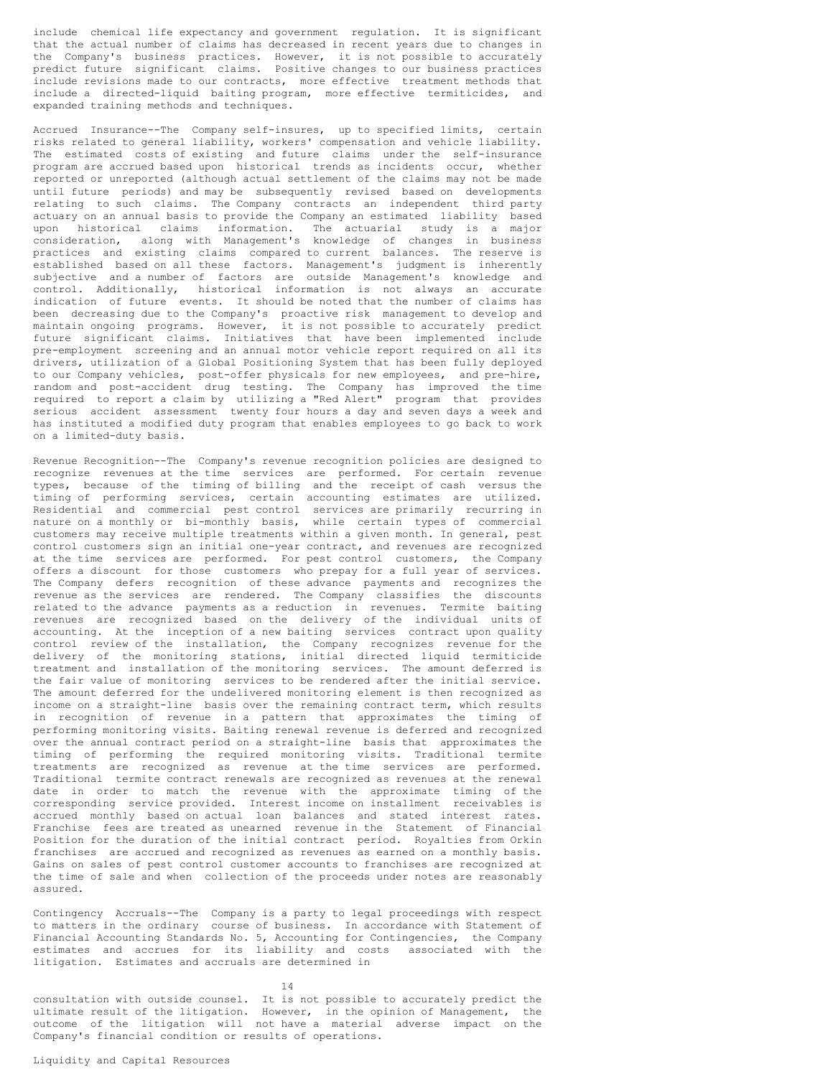include chemical life expectancy and government regulation. It is significant that the actual number of claims has decreased in recent years due to changes in the Company's business practices. However, it is not possible to accurately predict future significant claims. Positive changes to our business practices include revisions made to our contracts, more effective treatment methods that include a directed-liquid baiting program, more effective termiticides, and expanded training methods and techniques.

Accrued Insurance--The Company self-insures, up to specified limits, certain risks related to general liability, workers' compensation and vehicle liability. The estimated costs of existing and future claims under the self-insurance program are accrued based upon historical trends as incidents occur, whether reported or unreported (although actual settlement of the claims may not be made until future periods) and may be subsequently revised based on developments relating to such claims. The Company contracts an independent third party actuary on an annual basis to provide the Company an estimated liability based upon historical claims information. The actuarial study is a major consideration, along with Management's knowledge of changes in business practices and existing claims compared to current balances. The reserve is established based on all these factors. Management's judgment is inherently subjective and a number of factors are outside Management's knowledge and control. Additionally, historical information is not always an accurate indication of future events. It should be noted that the number of claims has been decreasing due to the Company's proactive risk management to develop and maintain ongoing programs. However, it is not possible to accurately predict future significant claims. Initiatives that have been implemented include pre-employment screening and an annual motor vehicle report required on all its drivers, utilization of a Global Positioning System that has been fully deployed to our Company vehicles, post-offer physicals for new employees, and pre-hire, random and post-accident drug testing. The Company has improved the time required to report a claim by utilizing a "Red Alert" program that provides serious accident assessment twenty four hours a day and seven days a week and has instituted a modified duty program that enables employees to go back to work on a limited-duty basis.

Revenue Recognition--The Company's revenue recognition policies are designed to recognize revenues at the time services are performed. For certain revenue types, because of the timing of billing and the receipt of cash versus the timing of performing services, certain accounting estimates are utilized. Residential and commercial pest control services are primarily recurring in nature on a monthly or bi-monthly basis, while certain types of commercial customers may receive multiple treatments within a given month. In general, pest control customers sign an initial one-year contract, and revenues are recognized at the time services are performed. For pest control customers, the Company offers a discount for those customers who prepay for a full year of services. The Company defers recognition of these advance payments and recognizes the revenue as the services are rendered. The Company classifies the discounts related to the advance payments as a reduction in revenues. Termite baiting revenues are recognized based on the delivery of the individual units of accounting. At the inception of a new baiting services contract upon quality control review of the installation, the Company recognizes revenue for the delivery of the monitoring stations, initial directed liquid termiticide treatment and installation of the monitoring services. The amount deferred is the fair value of monitoring services to be rendered after the initial service. The amount deferred for the undelivered monitoring element is then recognized as income on a straight-line basis over the remaining contract term, which results in recognition of revenue in a pattern that approximates the timing of performing monitoring visits. Baiting renewal revenue is deferred and recognized over the annual contract period on a straight-line basis that approximates the timing of performing the required monitoring visits. Traditional termite treatments are recognized as revenue at the time services are performed. Traditional termite contract renewals are recognized as revenues at the renewal date in order to match the revenue with the approximate timing of the corresponding service provided. Interest income on installment receivables is accrued monthly based on actual loan balances and stated interest rates. Franchise fees are treated as unearned revenue in the Statement of Financial Position for the duration of the initial contract period. Royalties from Orkin franchises are accrued and recognized as revenues as earned on a monthly basis. Gains on sales of pest control customer accounts to franchises are recognized at the time of sale and when collection of the proceeds under notes are reasonably assured.

Contingency Accruals--The Company is a party to legal proceedings with respect to matters in the ordinary course of business. In accordance with Statement of Financial Accounting Standards No. 5, Accounting for Contingencies, the Company estimates and accrues for its liability and costs associated with the litigation. Estimates and accruals are determined in

14

consultation with outside counsel. It is not possible to accurately predict the ultimate result of the litigation. However, in the opinion of Management, the outcome of the litigation will not have a material adverse impact on the Company's financial condition or results of operations.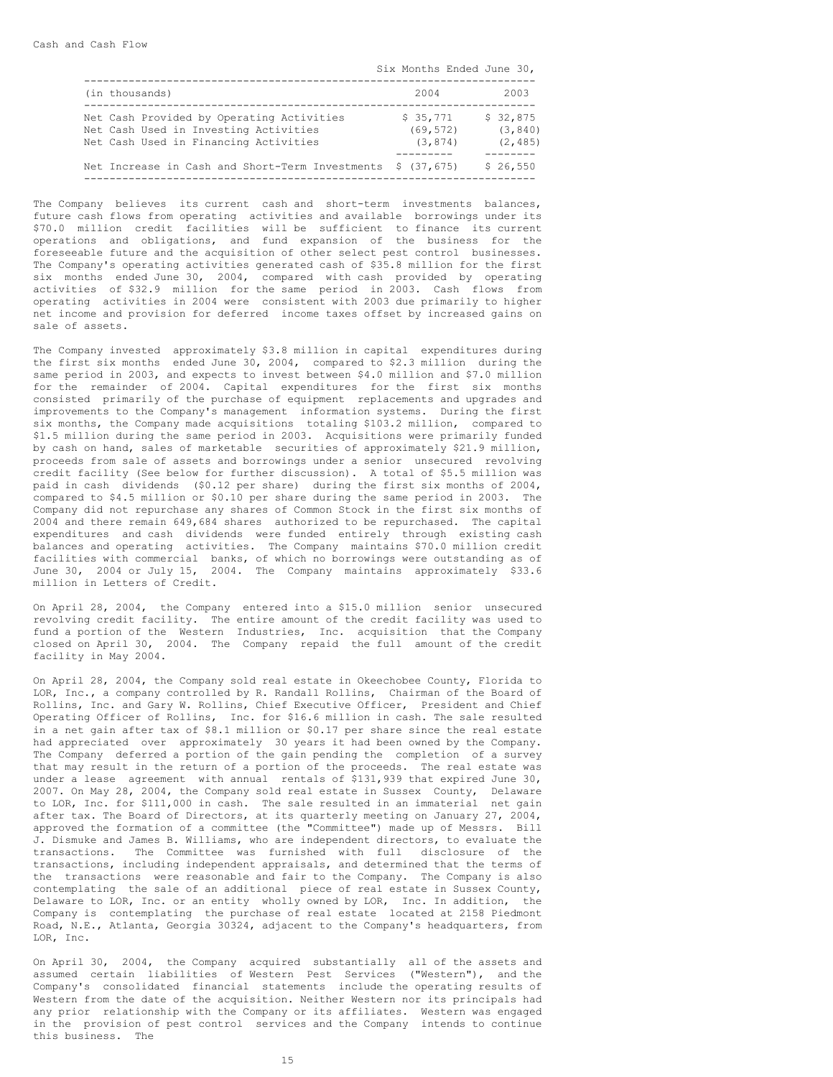Six Months Ended June 30,

| (in thousands)                                                                                                              | 2004                              | 2003                             |
|-----------------------------------------------------------------------------------------------------------------------------|-----------------------------------|----------------------------------|
| Net Cash Provided by Operating Activities<br>Net Cash Used in Investing Activities<br>Net Cash Used in Financing Activities | \$35,771<br>(69, 572)<br>(3, 874) | \$32,875<br>(3, 840)<br>(2, 485) |
| Net Increase in Cash and Short-Term Investments                                                                             | \$(37, 675)                       | \$26,550                         |

The Company believes its current cash and short-term investments balances, future cash flows from operating activities and available borrowings under its \$70.0 million credit facilities will be sufficient to finance its current operations and obligations, and fund expansion of the business for the foreseeable future and the acquisition of other select pest control businesses. The Company's operating activities generated cash of \$35.8 million for the first six months ended June 30, 2004, compared with cash provided by operating activities of \$32.9 million for the same period in 2003. Cash flows from operating activities in 2004 were consistent with 2003 due primarily to higher net income and provision for deferred income taxes offset by increased gains on sale of assets.

The Company invested approximately \$3.8 million in capital expenditures during the first six months ended June 30, 2004, compared to \$2.3 million during the same period in 2003, and expects to invest between \$4.0 million and \$7.0 million for the remainder of 2004. Capital expenditures for the first six months consisted primarily of the purchase of equipment replacements and upgrades and improvements to the Company's management information systems. During the first six months, the Company made acquisitions totaling \$103.2 million, compared to \$1.5 million during the same period in 2003. Acquisitions were primarily funded by cash on hand, sales of marketable securities of approximately \$21.9 million, proceeds from sale of assets and borrowings under a senior unsecured revolving credit facility (See below for further discussion). A total of \$5.5 million was paid in cash dividends (\$0.12 per share) during the first six months of 2004, compared to \$4.5 million or \$0.10 per share during the same period in 2003. The Company did not repurchase any shares of Common Stock in the first six months of 2004 and there remain 649,684 shares authorized to be repurchased. The capital expenditures and cash dividends were funded entirely through existing cash balances and operating activities. The Company maintains \$70.0 million credit facilities with commercial banks, of which no borrowings were outstanding as of June 30, 2004 or July 15, 2004. The Company maintains approximately \$33.6 million in Letters of Credit.

On April 28, 2004, the Company entered into a \$15.0 million senior unsecured revolving credit facility. The entire amount of the credit facility was used to fund a portion of the Western Industries, Inc. acquisition that the Company closed on April 30, 2004. The Company repaid the full amount of the credit facility in May 2004.

On April 28, 2004, the Company sold real estate in Okeechobee County, Florida to LOR, Inc., a company controlled by R. Randall Rollins, Chairman of the Board of Rollins, Inc. and Gary W. Rollins, Chief Executive Officer, President and Chief Operating Officer of Rollins, Inc. for \$16.6 million in cash. The sale resulted in a net gain after tax of \$8.1 million or \$0.17 per share since the real estate had appreciated over approximately 30 years it had been owned by the Company. The Company deferred a portion of the gain pending the completion of a survey that may result in the return of a portion of the proceeds. The real estate was under a lease agreement with annual rentals of \$131,939 that expired June 30, 2007. On May 28, 2004, the Company sold real estate in Sussex County, Delaware to LOR, Inc. for \$111,000 in cash. The sale resulted in an immaterial net gain after tax. The Board of Directors, at its quarterly meeting on January 27, 2004, approved the formation of a committee (the "Committee") made up of Messrs. Bill J. Dismuke and James B. Williams, who are independent directors, to evaluate the transactions. The Committee was furnished with full disclosure of the transactions, including independent appraisals, and determined that the terms of the transactions were reasonable and fair to the Company. The Company is also contemplating the sale of an additional piece of real estate in Sussex County, Delaware to LOR, Inc. or an entity wholly owned by LOR, Inc. In addition, the Company is contemplating the purchase of real estate located at 2158 Piedmont Road, N.E., Atlanta, Georgia 30324, adjacent to the Company's headquarters, from LOR, Inc.

On April 30, 2004, the Company acquired substantially all of the assets and assumed certain liabilities of Western Pest Services ("Western"), and the Company's consolidated financial statements include the operating results of Western from the date of the acquisition. Neither Western nor its principals had any prior relationship with the Company or its affiliates. Western was engaged in the provision of pest control services and the Company intends to continue this business. The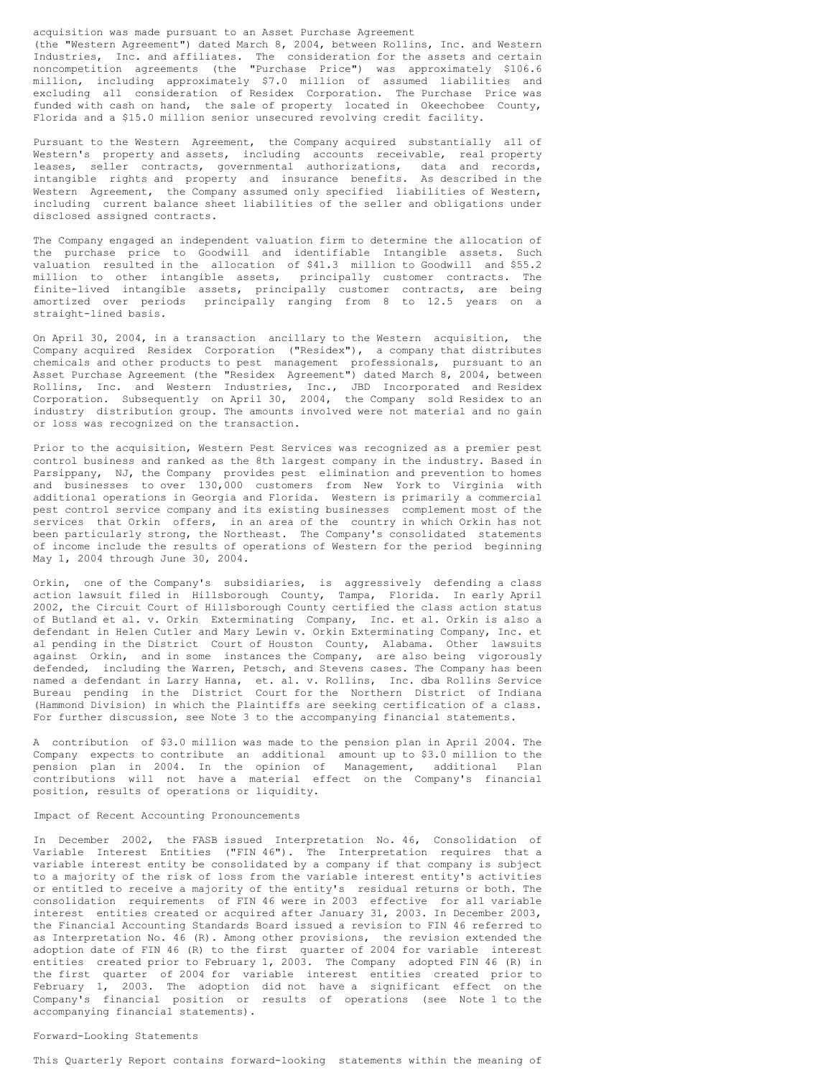acquisition was made pursuant to an Asset Purchase Agreement

(the "Western Agreement") dated March 8, 2004, between Rollins, Inc. and Western Industries, Inc. and affiliates. The consideration for the assets and certain noncompetition agreements (the "Purchase Price") was approximately \$106.6 million, including approximately \$7.0 million of assumed liabilities and excluding all consideration of Residex Corporation. The Purchase Price was funded with cash on hand, the sale of property located in Okeechobee County, Florida and a \$15.0 million senior unsecured revolving credit facility.

Pursuant to the Western Agreement, the Company acquired substantially all of Western's property and assets, including accounts receivable, real property leases, seller contracts, governmental authorizations, data and records, intangible rights and property and insurance benefits. As described in the Western Agreement, the Company assumed only specified liabilities of Western, including current balance sheet liabilities of the seller and obligations under disclosed assigned contracts.

The Company engaged an independent valuation firm to determine the allocation of the purchase price to Goodwill and identifiable Intangible assets. Such valuation resulted in the allocation of \$41.3 million to Goodwill and \$55.2 million to other intangible assets, principally customer contracts. The finite-lived intangible assets, principally customer contracts, are being amortized over periods principally ranging from 8 to 12.5 years on a straight-lined basis.

On April 30, 2004, in a transaction ancillary to the Western acquisition, the Company acquired Residex Corporation ("Residex"), a company that distributes chemicals and other products to pest management professionals, pursuant to an Asset Purchase Agreement (the "Residex Agreement") dated March 8, 2004, between Rollins, Inc. and Western Industries, Inc., JBD Incorporated and Residex Corporation. Subsequently on April 30, 2004, the Company sold Residex to an industry distribution group. The amounts involved were not material and no gain or loss was recognized on the transaction.

Prior to the acquisition, Western Pest Services was recognized as a premier pest control business and ranked as the 8th largest company in the industry. Based in Parsippany, NJ, the Company provides pest elimination and prevention to homes and businesses to over 130,000 customers from New York to Virginia with additional operations in Georgia and Florida. Western is primarily a commercial pest control service company and its existing businesses complement most of the services that Orkin offers, in an area of the country in which Orkin has not been particularly strong, the Northeast. The Company's consolidated statements of income include the results of operations of Western for the period beginning May 1, 2004 through June 30, 2004.

Orkin, one of the Company's subsidiaries, is aggressively defending a class action lawsuit filed in Hillsborough County, Tampa, Florida. In early April 2002, the Circuit Court of Hillsborough County certified the class action status of Butland et al. v. Orkin Exterminating Company, Inc. et al. Orkin is also a defendant in Helen Cutler and Mary Lewin v. Orkin Exterminating Company, Inc. et al pending in the District Court of Houston County, Alabama. Other lawsuits against Orkin, and in some instances the Company, are also being vigorously defended, including the Warren, Petsch, and Stevens cases. The Company has been named a defendant in Larry Hanna, et. al. v. Rollins, Inc. dba Rollins Service Bureau pending in the District Court for the Northern District of Indiana (Hammond Division) in which the Plaintiffs are seeking certification of a class. For further discussion, see Note 3 to the accompanying financial statements.

A contribution of \$3.0 million was made to the pension plan in April 2004. The Company expects to contribute an additional amount up to \$3.0 million to the pension plan in 2004. In the opinion of Management, additional Plan contributions will not have a material effect on the Company's financial position, results of operations or liquidity.

#### Impact of Recent Accounting Pronouncements

In December 2002, the FASB issued Interpretation No. 46, Consolidation of Variable Interest Entities ("FIN 46"). The Interpretation requires that a variable interest entity be consolidated by a company if that company is subject to a majority of the risk of loss from the variable interest entity's activities or entitled to receive a majority of the entity's residual returns or both. The consolidation requirements of FIN 46 were in 2003 effective for all variable interest entities created or acquired after January 31, 2003. In December 2003, the Financial Accounting Standards Board issued a revision to FIN 46 referred to as Interpretation No. 46 (R). Among other provisions, the revision extended the adoption date of FIN 46 (R) to the first quarter of 2004 for variable interest entities created prior to February 1, 2003. The Company adopted FIN 46 (R) in the first quarter of 2004 for variable interest entities created prior to February 1, 2003. The adoption did not have a significant effect on the Company's financial position or results of operations (see Note 1 to the accompanying financial statements).

#### Forward-Looking Statements

This Quarterly Report contains forward-looking statements within the meaning of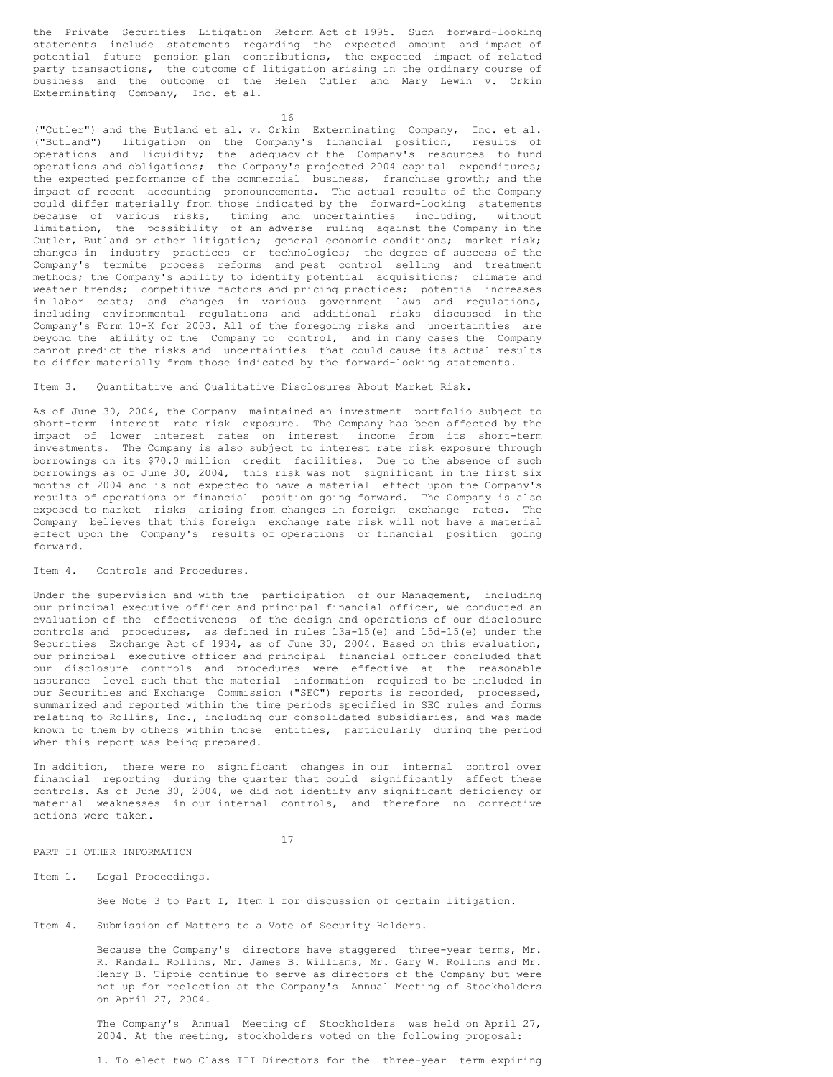the Private Securities Litigation Reform Act of 1995. Such forward-looking statements include statements regarding the expected amount and impact of potential future pension plan contributions, the expected impact of related party transactions, the outcome of litigation arising in the ordinary course of business and the outcome of the Helen Cutler and Mary Lewin v. Orkin Exterminating Company, Inc. et al.

16

("Cutler") and the Butland et al. v. Orkin Exterminating Company, Inc. et al. ("Butland") litigation on the Company's financial position, results of operations and liquidity; the adequacy of the Company's resources to fund operations and obligations; the Company's projected 2004 capital expenditures; the expected performance of the commercial business, franchise growth; and the impact of recent accounting pronouncements. The actual results of the Company could differ materially from those indicated by the forward-looking statements because of various risks, timing and uncertainties including, without limitation, the possibility of an adverse ruling against the Company in the Cutler, Butland or other litigation; general economic conditions; market risk; changes in industry practices or technologies; the degree of success of the Company's termite process reforms and pest control selling and treatment methods; the Company's ability to identify potential acquisitions; climate and weather trends; competitive factors and pricing practices; potential increases in labor costs; and changes in various government laws and regulations, including environmental regulations and additional risks discussed in the Company's Form 10-K for 2003. All of the foregoing risks and uncertainties are beyond the ability of the Company to control, and in many cases the Company cannot predict the risks and uncertainties that could cause its actual results to differ materially from those indicated by the forward-looking statements.

# Item 3. Quantitative and Qualitative Disclosures About Market Risk.

As of June 30, 2004, the Company maintained an investment portfolio subject to short-term interest rate risk exposure. The Company has been affected by the impact of lower interest rates on interest income from its short-term investments. The Company is also subject to interest rate risk exposure through borrowings on its \$70.0 million credit facilities. Due to the absence of such borrowings as of June 30, 2004, this risk was not significant in the first six months of 2004 and is not expected to have a material effect upon the Company's results of operations or financial position going forward. The Company is also exposed to market risks arising from changes in foreign exchange rates. The Company believes that this foreign exchange rate risk will not have a material effect upon the Company's results of operations or financial position going forward.

#### Item 4. Controls and Procedures.

Under the supervision and with the participation of our Management, including our principal executive officer and principal financial officer, we conducted an evaluation of the effectiveness of the design and operations of our disclosure controls and procedures, as defined in rules 13a-15(e) and 15d-15(e) under the Securities Exchange Act of 1934, as of June 30, 2004. Based on this evaluation, our principal executive officer and principal financial officer concluded that our disclosure controls and procedures were effective at the reasonable assurance level such that the material information required to be included in our Securities and Exchange Commission ("SEC") reports is recorded, processed, summarized and reported within the time periods specified in SEC rules and forms relating to Rollins, Inc., including our consolidated subsidiaries, and was made known to them by others within those entities, particularly during the period when this report was being prepared.

In addition, there were no significant changes in our internal control over financial reporting during the quarter that could significantly affect these controls. As of June 30, 2004, we did not identify any significant deficiency or material weaknesses in our internal controls, and therefore no corrective actions were taken.

# 17

PART II OTHER INFORMATION

Item 1. Legal Proceedings.

See Note 3 to Part I, Item 1 for discussion of certain litigation.

## Item 4. Submission of Matters to a Vote of Security Holders.

Because the Company's directors have staggered three-year terms, Mr. R. Randall Rollins, Mr. James B. Williams, Mr. Gary W. Rollins and Mr. Henry B. Tippie continue to serve as directors of the Company but were not up for reelection at the Company's Annual Meeting of Stockholders on April 27, 2004.

The Company's Annual Meeting of Stockholders was held on April 27, 2004. At the meeting, stockholders voted on the following proposal:

1. To elect two Class III Directors for the three-year term expiring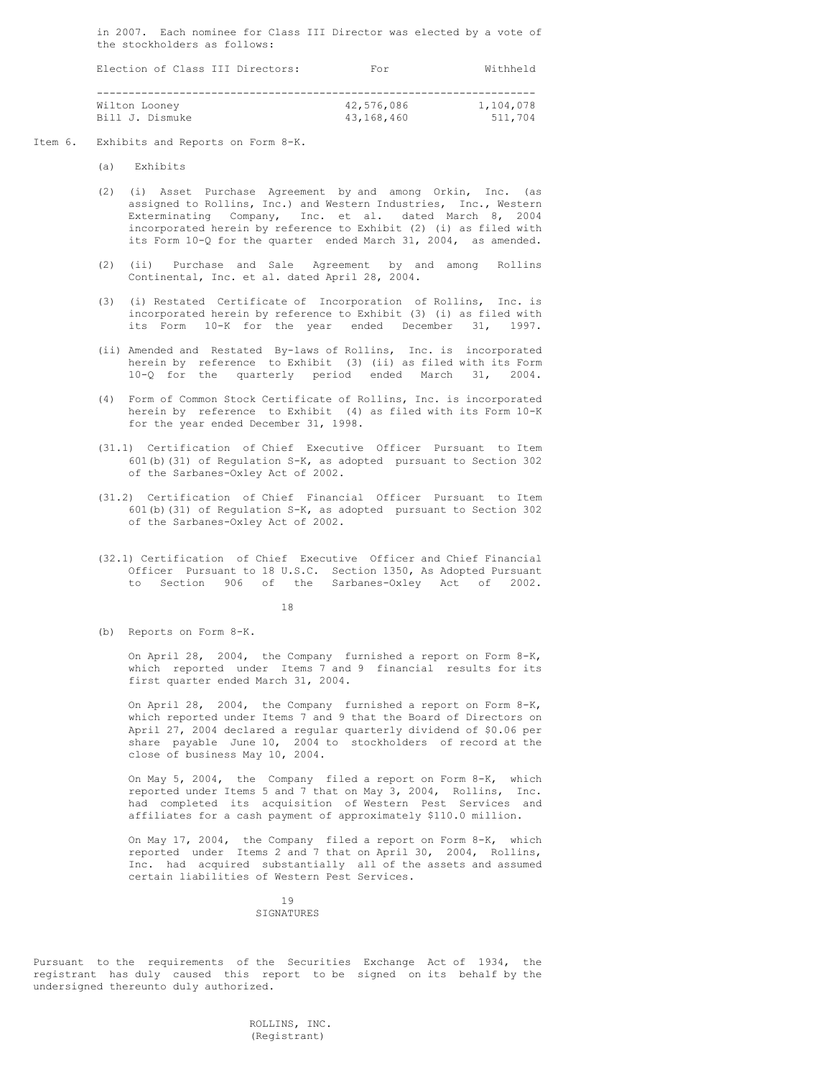in 2007. Each nominee for Class III Director was elected by a vote of the stockholders as follows:

| Election of Class III Directors: | For        | Withheld  |
|----------------------------------|------------|-----------|
|                                  |            |           |
|                                  |            |           |
| Wilton Looney                    | 42,576,086 | 1,104,078 |
| Bill J. Dismuke                  | 43,168,460 | 511.704   |

- Item 6. Exhibits and Reports on Form 8-K.
	- (a) Exhibits
	- (2) (i) Asset Purchase Agreement by and among Orkin, Inc. (as assigned to Rollins, Inc.) and Western Industries, Inc., Western Exterminating Company, Inc. et al. dated March 8, 2004 incorporated herein by reference to Exhibit (2) (i) as filed with its Form 10-Q for the quarter ended March 31, 2004, as amended.
	- (2) (ii) Purchase and Sale Agreement by and among Rollins Continental, Inc. et al. dated April 28, 2004.
	- (3) (i) Restated Certificate of Incorporation of Rollins, Inc. is incorporated herein by reference to Exhibit (3) (i) as filed with its Form 10-K for the year ended December 31, 1997.
	- (ii) Amended and Restated By-laws of Rollins, Inc. is incorporated herein by reference to Exhibit (3) (ii) as filed with its Form 10-Q for the quarterly period ended March 31, 2004.
	- (4) Form of Common Stock Certificate of Rollins, Inc. is incorporated herein by reference to Exhibit (4) as filed with its Form 10-K for the year ended December 31, 1998.
	- (31.1) Certification of Chief Executive Officer Pursuant to Item 601(b)(31) of Regulation S-K, as adopted pursuant to Section 302 of the Sarbanes-Oxley Act of 2002.
	- (31.2) Certification of Chief Financial Officer Pursuant to Item 601(b)(31) of Regulation S-K, as adopted pursuant to Section 302 of the Sarbanes-Oxley Act of 2002.
	- (32.1) Certification of Chief Executive Officer and Chief Financial Officer Pursuant to 18 U.S.C. Section 1350, As Adopted Pursuant to Section 906 of the Sarbanes-Oxley Act of 2002.

18

(b) Reports on Form 8-K.

On April 28, 2004, the Company furnished a report on Form 8-K, which reported under Items 7 and 9 financial results for its first quarter ended March 31, 2004.

On April 28, 2004, the Company furnished a report on Form 8-K, which reported under Items 7 and 9 that the Board of Directors on April 27, 2004 declared a regular quarterly dividend of \$0.06 per share payable June 10, 2004 to stockholders of record at the close of business May 10, 2004.

On May 5, 2004, the Company filed a report on Form 8-K, which reported under Items 5 and 7 that on May 3, 2004, Rollins, Inc. had completed its acquisition of Western Pest Services and affiliates for a cash payment of approximately \$110.0 million.

On May 17, 2004, the Company filed a report on Form 8-K, which reported under Items 2 and 7 that on April 30, 2004, Rollins, Inc. had acquired substantially all of the assets and assumed certain liabilities of Western Pest Services.

> 19 SIGNATURES

Pursuant to the requirements of the Securities Exchange Act of 1934, the registrant has duly caused this report to be signed on its behalf by the undersigned thereunto duly authorized.

> ROLLINS, INC. (Registrant)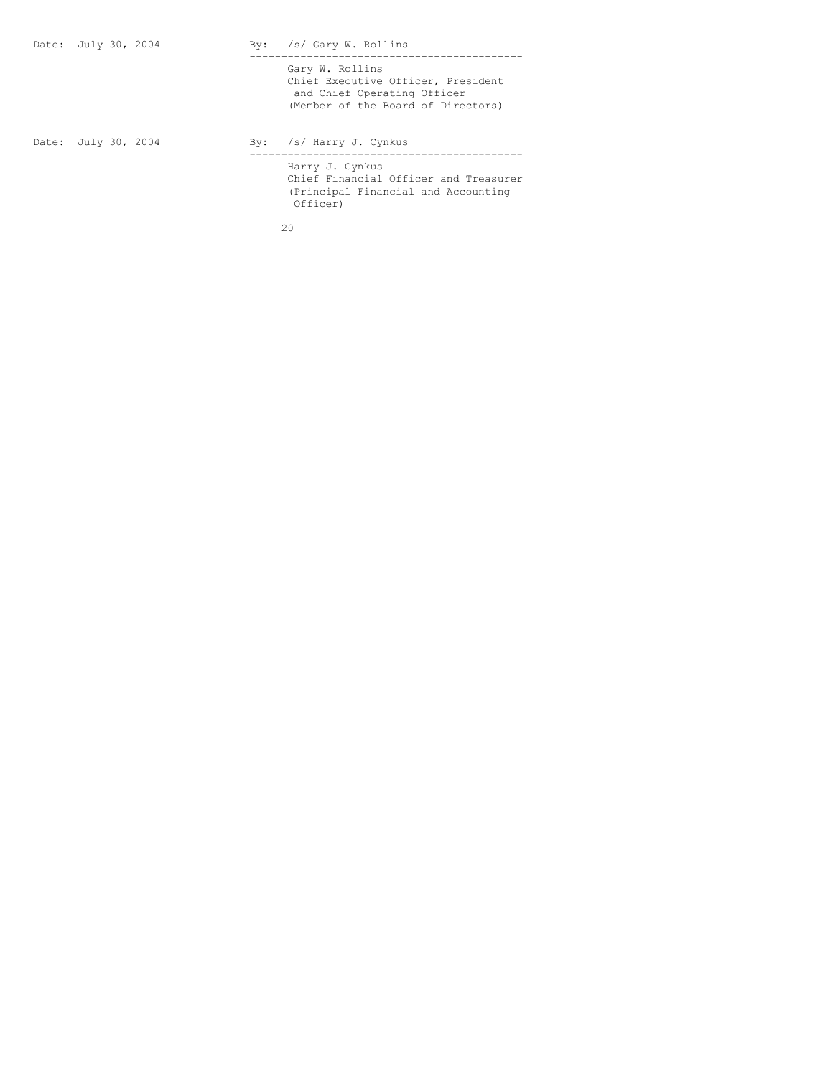| Date: July 30, 2004 |  | By: $/s/$ Gary W. Rollins                                                                                                  |
|---------------------|--|----------------------------------------------------------------------------------------------------------------------------|
|                     |  | Gary W. Rollins<br>Chief Executive Officer, President<br>and Chief Operating Officer<br>(Member of the Board of Directors) |
| Date: July 30, 2004 |  | By: $/s/$ Harry J. Cynkus                                                                                                  |
|                     |  | Harry J. Cynkus<br>Chief Financial Officer and Treasurer<br>(Principal Financial and Accounting<br>Officer)                |

20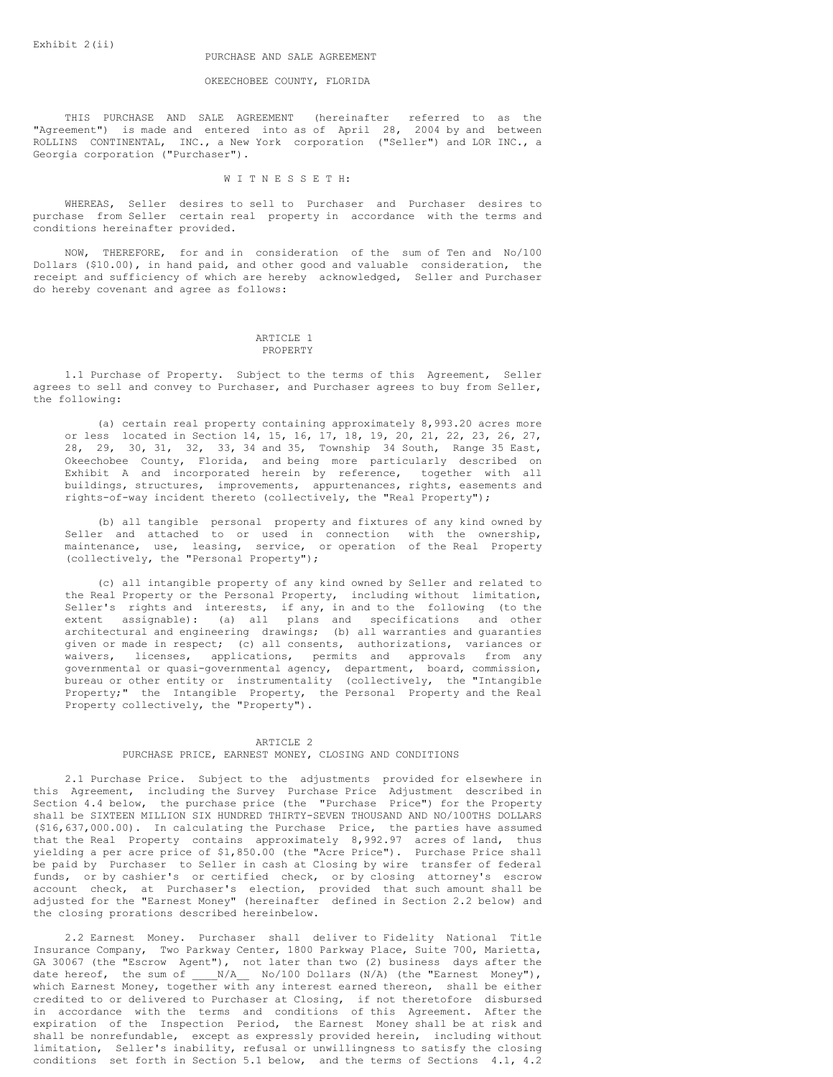#### PURCHASE AND SALE AGREEMENT

#### OKEECHOBEE COUNTY, FLORIDA

THIS PURCHASE AND SALE AGREEMENT (hereinafter referred to as the "Agreement") is made and entered into as of April 28, 2004 by and between ROLLINS CONTINENTAL, INC., a New York corporation ("Seller") and LOR INC., a Georgia corporation ("Purchaser").

#### W I T N E S S E T H:

WHEREAS, Seller desires to sell to Purchaser and Purchaser desires to purchase from Seller certain real property in accordance with the terms and conditions hereinafter provided.

NOW, THEREFORE, for and in consideration of the sum of Ten and No/100 Dollars (\$10.00), in hand paid, and other good and valuable consideration, the receipt and sufficiency of which are hereby acknowledged, Seller and Purchaser do hereby covenant and agree as follows:

#### ARTICLE 1 PROPERTY

1.1 Purchase of Property. Subject to the terms of this Agreement, Seller agrees to sell and convey to Purchaser, and Purchaser agrees to buy from Seller, the following:

(a) certain real property containing approximately 8,993.20 acres more or less located in Section 14, 15, 16, 17, 18, 19, 20, 21, 22, 23, 26, 27, 28, 29, 30, 31, 32, 33, 34 and 35, Township 34 South, Range 35 East, Okeechobee County, Florida, and being more particularly described on Exhibit A and incorporated herein by reference, together with all buildings, structures, improvements, appurtenances, rights, easements and rights-of-way incident thereto (collectively, the "Real Property");

(b) all tangible personal property and fixtures of any kind owned by Seller and attached to or used in connection with the ownership, maintenance, use, leasing, service, or operation of the Real Property (collectively, the "Personal Property");

(c) all intangible property of any kind owned by Seller and related to the Real Property or the Personal Property, including without limitation, Seller's rights and interests, if any, in and to the following (to the extent assignable): (a) all plans and specifications and other architectural and engineering drawings; (b) all warranties and guaranties given or made in respect; (c) all consents, authorizations, variances or waivers, licenses, applications, permits and approvals from any governmental or quasi-governmental agency, department, board, commission, bureau or other entity or instrumentality (collectively, the "Intangible Property;" the Intangible Property, the Personal Property and the Real Property collectively, the "Property").

# ARTICLE 2

# PURCHASE PRICE, EARNEST MONEY, CLOSING AND CONDITIONS

2.1 Purchase Price. Subject to the adjustments provided for elsewhere in this Agreement, including the Survey Purchase Price Adjustment described in Section 4.4 below, the purchase price (the "Purchase Price") for the Property shall be SIXTEEN MILLION SIX HUNDRED THIRTY-SEVEN THOUSAND AND NO/100THS DOLLARS (\$16,637,000.00). In calculating the Purchase Price, the parties have assumed that the Real Property contains approximately 8,992.97 acres of land, thus yielding a per acre price of \$1,850.00 (the "Acre Price"). Purchase Price shall be paid by Purchaser to Seller in cash at Closing by wire transfer of federal funds, or by cashier's or certified check, or by closing attorney's escrow account check, at Purchaser's election, provided that such amount shall be adjusted for the "Earnest Money" (hereinafter defined in Section 2.2 below) and the closing prorations described hereinbelow.

2.2 Earnest Money. Purchaser shall deliver to Fidelity National Title Insurance Company, Two Parkway Center, 1800 Parkway Place, Suite 700, Marietta, GA 30067 (the "Escrow Agent"), not later than two (2) business days after the date hereof, the sum of  $N/A$   $N_0/100$  Dollars (N/A) (the "Earnest Money"), which Earnest Money, together with any interest earned thereon, shall be either credited to or delivered to Purchaser at Closing, if not theretofore disbursed in accordance with the terms and conditions of this Agreement. After the expiration of the Inspection Period, the Earnest Money shall be at risk and shall be nonrefundable, except as expressly provided herein, including without limitation, Seller's inability, refusal or unwillingness to satisfy the closing conditions set forth in Section 5.1 below, and the terms of Sections 4.1, 4.2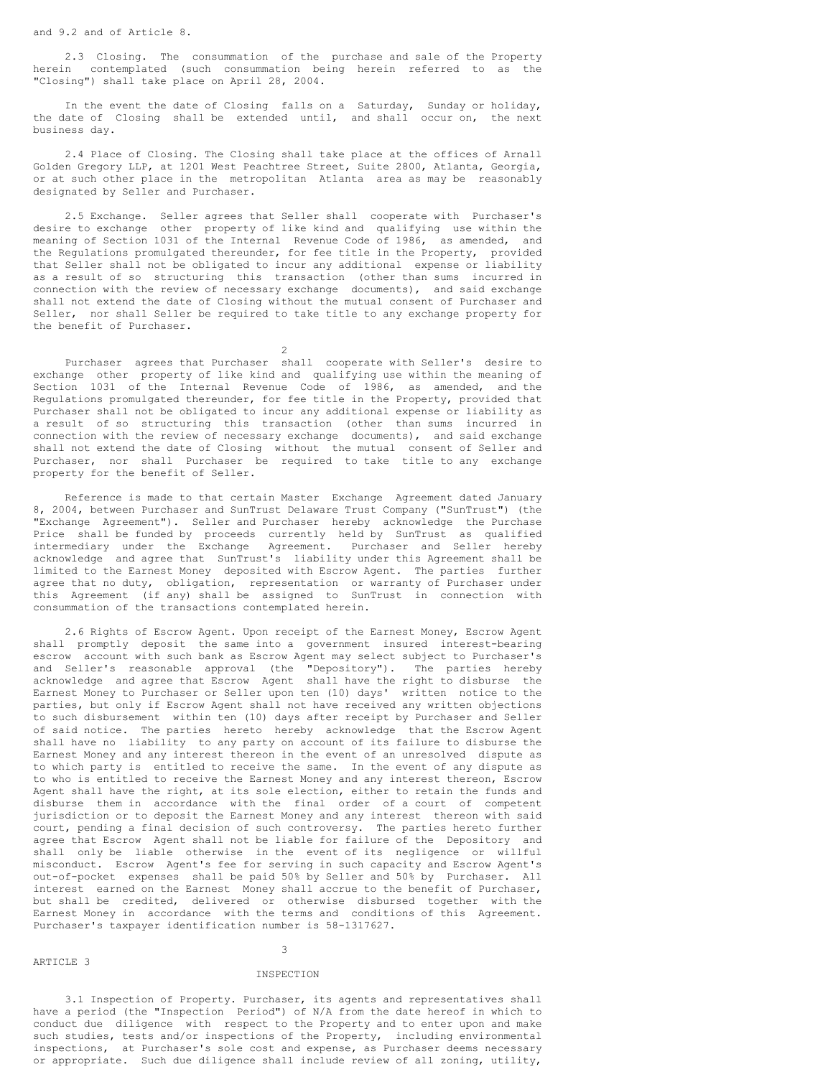and 9.2 and of Article 8.

2.3 Closing. The consummation of the purchase and sale of the Property herein contemplated (such consummation being herein referred to as the "Closing") shall take place on April 28, 2004.

In the event the date of Closing falls on a Saturday, Sunday or holiday, the date of Closing shall be extended until, and shall occur on, the next business day.

2.4 Place of Closing. The Closing shall take place at the offices of Arnall Golden Gregory LLP, at 1201 West Peachtree Street, Suite 2800, Atlanta, Georgia, or at such other place in the metropolitan Atlanta area as may be reasonably designated by Seller and Purchaser.

2.5 Exchange. Seller agrees that Seller shall cooperate with Purchaser's desire to exchange other property of like kind and qualifying use within the meaning of Section 1031 of the Internal Revenue Code of 1986, as amended, and the Regulations promulgated thereunder, for fee title in the Property, provided that Seller shall not be obligated to incur any additional expense or liability as a result of so structuring this transaction (other than sums incurred in connection with the review of necessary exchange documents), and said exchange shall not extend the date of Closing without the mutual consent of Purchaser and Seller, nor shall Seller be required to take title to any exchange property for the benefit of Purchaser.

2

Purchaser agrees that Purchaser shall cooperate with Seller's desire to exchange other property of like kind and qualifying use within the meaning of Section 1031 of the Internal Revenue Code of 1986, as amended, and the Regulations promulgated thereunder, for fee title in the Property, provided that Purchaser shall not be obligated to incur any additional expense or liability as a result of so structuring this transaction (other than sums incurred in connection with the review of necessary exchange documents), and said exchange shall not extend the date of Closing without the mutual consent of Seller and Purchaser, nor shall Purchaser be required to take title to any exchange property for the benefit of Seller.

Reference is made to that certain Master Exchange Agreement dated January 8, 2004, between Purchaser and SunTrust Delaware Trust Company ("SunTrust") (the "Exchange Agreement"). Seller and Purchaser hereby acknowledge the Purchase Price shall be funded by proceeds currently held by SunTrust as qualified intermediary under the Exchange Agreement. Purchaser and Seller hereby acknowledge and agree that SunTrust's liability under this Agreement shall be limited to the Earnest Money deposited with Escrow Agent. The parties further agree that no duty, obligation, representation or warranty of Purchaser under this Agreement (if any) shall be assigned to SunTrust in connection with consummation of the transactions contemplated herein.

2.6 Rights of Escrow Agent. Upon receipt of the Earnest Money, Escrow Agent shall promptly deposit the same into a government insured interest-bearing escrow account with such bank as Escrow Agent may select subject to Purchaser's and Seller's reasonable approval (the "Depository"). The parties hereby acknowledge and agree that Escrow Agent shall have the right to disburse the Earnest Money to Purchaser or Seller upon ten (10) days' written notice to the parties, but only if Escrow Agent shall not have received any written objections to such disbursement within ten (10) days after receipt by Purchaser and Seller of said notice. The parties hereto hereby acknowledge that the Escrow Agent shall have no liability to any party on account of its failure to disburse the Earnest Money and any interest thereon in the event of an unresolved dispute as to which party is entitled to receive the same. In the event of any dispute as to who is entitled to receive the Earnest Money and any interest thereon, Escrow Agent shall have the right, at its sole election, either to retain the funds and disburse them in accordance with the final order of a court of competent jurisdiction or to deposit the Earnest Money and any interest thereon with said court, pending a final decision of such controversy. The parties hereto further agree that Escrow Agent shall not be liable for failure of the Depository and shall only be liable otherwise in the event of its negligence or willful misconduct. Escrow Agent's fee for serving in such capacity and Escrow Agent's out-of-pocket expenses shall be paid 50% by Seller and 50% by Purchaser. All interest earned on the Earnest Money shall accrue to the benefit of Purchaser, but shall be credited, delivered or otherwise disbursed together with the Earnest Money in accordance with the terms and conditions of this Agreement. Purchaser's taxpayer identification number is 58-1317627.

ARTICLE 3

#### INSPECTION

3

3.1 Inspection of Property. Purchaser, its agents and representatives shall have a period (the "Inspection Period") of N/A from the date hereof in which to conduct due diligence with respect to the Property and to enter upon and make such studies, tests and/or inspections of the Property, including environmental inspections, at Purchaser's sole cost and expense, as Purchaser deems necessary or appropriate. Such due diligence shall include review of all zoning, utility,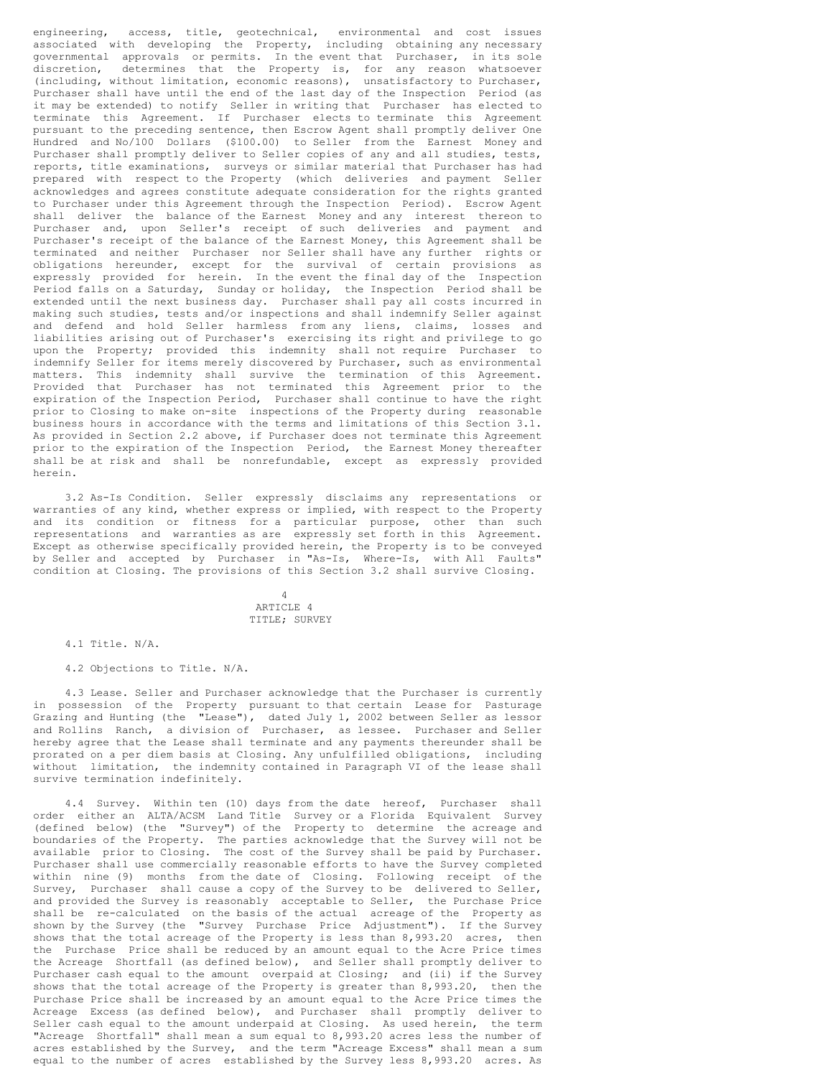engineering, access, title, geotechnical, environmental and cost issues associated with developing the Property, including obtaining any necessary governmental approvals or permits. In the event that Purchaser, in its sole discretion, determines that the Property is, for any reason whatsoever (including, without limitation, economic reasons), unsatisfactory to Purchaser, Purchaser shall have until the end of the last day of the Inspection Period (as it may be extended) to notify Seller in writing that Purchaser has elected to terminate this Agreement. If Purchaser elects to terminate this Agreement pursuant to the preceding sentence, then Escrow Agent shall promptly deliver One Hundred and No/100 Dollars (\$100.00) to Seller from the Earnest Money and Purchaser shall promptly deliver to Seller copies of any and all studies, tests, reports, title examinations, surveys or similar material that Purchaser has had prepared with respect to the Property (which deliveries and payment Seller acknowledges and agrees constitute adequate consideration for the rights granted to Purchaser under this Agreement through the Inspection Period). Escrow Agent shall deliver the balance of the Earnest Money and any interest thereon to Purchaser and, upon Seller's receipt of such deliveries and payment and Purchaser's receipt of the balance of the Earnest Money, this Agreement shall be terminated and neither Purchaser nor Seller shall have any further rights or obligations hereunder, except for the survival of certain provisions as expressly provided for herein. In the event the final day of the Inspection Period falls on a Saturday, Sunday or holiday, the Inspection Period shall be extended until the next business day. Purchaser shall pay all costs incurred in making such studies, tests and/or inspections and shall indemnify Seller against and defend and hold Seller harmless from any liens, claims, losses and liabilities arising out of Purchaser's exercising its right and privilege to go upon the Property; provided this indemnity shall not require Purchaser to indemnify Seller for items merely discovered by Purchaser, such as environmental matters. This indemnity shall survive the termination of this Agreement. Provided that Purchaser has not terminated this Agreement prior to the expiration of the Inspection Period, Purchaser shall continue to have the right prior to Closing to make on-site inspections of the Property during reasonable business hours in accordance with the terms and limitations of this Section 3.1. As provided in Section 2.2 above, if Purchaser does not terminate this Agreement prior to the expiration of the Inspection Period, the Earnest Money thereafter shall be at risk and shall be nonrefundable, except as expressly provided herein.

3.2 As-Is Condition. Seller expressly disclaims any representations or warranties of any kind, whether express or implied, with respect to the Property and its condition or fitness for a particular purpose, other than such representations and warranties as are expressly set forth in this Agreement. Except as otherwise specifically provided herein, the Property is to be conveyed by Seller and accepted by Purchaser in "As-Is, Where-Is, with All Faults" condition at Closing. The provisions of this Section 3.2 shall survive Closing.

> 4 ARTICLE 4 TITLE; SURVEY

4.1 Title. N/A.

4.2 Objections to Title. N/A.

4.3 Lease. Seller and Purchaser acknowledge that the Purchaser is currently in possession of the Property pursuant to that certain Lease for Pasturage Grazing and Hunting (the "Lease"), dated July 1, 2002 between Seller as lessor and Rollins Ranch, a division of Purchaser, as lessee. Purchaser and Seller hereby agree that the Lease shall terminate and any payments thereunder shall be prorated on a per diem basis at Closing. Any unfulfilled obligations, including without limitation, the indemnity contained in Paragraph VI of the lease shall survive termination indefinitely.

4.4 Survey. Within ten (10) days from the date hereof, Purchaser shall order either an ALTA/ACSM Land Title Survey or a Florida Equivalent Survey (defined below) (the "Survey") of the Property to determine the acreage and boundaries of the Property. The parties acknowledge that the Survey will not be available prior to Closing. The cost of the Survey shall be paid by Purchaser. Purchaser shall use commercially reasonable efforts to have the Survey completed within nine (9) months from the date of Closing. Following receipt of the Survey, Purchaser shall cause a copy of the Survey to be delivered to Seller, and provided the Survey is reasonably acceptable to Seller, the Purchase Price shall be re-calculated on the basis of the actual acreage of the Property as shown by the Survey (the "Survey Purchase Price Adjustment"). If the Survey shows that the total acreage of the Property is less than 8,993.20 acres, then the Purchase Price shall be reduced by an amount equal to the Acre Price times the Acreage Shortfall (as defined below), and Seller shall promptly deliver to Purchaser cash equal to the amount overpaid at Closing; and (ii) if the Survey shows that the total acreage of the Property is greater than 8,993.20, then the Purchase Price shall be increased by an amount equal to the Acre Price times the Acreage Excess (as defined below), and Purchaser shall promptly deliver to Seller cash equal to the amount underpaid at Closing. As used herein, the term "Acreage Shortfall" shall mean a sum equal to 8,993.20 acres less the number of acres established by the Survey, and the term "Acreage Excess" shall mean a sum equal to the number of acres established by the Survey less 8,993.20 acres. As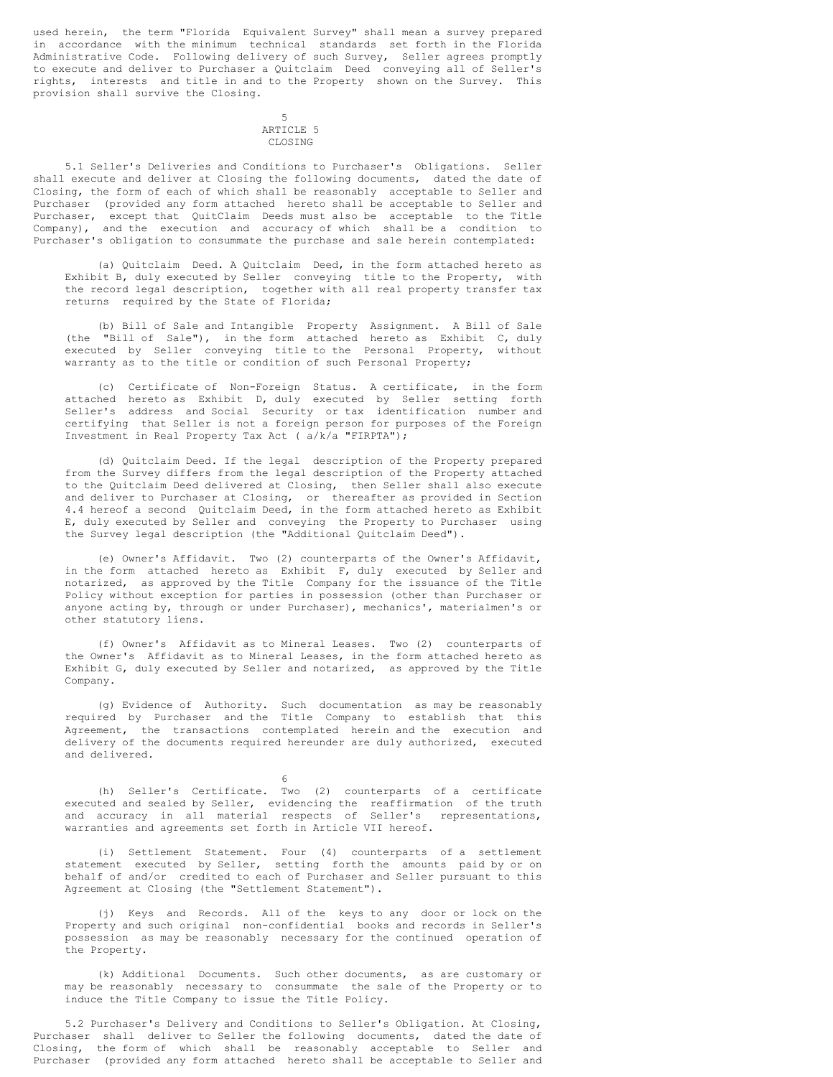used herein, the term "Florida Equivalent Survey" shall mean a survey prepared in accordance with the minimum technical standards set forth in the Florida Administrative Code. Following delivery of such Survey, Seller agrees promptly to execute and deliver to Purchaser a Quitclaim Deed conveying all of Seller's rights, interests and title in and to the Property shown on the Survey. This provision shall survive the Closing.

### 5 ARTICLE 5 CLOSING

5.1 Seller's Deliveries and Conditions to Purchaser's Obligations. Seller shall execute and deliver at Closing the following documents, dated the date of Closing, the form of each of which shall be reasonably acceptable to Seller and Purchaser (provided any form attached hereto shall be acceptable to Seller and Purchaser, except that QuitClaim Deeds must also be acceptable to the Title Company), and the execution and accuracy of which shall be a condition to Purchaser's obligation to consummate the purchase and sale herein contemplated:

(a) Quitclaim Deed. A Quitclaim Deed, in the form attached hereto as Exhibit B, duly executed by Seller conveying title to the Property, with the record legal description, together with all real property transfer tax returns required by the State of Florida;

(b) Bill of Sale and Intangible Property Assignment. A Bill of Sale (the "Bill of Sale"), in the form attached hereto as Exhibit C, duly executed by Seller conveying title to the Personal Property, without warranty as to the title or condition of such Personal Property;

(c) Certificate of Non-Foreign Status. A certificate, in the form attached hereto as Exhibit D, duly executed by Seller setting forth Seller's address and Social Security or tax identification number and certifying that Seller is not a foreign person for purposes of the Foreign Investment in Real Property Tax Act ( a/k/a "FIRPTA");

(d) Quitclaim Deed. If the legal description of the Property prepared from the Survey differs from the legal description of the Property attached to the Quitclaim Deed delivered at Closing, then Seller shall also execute and deliver to Purchaser at Closing, or thereafter as provided in Section 4.4 hereof a second Quitclaim Deed, in the form attached hereto as Exhibit E, duly executed by Seller and conveying the Property to Purchaser using the Survey legal description (the "Additional Quitclaim Deed").

(e) Owner's Affidavit. Two (2) counterparts of the Owner's Affidavit, in the form attached hereto as Exhibit F, duly executed by Seller and notarized, as approved by the Title Company for the issuance of the Title Policy without exception for parties in possession (other than Purchaser or anyone acting by, through or under Purchaser), mechanics', materialmen's or other statutory liens.

(f) Owner's Affidavit as to Mineral Leases. Two (2) counterparts of the Owner's Affidavit as to Mineral Leases, in the form attached hereto as Exhibit G, duly executed by Seller and notarized, as approved by the Title Company.

(g) Evidence of Authority. Such documentation as may be reasonably required by Purchaser and the Title Company to establish that this Agreement, the transactions contemplated herein and the execution and delivery of the documents required hereunder are duly authorized, executed and delivered.

6

(h) Seller's Certificate. Two (2) counterparts of a certificate executed and sealed by Seller, evidencing the reaffirmation of the truth and accuracy in all material respects of Seller's representations, warranties and agreements set forth in Article VII hereof.

(i) Settlement Statement. Four (4) counterparts of a settlement statement executed by Seller, setting forth the amounts paid by or on behalf of and/or credited to each of Purchaser and Seller pursuant to this Agreement at Closing (the "Settlement Statement").

(j) Keys and Records. All of the keys to any door or lock on the Property and such original non-confidential books and records in Seller's possession as may be reasonably necessary for the continued operation of the Property.

(k) Additional Documents. Such other documents, as are customary or may be reasonably necessary to consummate the sale of the Property or to induce the Title Company to issue the Title Policy.

5.2 Purchaser's Delivery and Conditions to Seller's Obligation. At Closing, Purchaser shall deliver to Seller the following documents, dated the date of Closing, the form of which shall be reasonably acceptable to Seller and Purchaser (provided any form attached hereto shall be acceptable to Seller and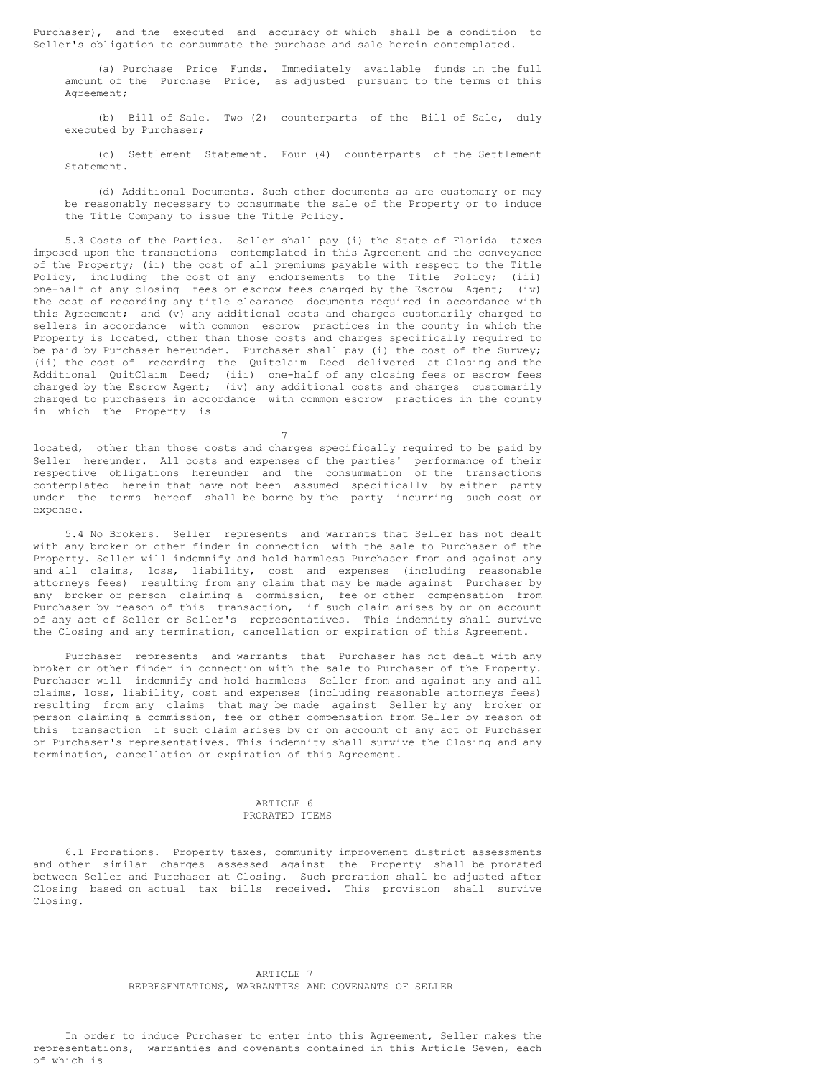Purchaser), and the executed and accuracy of which shall be a condition to Seller's obligation to consummate the purchase and sale herein contemplated.

(a) Purchase Price Funds. Immediately available funds in the full amount of the Purchase Price, as adjusted pursuant to the terms of this Agreement;

(b) Bill of Sale. Two (2) counterparts of the Bill of Sale, duly executed by Purchaser;

(c) Settlement Statement. Four (4) counterparts of the Settlement Statement.

(d) Additional Documents. Such other documents as are customary or may be reasonably necessary to consummate the sale of the Property or to induce the Title Company to issue the Title Policy.

5.3 Costs of the Parties. Seller shall pay (i) the State of Florida taxes imposed upon the transactions contemplated in this Agreement and the conveyance of the Property; (ii) the cost of all premiums payable with respect to the Title Policy, including the cost of any endorsements to the Title Policy; (iii) one-half of any closing fees or escrow fees charged by the Escrow Agent; (iv) the cost of recording any title clearance documents required in accordance with this Agreement; and (v) any additional costs and charges customarily charged to sellers in accordance with common escrow practices in the county in which the Property is located, other than those costs and charges specifically required to be paid by Purchaser hereunder. Purchaser shall pay (i) the cost of the Survey; (ii) the cost of recording the Quitclaim Deed delivered at Closing and the Additional QuitClaim Deed; (iii) one-half of any closing fees or escrow fees charged by the Escrow Agent; (iv) any additional costs and charges customarily charged to purchasers in accordance with common escrow practices in the county in which the Property is

7 located, other than those costs and charges specifically required to be paid by Seller hereunder. All costs and expenses of the parties' performance of their respective obligations hereunder and the consummation of the transactions contemplated herein that have not been assumed specifically by either party under the terms hereof shall be borne by the party incurring such cost or expense.

5.4 No Brokers. Seller represents and warrants that Seller has not dealt with any broker or other finder in connection with the sale to Purchaser of the Property. Seller will indemnify and hold harmless Purchaser from and against any and all claims, loss, liability, cost and expenses (including reasonable attorneys fees) resulting from any claim that may be made against Purchaser by any broker or person claiming a commission, fee or other compensation from Purchaser by reason of this transaction, if such claim arises by or on account of any act of Seller or Seller's representatives. This indemnity shall survive the Closing and any termination, cancellation or expiration of this Agreement.

Purchaser represents and warrants that Purchaser has not dealt with any broker or other finder in connection with the sale to Purchaser of the Property. Purchaser will indemnify and hold harmless Seller from and against any and all claims, loss, liability, cost and expenses (including reasonable attorneys fees) resulting from any claims that may be made against Seller by any broker or person claiming a commission, fee or other compensation from Seller by reason of this transaction if such claim arises by or on account of any act of Purchaser or Purchaser's representatives. This indemnity shall survive the Closing and any termination, cancellation or expiration of this Agreement.

#### ARTICLE 6 PRORATED ITEMS

6.1 Prorations. Property taxes, community improvement district assessments and other similar charges assessed against the Property shall be prorated between Seller and Purchaser at Closing. Such proration shall be adjusted after Closing based on actual tax bills received. This provision shall survive Closing.

# ARTICLE 7 REPRESENTATIONS, WARRANTIES AND COVENANTS OF SELLER

In order to induce Purchaser to enter into this Agreement, Seller makes the representations, warranties and covenants contained in this Article Seven, each of which is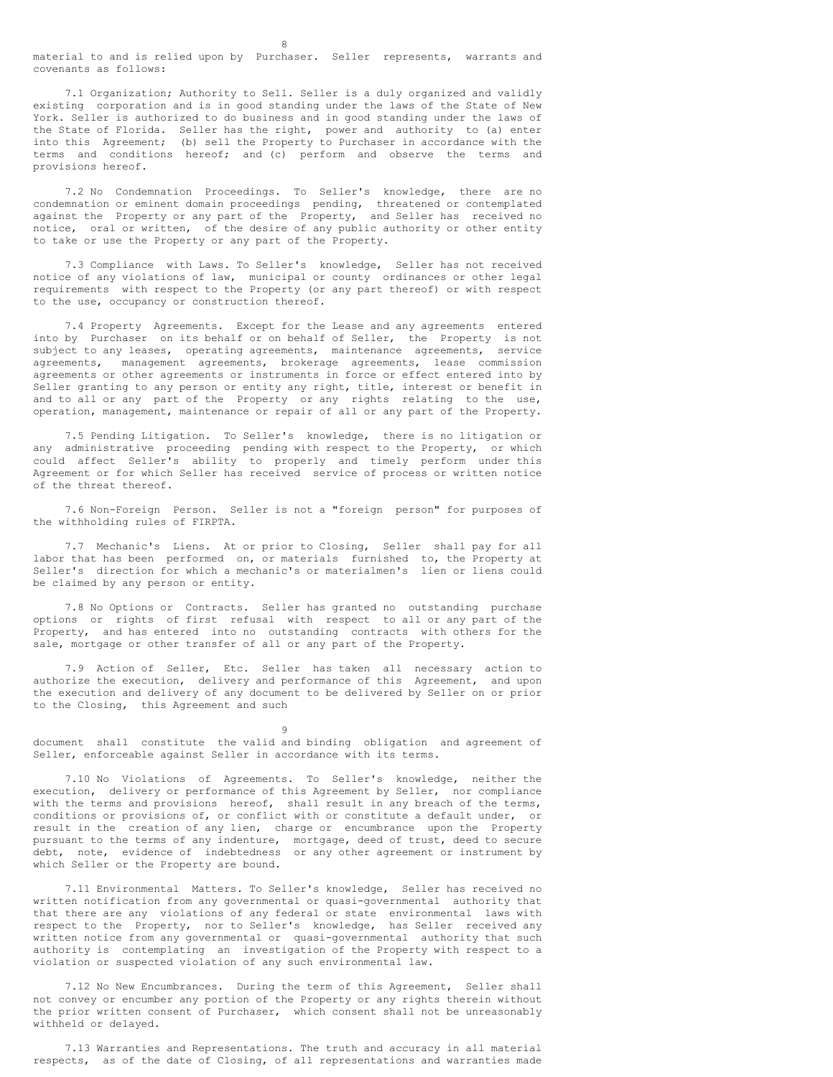material to and is relied upon by Purchaser. Seller represents, warrants and covenants as follows:

7.1 Organization; Authority to Sell. Seller is a duly organized and validly existing corporation and is in good standing under the laws of the State of New York. Seller is authorized to do business and in good standing under the laws of the State of Florida. Seller has the right, power and authority to (a) enter into this Agreement; (b) sell the Property to Purchaser in accordance with the terms and conditions hereof; and (c) perform and observe the terms and provisions hereof.

7.2 No Condemnation Proceedings. To Seller's knowledge, there are no condemnation or eminent domain proceedings pending, threatened or contemplated against the Property or any part of the Property, and Seller has received no notice, oral or written, of the desire of any public authority or other entity to take or use the Property or any part of the Property.

7.3 Compliance with Laws. To Seller's knowledge, Seller has not received notice of any violations of law, municipal or county ordinances or other legal requirements with respect to the Property (or any part thereof) or with respect to the use, occupancy or construction thereof.

7.4 Property Agreements. Except for the Lease and any agreements entered into by Purchaser on its behalf or on behalf of Seller, the Property is not subject to any leases, operating agreements, maintenance agreements, service agreements, management agreements, brokerage agreements, lease commission agreements or other agreements or instruments in force or effect entered into by Seller granting to any person or entity any right, title, interest or benefit in and to all or any part of the Property or any rights relating to the use, operation, management, maintenance or repair of all or any part of the Property.

7.5 Pending Litigation. To Seller's knowledge, there is no litigation or any administrative proceeding pending with respect to the Property, or which could affect Seller's ability to properly and timely perform under this Agreement or for which Seller has received service of process or written notice of the threat thereof.

7.6 Non-Foreign Person. Seller is not a "foreign person" for purposes of the withholding rules of FIRPTA.

7.7 Mechanic's Liens. At or prior to Closing, Seller shall pay for all labor that has been performed on, or materials furnished to, the Property at Seller's direction for which a mechanic's or materialmen's lien or liens could be claimed by any person or entity.

7.8 No Options or Contracts. Seller has granted no outstanding purchase options or rights of first refusal with respect to all or any part of the Property, and has entered into no outstanding contracts with others for the sale, mortgage or other transfer of all or any part of the Property.

7.9 Action of Seller, Etc. Seller has taken all necessary action to authorize the execution, delivery and performance of this Agreement, and upon the execution and delivery of any document to be delivered by Seller on or prior to the Closing, this Agreement and such

9

document shall constitute the valid and binding obligation and agreement of Seller, enforceable against Seller in accordance with its terms.

7.10 No Violations of Agreements. To Seller's knowledge, neither the execution, delivery or performance of this Agreement by Seller, nor compliance with the terms and provisions hereof, shall result in any breach of the terms, conditions or provisions of, or conflict with or constitute a default under, or result in the creation of any lien, charge or encumbrance upon the Property pursuant to the terms of any indenture, mortgage, deed of trust, deed to secure debt, note, evidence of indebtedness or any other agreement or instrument by which Seller or the Property are bound.

7.11 Environmental Matters. To Seller's knowledge, Seller has received no written notification from any governmental or quasi-governmental authority that that there are any violations of any federal or state environmental laws with respect to the Property, nor to Seller's knowledge, has Seller received any written notice from any governmental or quasi-governmental authority that such authority is contemplating an investigation of the Property with respect to a violation or suspected violation of any such environmental law.

7.12 No New Encumbrances. During the term of this Agreement, Seller shall not convey or encumber any portion of the Property or any rights therein without the prior written consent of Purchaser, which consent shall not be unreasonably withheld or delayed.

7.13 Warranties and Representations. The truth and accuracy in all material respects, as of the date of Closing, of all representations and warranties made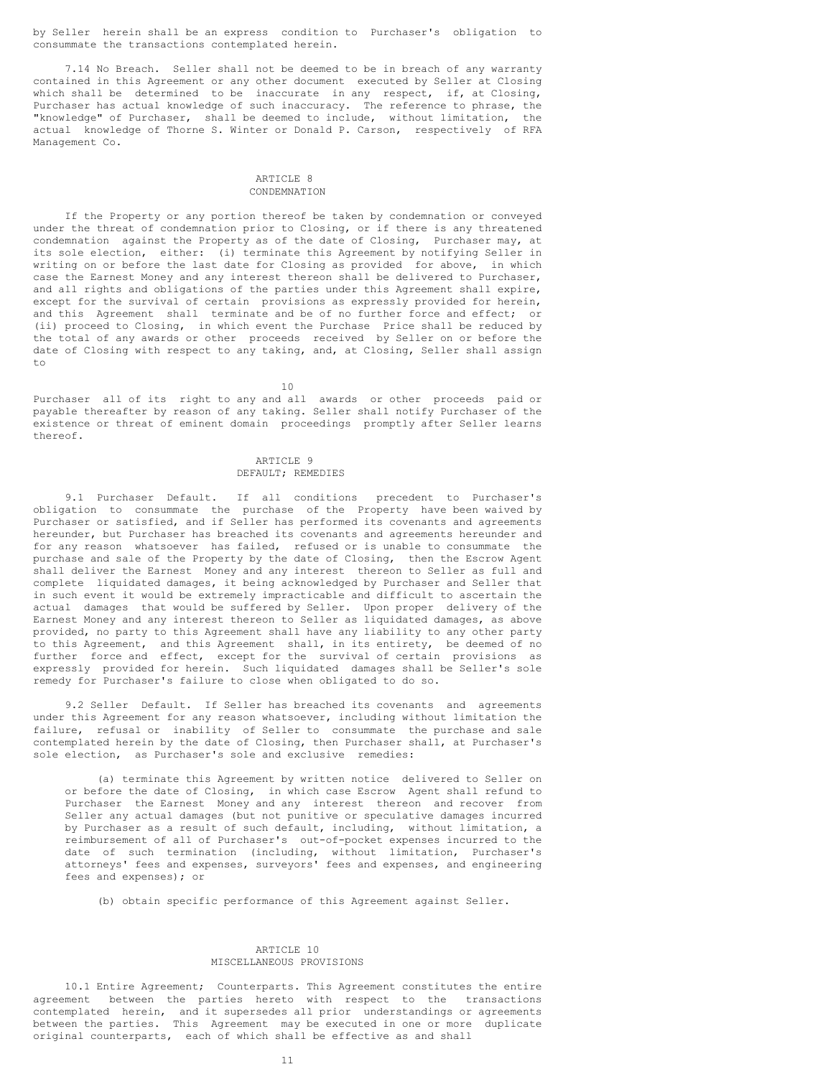by Seller herein shall be an express condition to Purchaser's obligation to consummate the transactions contemplated herein.

7.14 No Breach. Seller shall not be deemed to be in breach of any warranty contained in this Agreement or any other document executed by Seller at Closing which shall be determined to be inaccurate in any respect, if, at Closing, Purchaser has actual knowledge of such inaccuracy. The reference to phrase, the "knowledge" of Purchaser, shall be deemed to include, without limitation, the actual knowledge of Thorne S. Winter or Donald P. Carson, respectively of RFA Management Co.

# ARTICLE 8 CONDEMNATION

If the Property or any portion thereof be taken by condemnation or conveyed under the threat of condemnation prior to Closing, or if there is any threatened condemnation against the Property as of the date of Closing, Purchaser may, at its sole election, either: (i) terminate this Agreement by notifying Seller in writing on or before the last date for Closing as provided for above, in which case the Earnest Money and any interest thereon shall be delivered to Purchaser, and all rights and obligations of the parties under this Agreement shall expire, except for the survival of certain provisions as expressly provided for herein, and this Agreement shall terminate and be of no further force and effect; or (ii) proceed to Closing, in which event the Purchase Price shall be reduced by the total of any awards or other proceeds received by Seller on or before the date of Closing with respect to any taking, and, at Closing, Seller shall assign to

10

Purchaser all of its right to any and all awards or other proceeds paid or payable thereafter by reason of any taking. Seller shall notify Purchaser of the existence or threat of eminent domain proceedings promptly after Seller learns thereof.

# ARTICLE 9 DEFAULT; REMEDIES

9.1 Purchaser Default. If all conditions precedent to Purchaser's obligation to consummate the purchase of the Property have been waived by Purchaser or satisfied, and if Seller has performed its covenants and agreements hereunder, but Purchaser has breached its covenants and agreements hereunder and for any reason whatsoever has failed, refused or is unable to consummate the purchase and sale of the Property by the date of Closing, then the Escrow Agent shall deliver the Earnest Money and any interest thereon to Seller as full and complete liquidated damages, it being acknowledged by Purchaser and Seller that in such event it would be extremely impracticable and difficult to ascertain the actual damages that would be suffered by Seller. Upon proper delivery of the Earnest Money and any interest thereon to Seller as liquidated damages, as above provided, no party to this Agreement shall have any liability to any other party to this Agreement, and this Agreement shall, in its entirety, be deemed of no further force and effect, except for the survival of certain provisions as expressly provided for herein. Such liquidated damages shall be Seller's sole remedy for Purchaser's failure to close when obligated to do so.

9.2 Seller Default. If Seller has breached its covenants and agreements under this Agreement for any reason whatsoever, including without limitation the failure, refusal or inability of Seller to consummate the purchase and sale contemplated herein by the date of Closing, then Purchaser shall, at Purchaser's sole election, as Purchaser's sole and exclusive remedies:

(a) terminate this Agreement by written notice delivered to Seller on or before the date of Closing, in which case Escrow Agent shall refund to Purchaser the Earnest Money and any interest thereon and recover from Seller any actual damages (but not punitive or speculative damages incurred by Purchaser as a result of such default, including, without limitation, a reimbursement of all of Purchaser's out-of-pocket expenses incurred to the date of such termination (including, without limitation, Purchaser's attorneys' fees and expenses, surveyors' fees and expenses, and engineering fees and expenses); or

(b) obtain specific performance of this Agreement against Seller.

# ARTICLE 10 MISCELLANEOUS PROVISIONS

10.1 Entire Agreement; Counterparts. This Agreement constitutes the entire agreement between the parties hereto with respect to the transactions contemplated herein, and it supersedes all prior understandings or agreements between the parties. This Agreement may be executed in one or more duplicate original counterparts, each of which shall be effective as and shall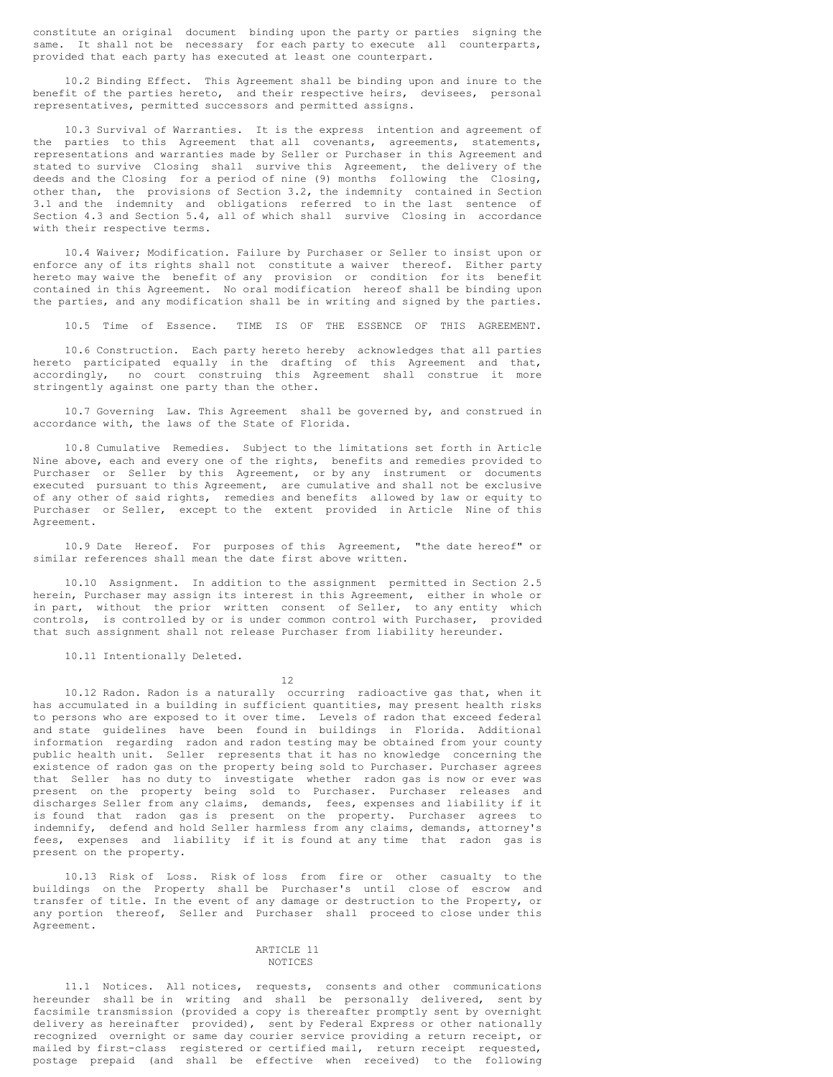constitute an original document binding upon the party or parties signing the same. It shall not be necessary for each party to execute all counterparts, provided that each party has executed at least one counterpart.

10.2 Binding Effect. This Agreement shall be binding upon and inure to the benefit of the parties hereto, and their respective heirs, devisees, personal representatives, permitted successors and permitted assigns.

10.3 Survival of Warranties. It is the express intention and agreement of the parties to this Agreement that all covenants, agreements, statements, representations and warranties made by Seller or Purchaser in this Agreement and stated to survive Closing shall survive this Agreement, the delivery of the deeds and the Closing for a period of nine (9) months following the Closing, other than, the provisions of Section 3.2, the indemnity contained in Section 3.1 and the indemnity and obligations referred to in the last sentence of Section 4.3 and Section 5.4, all of which shall survive Closing in accordance with their respective terms.

10.4 Waiver; Modification. Failure by Purchaser or Seller to insist upon or enforce any of its rights shall not constitute a waiver thereof. Either party hereto may waive the benefit of any provision or condition for its benefit contained in this Agreement. No oral modification hereof shall be binding upon the parties, and any modification shall be in writing and signed by the parties.

10.5 Time of Essence. TIME IS OF THE ESSENCE OF THIS AGREEMENT.

10.6 Construction. Each party hereto hereby acknowledges that all parties hereto participated equally in the drafting of this Agreement and that, accordingly, no court construing this Agreement shall construe it more stringently against one party than the other.

10.7 Governing Law. This Agreement shall be governed by, and construed in accordance with, the laws of the State of Florida.

10.8 Cumulative Remedies. Subject to the limitations set forth in Article Nine above, each and every one of the rights, benefits and remedies provided to Purchaser or Seller by this Agreement, or by any instrument or documents executed pursuant to this Agreement, are cumulative and shall not be exclusive of any other of said rights, remedies and benefits allowed by law or equity to Purchaser or Seller, except to the extent provided in Article Nine of this Agreement.

10.9 Date Hereof. For purposes of this Agreement, "the date hereof" or similar references shall mean the date first above written.

10.10 Assignment. In addition to the assignment permitted in Section 2.5 herein, Purchaser may assign its interest in this Agreement, either in whole or in part, without the prior written consent of Seller, to any entity which controls, is controlled by or is under common control with Purchaser, provided that such assignment shall not release Purchaser from liability hereunder.

10.11 Intentionally Deleted.

12

10.12 Radon. Radon is a naturally occurring radioactive gas that, when it has accumulated in a building in sufficient quantities, may present health risks to persons who are exposed to it over time. Levels of radon that exceed federal and state guidelines have been found in buildings in Florida. Additional information regarding radon and radon testing may be obtained from your county public health unit. Seller represents that it has no knowledge concerning the existence of radon gas on the property being sold to Purchaser. Purchaser agrees that Seller has no duty to investigate whether radon gas is now or ever was present on the property being sold to Purchaser. Purchaser releases and discharges Seller from any claims, demands, fees, expenses and liability if it is found that radon gas is present on the property. Purchaser agrees to indemnify, defend and hold Seller harmless from any claims, demands, attorney's fees, expenses and liability if it is found at any time that radon gas is present on the property.

10.13 Risk of Loss. Risk of loss from fire or other casualty to the buildings on the Property shall be Purchaser's until close of escrow and transfer of title. In the event of any damage or destruction to the Property, or any portion thereof, Seller and Purchaser shall proceed to close under this Agreement.

#### ARTICLE 11 NOTICES

11.1 Notices. All notices, requests, consents and other communications hereunder shall be in writing and shall be personally delivered, sent by facsimile transmission (provided a copy is thereafter promptly sent by overnight delivery as hereinafter provided), sent by Federal Express or other nationally recognized overnight or same day courier service providing a return receipt, or mailed by first-class registered or certified mail, return receipt requested, postage prepaid (and shall be effective when received) to the following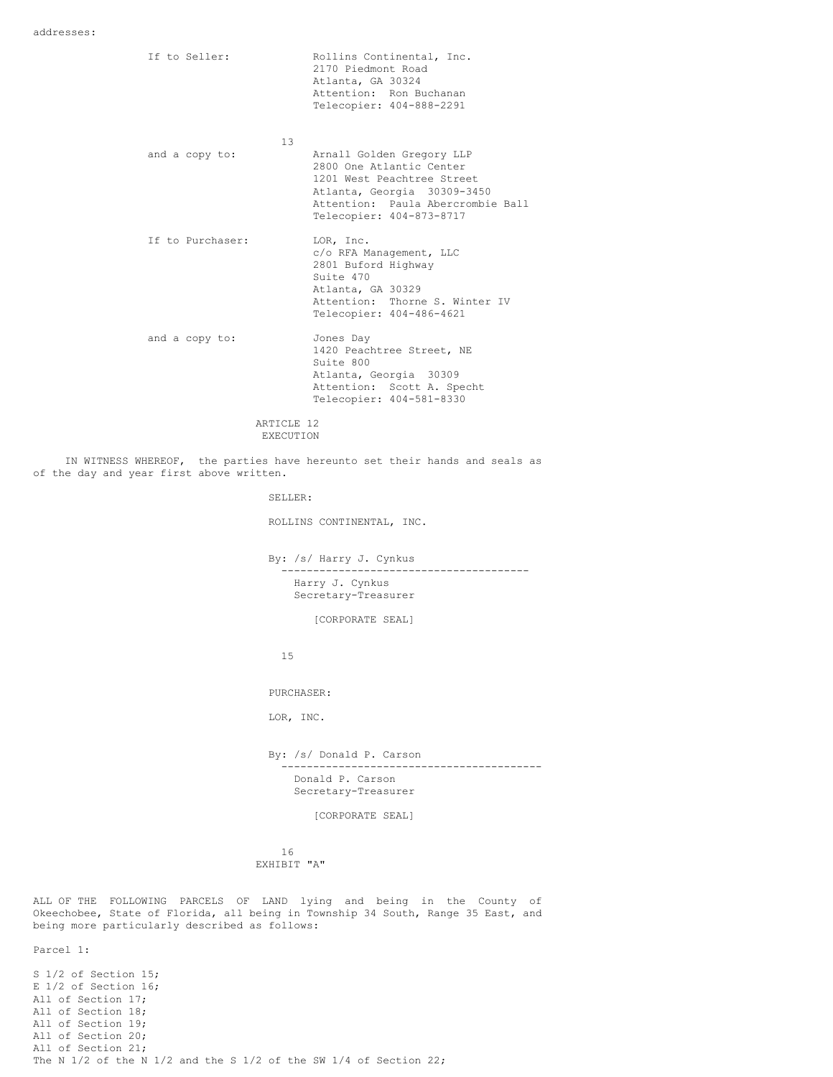If to Seller: Rollins Continental, Inc. 2170 Piedmont Road Atlanta, GA 30324 Attention: Ron Buchanan Telecopier: 404-888-2291 13 and a copy to: Arnall Golden Gregory LLP 2800 One Atlantic Center 1201 West Peachtree Street Atlanta, Georgia 30309-3450 Attention: Paula Abercrombie Ball Telecopier: 404-873-8717 If to Purchaser: LOR, Inc. c/o RFA Management, LLC 2801 Buford Highway Suite 470 Atlanta, GA 30329 Attention: Thorne S. Winter IV Telecopier: 404-486-4621 and a copy to: Jones Day 1420 Peachtree Street, NE Suite 800 Atlanta, Georgia 30309 Attention: Scott A. Specht Telecopier: 404-581-8330 ARTICLE 12 EXECUTION IN WITNESS WHEREOF, the parties have hereunto set their hands and seals as of the day and year first above written. SELLER: ROLLINS CONTINENTAL, INC. By: /s/ Harry J. Cynkus --------------------------------------- Harry J. Cynkus Secretary-Treasurer [CORPORATE SEAL] 15 PURCHASER: LOR, INC. By: /s/ Donald P. Carson ----------------------------------------- Donald P. Carson Secretary-Treasurer [CORPORATE SEAL] 16 EXHIBIT "A" ALL OF THE FOLLOWING PARCELS OF LAND lying and being in the County of Okeechobee, State of Florida, all being in Township 34 South, Range 35 East, and being more particularly described as follows:

Parcel 1:

S 1/2 of Section 15; E 1/2 of Section 16; All of Section 17; All of Section 18; All of Section 19; All of Section 20; All of Section 21; The N 1/2 of the N 1/2 and the S 1/2 of the SW 1/4 of Section 22;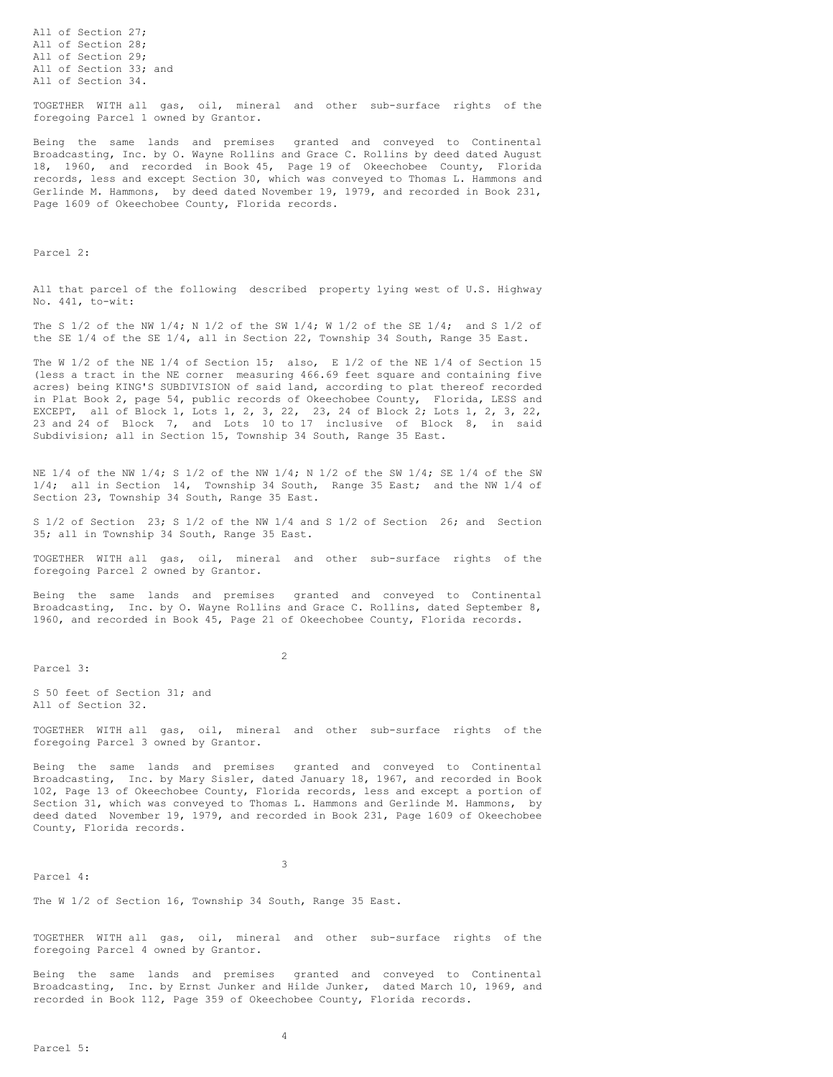All of Section 27; All of Section 28; All of Section 29; All of Section 33; and All of Section 34.

TOGETHER WITH all gas, oil, mineral and other sub-surface rights of the foregoing Parcel 1 owned by Grantor.

Being the same lands and premises granted and conveyed to Continental Broadcasting, Inc. by O. Wayne Rollins and Grace C. Rollins by deed dated August 18, 1960, and recorded in Book 45, Page 19 of Okeechobee County, Florida records, less and except Section 30, which was conveyed to Thomas L. Hammons and Gerlinde M. Hammons, by deed dated November 19, 1979, and recorded in Book 231, Page 1609 of Okeechobee County, Florida records.

Parcel 2:

All that parcel of the following described property lying west of U.S. Highway No. 441, to-wit:

The S 1/2 of the NW 1/4; N 1/2 of the SW 1/4; W 1/2 of the SE 1/4; and S 1/2 of the SE 1/4 of the SE 1/4, all in Section 22, Township 34 South, Range 35 East.

The W 1/2 of the NE 1/4 of Section 15; also, E 1/2 of the NE 1/4 of Section 15 (less a tract in the NE corner measuring 466.69 feet square and containing five acres) being KING'S SUBDIVISION of said land, according to plat thereof recorded in Plat Book 2, page 54, public records of Okeechobee County, Florida, LESS and EXCEPT, all of Block 1, Lots 1, 2, 3, 22, 23, 24 of Block 2; Lots 1, 2, 3, 22, 23 and 24 of Block 7, and Lots 10 to 17 inclusive of Block 8, in said Subdivision; all in Section 15, Township 34 South, Range 35 East.

NE 1/4 of the NW 1/4; S 1/2 of the NW 1/4; N 1/2 of the SW 1/4; SE 1/4 of the SW 1/4; all in Section 14, Township 34 South, Range 35 East; and the NW 1/4 of Section 23, Township 34 South, Range 35 East.

S 1/2 of Section 23; S 1/2 of the NW 1/4 and S 1/2 of Section 26; and Section 35; all in Township 34 South, Range 35 East.

TOGETHER WITH all gas, oil, mineral and other sub-surface rights of the foregoing Parcel 2 owned by Grantor.

Being the same lands and premises granted and conveyed to Continental Broadcasting, Inc. by O. Wayne Rollins and Grace C. Rollins, dated September 8, 1960, and recorded in Book 45, Page 21 of Okeechobee County, Florida records.

Parcel 3:

 $\overline{2}$ 

S 50 feet of Section 31; and All of Section 32.

TOGETHER WITH all gas, oil, mineral and other sub-surface rights of the foregoing Parcel 3 owned by Grantor.

Being the same lands and premises granted and conveyed to Continental Broadcasting, Inc. by Mary Sisler, dated January 18, 1967, and recorded in Book 102, Page 13 of Okeechobee County, Florida records, less and except a portion of Section 31, which was conveyed to Thomas L. Hammons and Gerlinde M. Hammons, by deed dated November 19, 1979, and recorded in Book 231, Page 1609 of Okeechobee County, Florida records.

3

Parcel 4:

The W 1/2 of Section 16, Township 34 South, Range 35 East.

TOGETHER WITH all gas, oil, mineral and other sub-surface rights of the foregoing Parcel 4 owned by Grantor.

Being the same lands and premises granted and conveyed to Continental Broadcasting, Inc. by Ernst Junker and Hilde Junker, dated March 10, 1969, and recorded in Book 112, Page 359 of Okeechobee County, Florida records.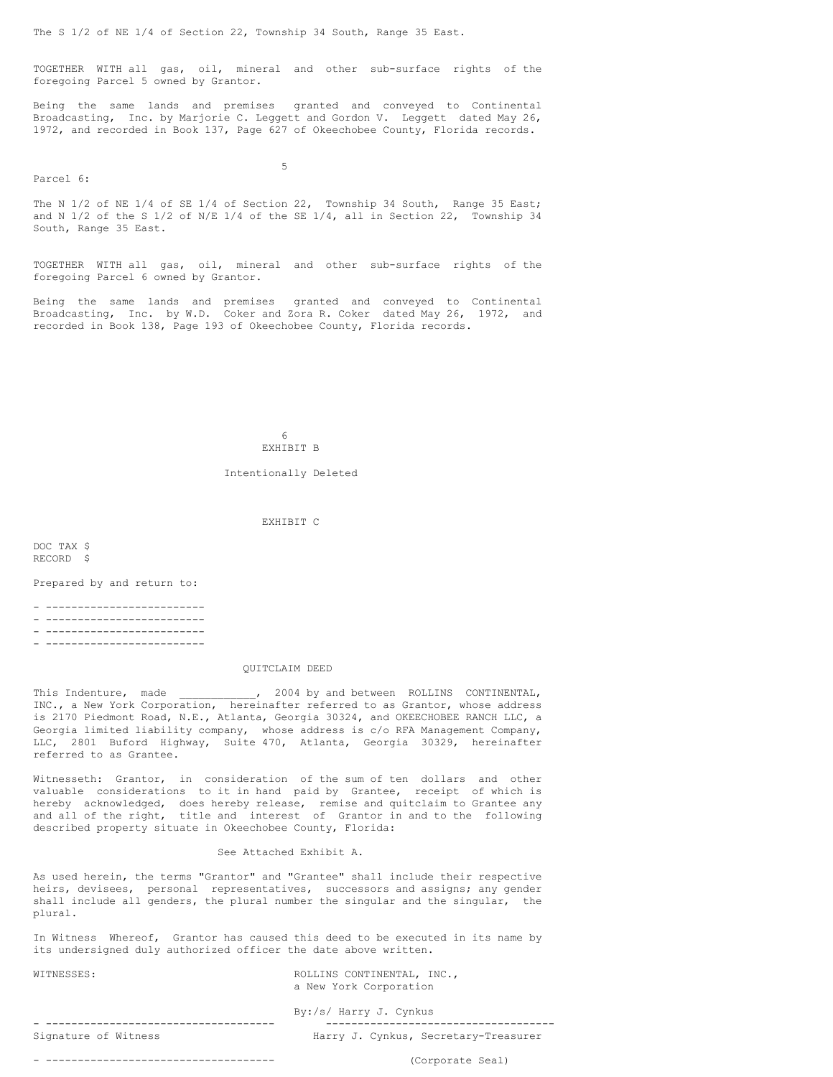The S 1/2 of NE 1/4 of Section 22, Township 34 South, Range 35 East.

TOGETHER WITH all gas, oil, mineral and other sub-surface rights of the foregoing Parcel 5 owned by Grantor.

Being the same lands and premises granted and conveyed to Continental Broadcasting, Inc. by Marjorie C. Leggett and Gordon V. Leggett dated May 26, 1972, and recorded in Book 137, Page 627 of Okeechobee County, Florida records.

5

Parcel 6:

The N 1/2 of NE 1/4 of SE 1/4 of Section 22, Township 34 South, Range 35 East; and N  $1/2$  of the S  $1/2$  of N/E  $1/4$  of the SE  $1/4$ , all in Section 22, Township 34 South, Range 35 East.

TOGETHER WITH all gas, oil, mineral and other sub-surface rights of the foregoing Parcel 6 owned by Grantor.

Being the same lands and premises granted and conveyed to Continental Broadcasting, Inc. by W.D. Coker and Zora R. Coker dated May 26, 1972, and recorded in Book 138, Page 193 of Okeechobee County, Florida records.

> 6 EXHIBIT B

Intentionally Deleted

EXHIBIT C

DOC TAX \$ RECORD \$

Prepared by and return to:

. <u>------------------------</u>-- ------------------------- - ------------------------- - -------------------------

#### QUITCLAIM DEED

This Indenture, made  $\qquad \qquad$ , 2004 by and between ROLLINS CONTINENTAL, INC., a New York Corporation, hereinafter referred to as Grantor, whose address is 2170 Piedmont Road, N.E., Atlanta, Georgia 30324, and OKEECHOBEE RANCH LLC, a Georgia limited liability company, whose address is c/o RFA Management Company, LLC, 2801 Buford Highway, Suite 470, Atlanta, Georgia 30329, hereinafter referred to as Grantee.

Witnesseth: Grantor, in consideration of the sum of ten dollars and other valuable considerations to it in hand paid by Grantee, receipt of which is hereby acknowledged, does hereby release, remise and quitclaim to Grantee any and all of the right, title and interest of Grantor in and to the following described property situate in Okeechobee County, Florida:

#### See Attached Exhibit A.

As used herein, the terms "Grantor" and "Grantee" shall include their respective heirs, devisees, personal representatives, successors and assigns; any gender shall include all genders, the plural number the singular and the singular, the plural.

In Witness Whereof, Grantor has caused this deed to be executed in its name by its undersigned duly authorized officer the date above written.

WITNESSES: ROLLINS CONTINENTAL, INC., a New York Corporation

By:/s/ Harry J. Cynkus - ------------------------------------ ------------------------------------

Signature of Witness The Harry J. Cynkus, Secretary-Treasurer

- ------------------------------------ (Corporate Seal)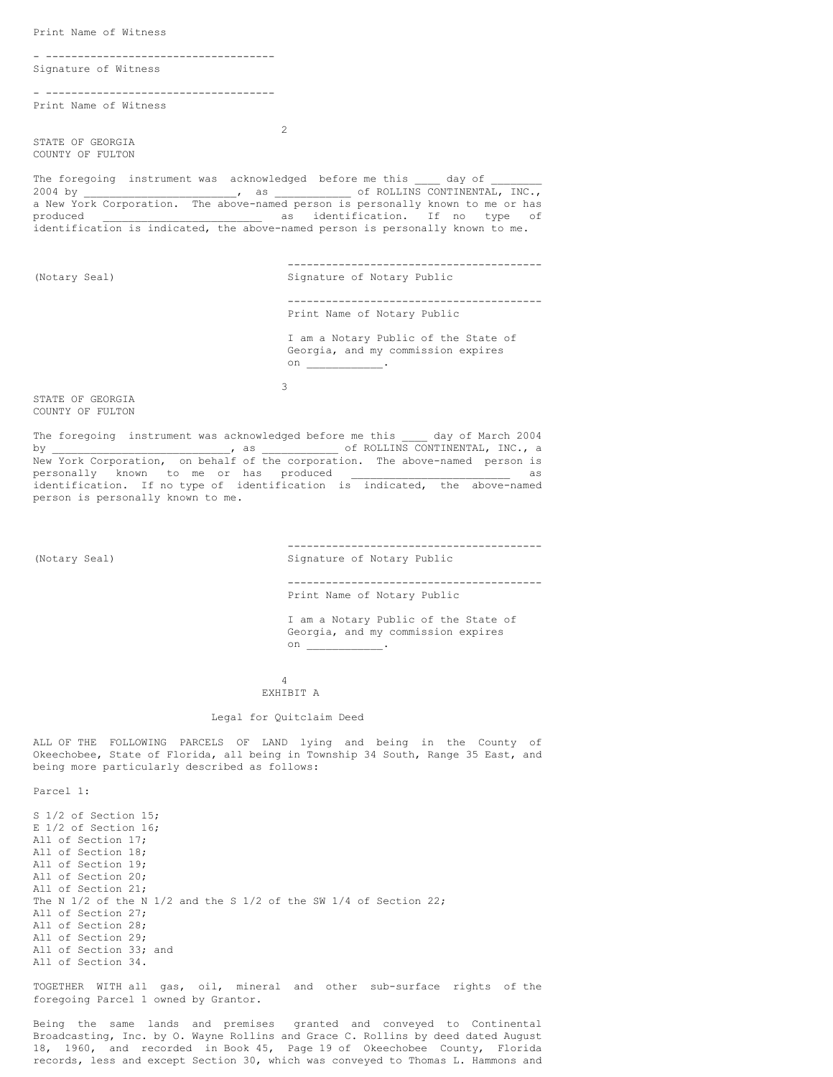- ------------------------------------ Signature of Witness - ------------------------------------ Print Name of Witness 2 STATE OF GEORGIA COUNTY OF FULTON The foregoing instrument was acknowledged before me this \_\_\_\_ day of 2004 by \_\_\_\_\_\_\_\_\_\_\_\_\_\_\_\_\_\_\_\_\_\_\_\_, as \_\_\_\_\_\_\_\_\_\_\_\_ of ROLLINS CONTINENTAL, INC., a New York Corporation. The above-named person is personally known to me or has produced as identification. If no type of as identification. If no type of identification is indicated, the above-named person is personally known to me. ---------------------------------------- (Notary Seal) Signature of Notary Public ---------------------------------------- Print Name of Notary Public I am a Notary Public of the State of Georgia, and my commission expires on  $\qquad$ . 3 STATE OF GEORGIA COUNTY OF FULTON The foregoing instrument was acknowledged before me this \_\_\_\_ day of March 2004 by \_\_\_\_\_\_\_\_\_\_\_\_\_\_\_\_\_\_\_\_\_\_\_\_\_\_\_\_, as \_\_\_\_\_\_\_\_\_\_\_\_ of ROLLINS CONTINENTAL, INC., a

New York Corporation, on behalf of the corporation. The above-named person is personally known to me or has produced as identification. If no type of identification is indicated, the above-named person is personally known to me.

Print Name of Witness

---------------------------------------- (Notary Seal) Signature of Notary Public

> ---------------------------------------- Print Name of Notary Public

I am a Notary Public of the State of Georgia, and my commission expires on  $\qquad$ 

4 EXHIBIT A

### Legal for Quitclaim Deed

ALL OF THE FOLLOWING PARCELS OF LAND lying and being in the County of Okeechobee, State of Florida, all being in Township 34 South, Range 35 East, and being more particularly described as follows:

Parcel 1:

S 1/2 of Section 15; E 1/2 of Section 16; All of Section 17; All of Section 18; All of Section 19; All of Section 20; All of Section 21; The N  $1/2$  of the N  $1/2$  and the S  $1/2$  of the SW  $1/4$  of Section 22; All of Section 27; All of Section 28; All of Section 29; All of Section 33; and All of Section 34.

TOGETHER WITH all gas, oil, mineral and other sub-surface rights of the foregoing Parcel 1 owned by Grantor.

Being the same lands and premises granted and conveyed to Continental Broadcasting, Inc. by O. Wayne Rollins and Grace C. Rollins by deed dated August 18, 1960, and recorded in Book 45, Page 19 of Okeechobee County, Florida records, less and except Section 30, which was conveyed to Thomas L. Hammons and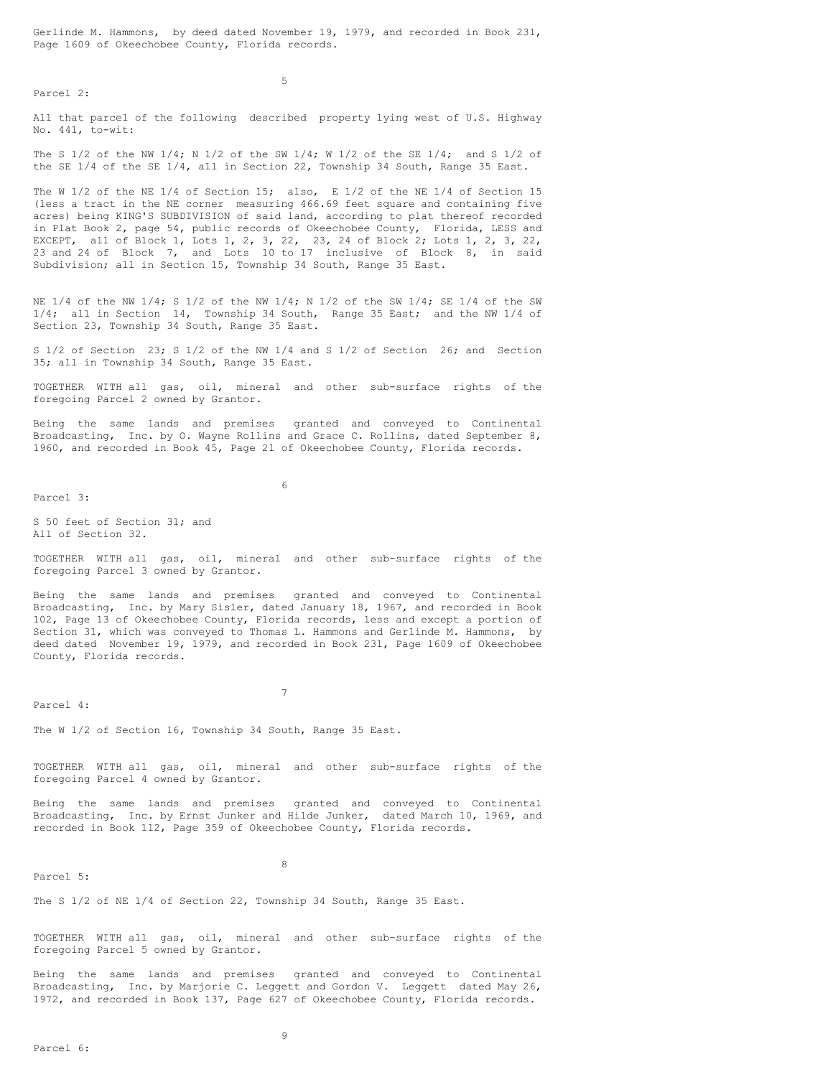Gerlinde M. Hammons, by deed dated November 19, 1979, and recorded in Book 231, Page 1609 of Okeechobee County, Florida records.

Parcel 2:

All that parcel of the following described property lying west of U.S. Highway No. 441, to-wit:

The S 1/2 of the NW 1/4; N 1/2 of the SW 1/4; W 1/2 of the SE 1/4; and S 1/2 of the SE 1/4 of the SE 1/4, all in Section 22, Township 34 South, Range 35 East.

The W 1/2 of the NE 1/4 of Section 15; also, E 1/2 of the NE 1/4 of Section 15 (less a tract in the NE corner measuring 466.69 feet square and containing five acres) being KING'S SUBDIVISION of said land, according to plat thereof recorded in Plat Book 2, page 54, public records of Okeechobee County, Florida, LESS and EXCEPT, all of Block 1, Lots 1, 2, 3, 22, 23, 24 of Block 2; Lots 1, 2, 3, 22, 23 and 24 of Block 7, and Lots 10 to 17 inclusive of Block 8, in said Subdivision; all in Section 15, Township 34 South, Range 35 East.

NE 1/4 of the NW 1/4; S 1/2 of the NW 1/4; N 1/2 of the SW 1/4; SE 1/4 of the SW 1/4; all in Section 14, Township 34 South, Range 35 East; and the NW 1/4 of Section 23, Township 34 South, Range 35 East.

S 1/2 of Section 23; S 1/2 of the NW 1/4 and S 1/2 of Section 26; and Section 35; all in Township 34 South, Range 35 East.

TOGETHER WITH all gas, oil, mineral and other sub-surface rights of the foregoing Parcel 2 owned by Grantor.

Being the same lands and premises granted and conveyed to Continental Broadcasting, Inc. by O. Wayne Rollins and Grace C. Rollins, dated September 8, 1960, and recorded in Book 45, Page 21 of Okeechobee County, Florida records.

Parcel 3:

6

S 50 feet of Section 31; and All of Section 32.

TOGETHER WITH all gas, oil, mineral and other sub-surface rights of the foregoing Parcel 3 owned by Grantor.

Being the same lands and premises granted and conveyed to Continental Broadcasting, Inc. by Mary Sisler, dated January 18, 1967, and recorded in Book 102, Page 13 of Okeechobee County, Florida records, less and except a portion of Section 31, which was conveyed to Thomas L. Hammons and Gerlinde M. Hammons, by deed dated November 19, 1979, and recorded in Book 231, Page 1609 of Okeechobee County, Florida records.

Parcel 4:

7

The W 1/2 of Section 16, Township 34 South, Range 35 East.

TOGETHER WITH all gas, oil, mineral and other sub-surface rights of the foregoing Parcel 4 owned by Grantor.

Being the same lands and premises granted and conveyed to Continental Broadcasting, Inc. by Ernst Junker and Hilde Junker, dated March 10, 1969, and recorded in Book 112, Page 359 of Okeechobee County, Florida records.

8

Parcel 5:

The S 1/2 of NE 1/4 of Section 22, Township 34 South, Range 35 East.

TOGETHER WITH all gas, oil, mineral and other sub-surface rights of the foregoing Parcel 5 owned by Grantor.

Being the same lands and premises granted and conveyed to Continental Broadcasting, Inc. by Marjorie C. Leggett and Gordon V. Leggett dated May 26, 1972, and recorded in Book 137, Page 627 of Okeechobee County, Florida records.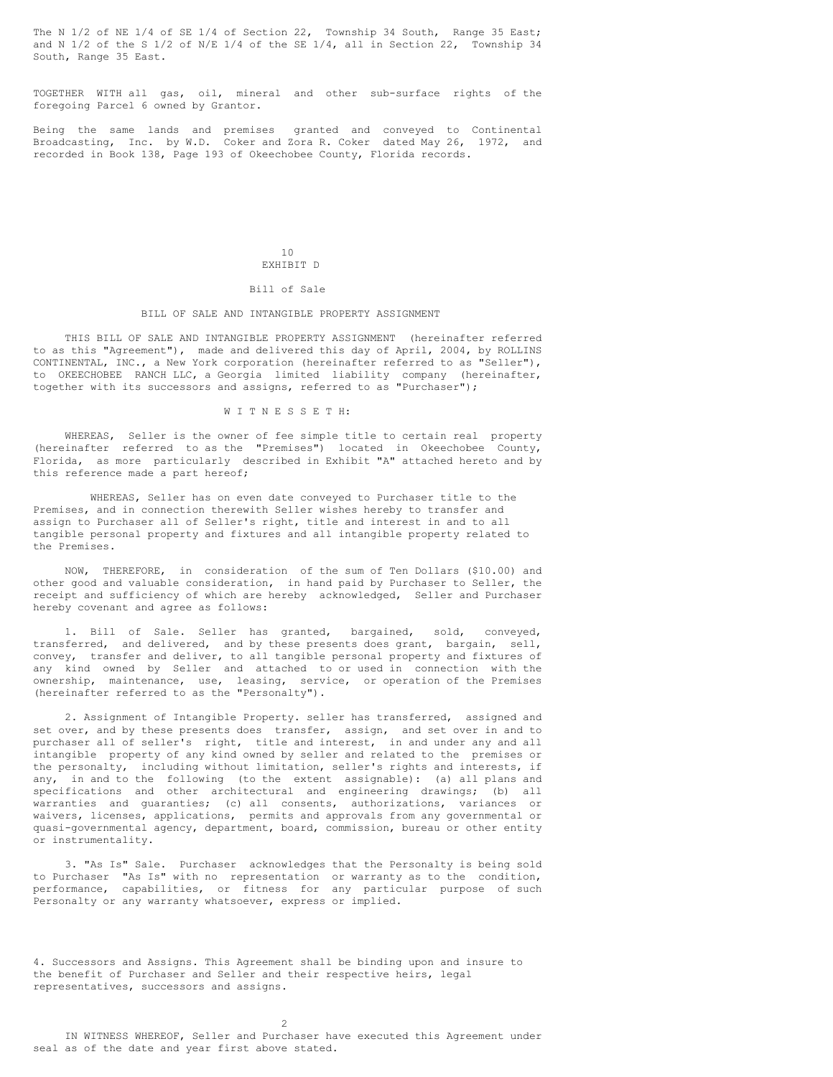The N 1/2 of NE 1/4 of SE 1/4 of Section 22, Township 34 South, Range 35 East; and N  $1/2$  of the S  $1/2$  of N/E  $1/4$  of the SE  $1/4$ , all in Section 22, Township 34 South, Range 35 East.

TOGETHER WITH all gas, oil, mineral and other sub-surface rights of the foregoing Parcel 6 owned by Grantor.

Being the same lands and premises granted and conveyed to Continental Broadcasting, Inc. by W.D. Coker and Zora R. Coker dated May 26, 1972, and recorded in Book 138, Page 193 of Okeechobee County, Florida records.

### 10 EXHIBIT D

#### Bill of Sale

# BILL OF SALE AND INTANGIBLE PROPERTY ASSIGNMENT

THIS BILL OF SALE AND INTANGIBLE PROPERTY ASSIGNMENT (hereinafter referred to as this "Agreement"), made and delivered this day of April, 2004, by ROLLINS CONTINENTAL, INC., a New York corporation (hereinafter referred to as "Seller"), to OKEECHOBEE RANCH LLC, a Georgia limited liability company (hereinafter, together with its successors and assigns, referred to as "Purchaser");

#### W I T N E S S E T H:

WHEREAS, Seller is the owner of fee simple title to certain real property (hereinafter referred to as the "Premises") located in Okeechobee County, Florida, as more particularly described in Exhibit "A" attached hereto and by this reference made a part hereof;

WHEREAS, Seller has on even date conveyed to Purchaser title to the Premises, and in connection therewith Seller wishes hereby to transfer and assign to Purchaser all of Seller's right, title and interest in and to all tangible personal property and fixtures and all intangible property related to the Premises.

NOW, THEREFORE, in consideration of the sum of Ten Dollars (\$10.00) and other good and valuable consideration, in hand paid by Purchaser to Seller, the receipt and sufficiency of which are hereby acknowledged, Seller and Purchaser hereby covenant and agree as follows:

1. Bill of Sale. Seller has granted, bargained, sold, conveyed, transferred, and delivered, and by these presents does grant, bargain, sell, convey, transfer and deliver, to all tangible personal property and fixtures of any kind owned by Seller and attached to or used in connection with the ownership, maintenance, use, leasing, service, or operation of the Premises (hereinafter referred to as the "Personalty").

2. Assignment of Intangible Property. seller has transferred, assigned and set over, and by these presents does transfer, assign, and set over in and to purchaser all of seller's right, title and interest, in and under any and all intangible property of any kind owned by seller and related to the premises or the personalty, including without limitation, seller's rights and interests, if any, in and to the following (to the extent assignable): (a) all plans and specifications and other architectural and engineering drawings; (b) all warranties and guaranties; (c) all consents, authorizations, variances or waivers, licenses, applications, permits and approvals from any governmental or quasi-governmental agency, department, board, commission, bureau or other entity or instrumentality.

3. "As Is" Sale. Purchaser acknowledges that the Personalty is being sold to Purchaser "As Is" with no representation or warranty as to the condition, performance, capabilities, or fitness for any particular purpose of such Personalty or any warranty whatsoever, express or implied.

4. Successors and Assigns. This Agreement shall be binding upon and insure to the benefit of Purchaser and Seller and their respective heirs, legal representatives, successors and assigns.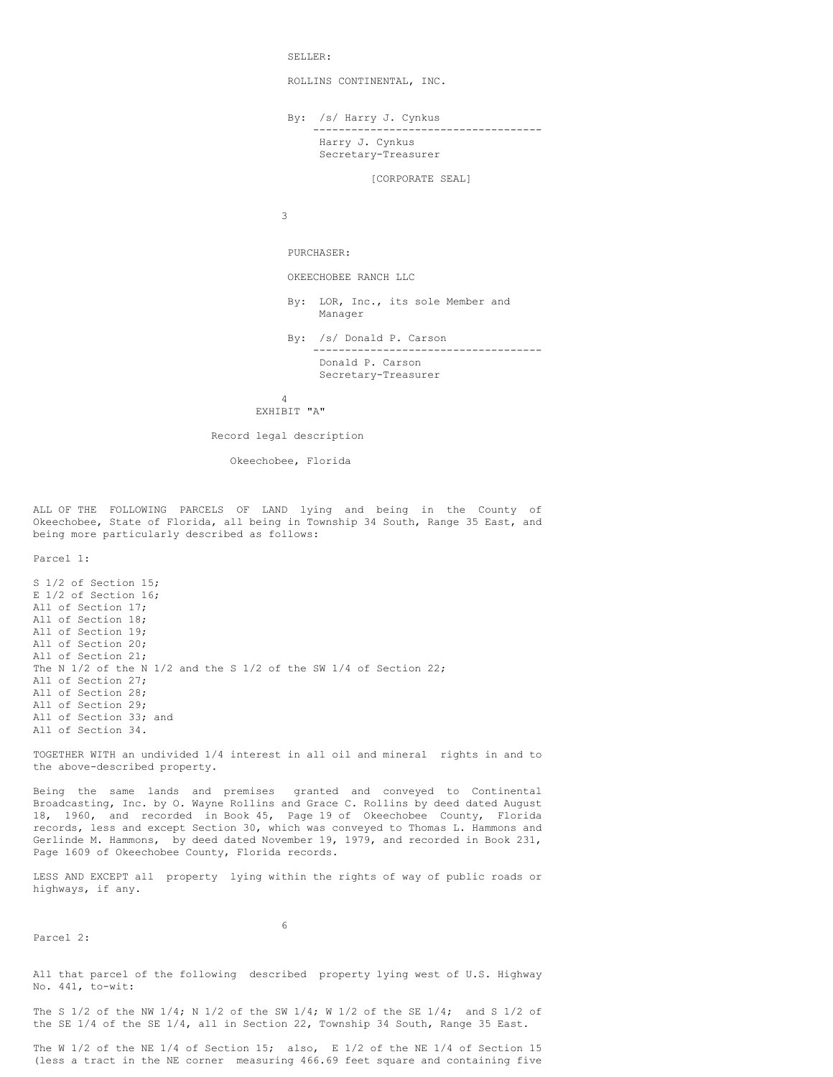```
SELLER:
            ROLLINS CONTINENTAL, INC.
            By: /s/ Harry J. Cynkus
                 ------------------------------------
                Harry J. Cynkus
                 Secretary-Treasurer
                         [CORPORATE SEAL]
           3
            PURCHASER:
            OKEECHOBEE RANCH LLC
            By: LOR, Inc., its sole Member and
                 Manager
            By: /s/ Donald P. Carson
                 ------------------------------------
                Donald P. Carson
                Secretary-Treasurer
           4
       EXHIBIT "A"
Record legal description
```
Okeechobee, Florida

ALL OF THE FOLLOWING PARCELS OF LAND lying and being in the County of Okeechobee, State of Florida, all being in Township 34 South, Range 35 East, and being more particularly described as follows:

Parcel 1:

S 1/2 of Section 15; E 1/2 of Section 16; All of Section 17; All of Section 18; All of Section 19; All of Section 20; All of Section 21; The N  $1/2$  of the N  $1/2$  and the S  $1/2$  of the SW  $1/4$  of Section 22; All of Section 27; All of Section 28; All of Section 29; All of Section 33; and All of Section 34.

TOGETHER WITH an undivided 1/4 interest in all oil and mineral rights in and to the above-described property.

Being the same lands and premises granted and conveyed to Continental Broadcasting, Inc. by O. Wayne Rollins and Grace C. Rollins by deed dated August 18, 1960, and recorded in Book 45, Page 19 of Okeechobee County, Florida records, less and except Section 30, which was conveyed to Thomas L. Hammons and Gerlinde M. Hammons, by deed dated November 19, 1979, and recorded in Book 231, Page 1609 of Okeechobee County, Florida records.

LESS AND EXCEPT all property lying within the rights of way of public roads or highways, if any.

Parcel 2:

6

All that parcel of the following described property lying west of U.S. Highway No. 441, to-wit:

The S 1/2 of the NW 1/4; N 1/2 of the SW 1/4; W 1/2 of the SE 1/4; and S 1/2 of the SE 1/4 of the SE 1/4, all in Section 22, Township 34 South, Range 35 East.

The W 1/2 of the NE 1/4 of Section 15; also, E 1/2 of the NE 1/4 of Section 15 (less a tract in the NE corner measuring 466.69 feet square and containing five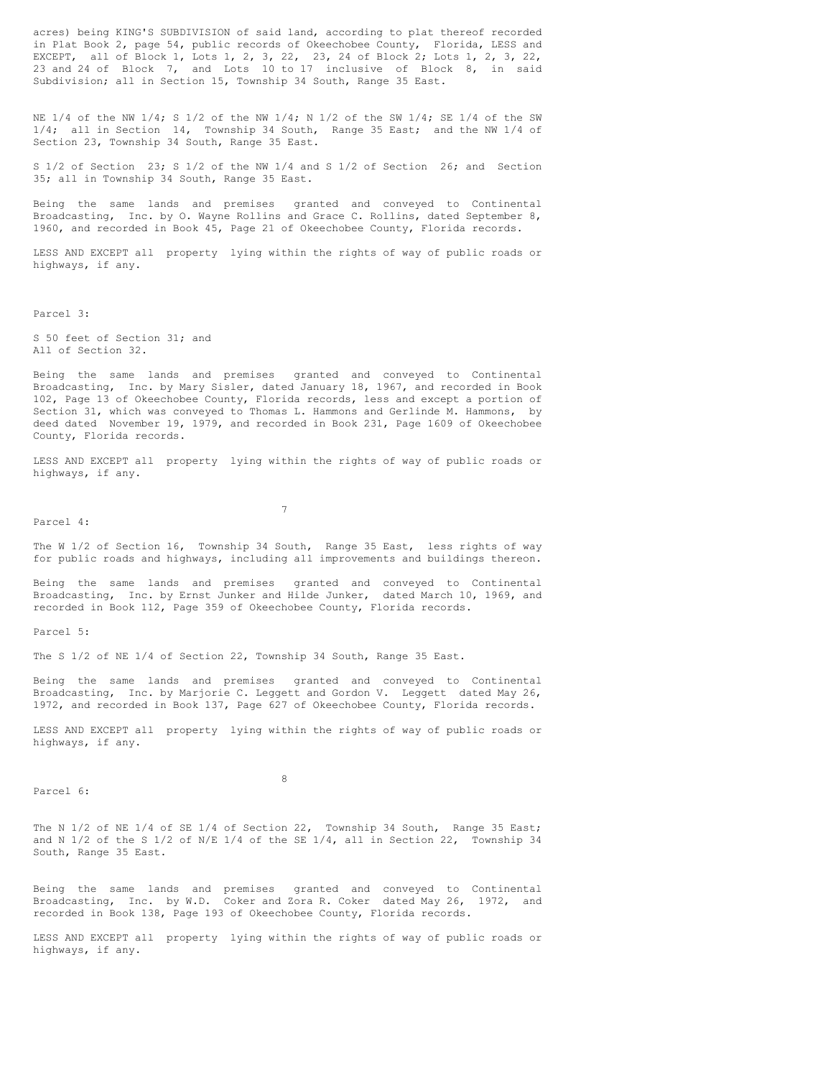acres) being KING'S SUBDIVISION of said land, according to plat thereof recorded in Plat Book 2, page 54, public records of Okeechobee County, Florida, LESS and EXCEPT, all of Block 1, Lots 1, 2, 3, 22, 23, 24 of Block 2; Lots 1, 2, 3, 22, 23 and 24 of Block 7, and Lots 10 to 17 inclusive of Block 8, in said Subdivision; all in Section 15, Township 34 South, Range 35 East.

NE 1/4 of the NW 1/4; S 1/2 of the NW 1/4; N 1/2 of the SW 1/4; SE 1/4 of the SW 1/4; all in Section 14, Township 34 South, Range 35 East; and the NW 1/4 of Section 23, Township 34 South, Range 35 East.

S 1/2 of Section 23; S 1/2 of the NW 1/4 and S 1/2 of Section 26; and Section 35; all in Township 34 South, Range 35 East.

Being the same lands and premises granted and conveyed to Continental Broadcasting, Inc. by O. Wayne Rollins and Grace C. Rollins, dated September 8, 1960, and recorded in Book 45, Page 21 of Okeechobee County, Florida records.

LESS AND EXCEPT all property lying within the rights of way of public roads or highways, if any.

Parcel 3:

S 50 feet of Section 31; and All of Section 32.

Being the same lands and premises granted and conveyed to Continental Broadcasting, Inc. by Mary Sisler, dated January 18, 1967, and recorded in Book 102, Page 13 of Okeechobee County, Florida records, less and except a portion of Section 31, which was conveyed to Thomas L. Hammons and Gerlinde M. Hammons, by deed dated November 19, 1979, and recorded in Book 231, Page 1609 of Okeechobee County, Florida records.

LESS AND EXCEPT all property lying within the rights of way of public roads or highways, if any.

7

Parcel 4:

The W 1/2 of Section 16, Township 34 South, Range 35 East, less rights of way for public roads and highways, including all improvements and buildings thereon.

Being the same lands and premises granted and conveyed to Continental Broadcasting, Inc. by Ernst Junker and Hilde Junker, dated March 10, 1969, and recorded in Book 112, Page 359 of Okeechobee County, Florida records.

Parcel 5:

The S 1/2 of NE 1/4 of Section 22, Township 34 South, Range 35 East.

Being the same lands and premises granted and conveyed to Continental Broadcasting, Inc. by Marjorie C. Leggett and Gordon V. Leggett dated May 26, 1972, and recorded in Book 137, Page 627 of Okeechobee County, Florida records.

LESS AND EXCEPT all property lying within the rights of way of public roads or highways, if any.

Parcel 6:

8

The N 1/2 of NE 1/4 of SE 1/4 of Section 22, Township 34 South, Range 35 East; and N  $1/2$  of the S  $1/2$  of N/E  $1/4$  of the SE  $1/4$ , all in Section 22, Township 34 South, Range 35 East.

Being the same lands and premises granted and conveyed to Continental Broadcasting, Inc. by W.D. Coker and Zora R. Coker dated May 26, 1972, and recorded in Book 138, Page 193 of Okeechobee County, Florida records.

LESS AND EXCEPT all property lying within the rights of way of public roads or highways, if any.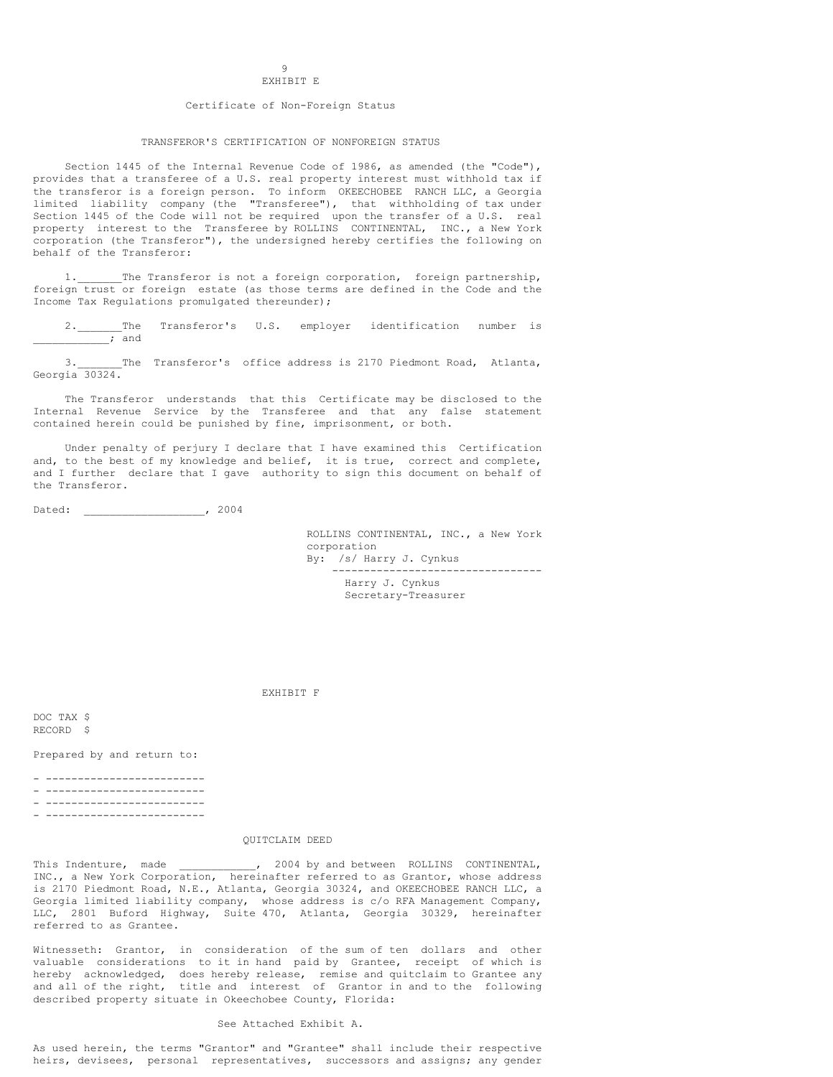# 9

# EXHIBIT E

#### Certificate of Non-Foreign Status

#### TRANSFEROR'S CERTIFICATION OF NONFOREIGN STATUS

Section 1445 of the Internal Revenue Code of 1986, as amended (the "Code"), provides that a transferee of a U.S. real property interest must withhold tax if the transferor is a foreign person. To inform OKEECHOBEE RANCH LLC, a Georgia limited liability company (the "Transferee"), that withholding of tax under Section 1445 of the Code will not be required upon the transfer of a U.S. real property interest to the Transferee by ROLLINS CONTINENTAL, INC., a New York corporation (the Transferor"), the undersigned hereby certifies the following on behalf of the Transferor:

1. The Transferor is not a foreign corporation, foreign partnership, foreign trust or foreign estate (as those terms are defined in the Code and the Income Tax Regulations promulgated thereunder);

2.\_\_\_\_\_\_\_The Transferor's U.S. employer identification number is \_\_\_\_\_\_\_\_; and

3.\_\_\_\_\_\_\_The Transferor's office address is 2170 Piedmont Road, Atlanta, Georgia 30324.

The Transferor understands that this Certificate may be disclosed to the Internal Revenue Service by the Transferee and that any false statement contained herein could be punished by fine, imprisonment, or both.

Under penalty of perjury I declare that I have examined this Certification and, to the best of my knowledge and belief, it is true, correct and complete, and I further declare that I gave authority to sign this document on behalf of the Transferor.

Dated: \_\_\_\_\_\_\_\_\_\_\_\_\_\_\_\_\_\_\_, 2004

ROLLINS CONTINENTAL, INC., a New York corporation By: /s/ Harry J. Cynkus

--------------------------------- Harry J. Cynkus

Secretary-Treasurer

#### EXHIBIT F

DOC TAX \$ RECORD \$

Prepared by and return to:

- ------------------------- - ------------------------- - ------------------------- - -------------------------

#### QUITCLAIM DEED

This Indenture, made \_\_\_\_\_\_\_\_\_\_, 2004 by and between ROLLINS CONTINENTAL, INC., a New York Corporation, hereinafter referred to as Grantor, whose address is 2170 Piedmont Road, N.E., Atlanta, Georgia 30324, and OKEECHOBEE RANCH LLC, a Georgia limited liability company, whose address is c/o RFA Management Company, LLC, 2801 Buford Highway, Suite 470, Atlanta, Georgia 30329, hereinafter referred to as Grantee.

Witnesseth: Grantor, in consideration of the sum of ten dollars and other valuable considerations to it in hand paid by Grantee, receipt of which is hereby acknowledged, does hereby release, remise and quitclaim to Grantee any and all of the right, title and interest of Grantor in and to the following described property situate in Okeechobee County, Florida:

# See Attached Exhibit A.

As used herein, the terms "Grantor" and "Grantee" shall include their respective heirs, devisees, personal representatives, successors and assigns; any gender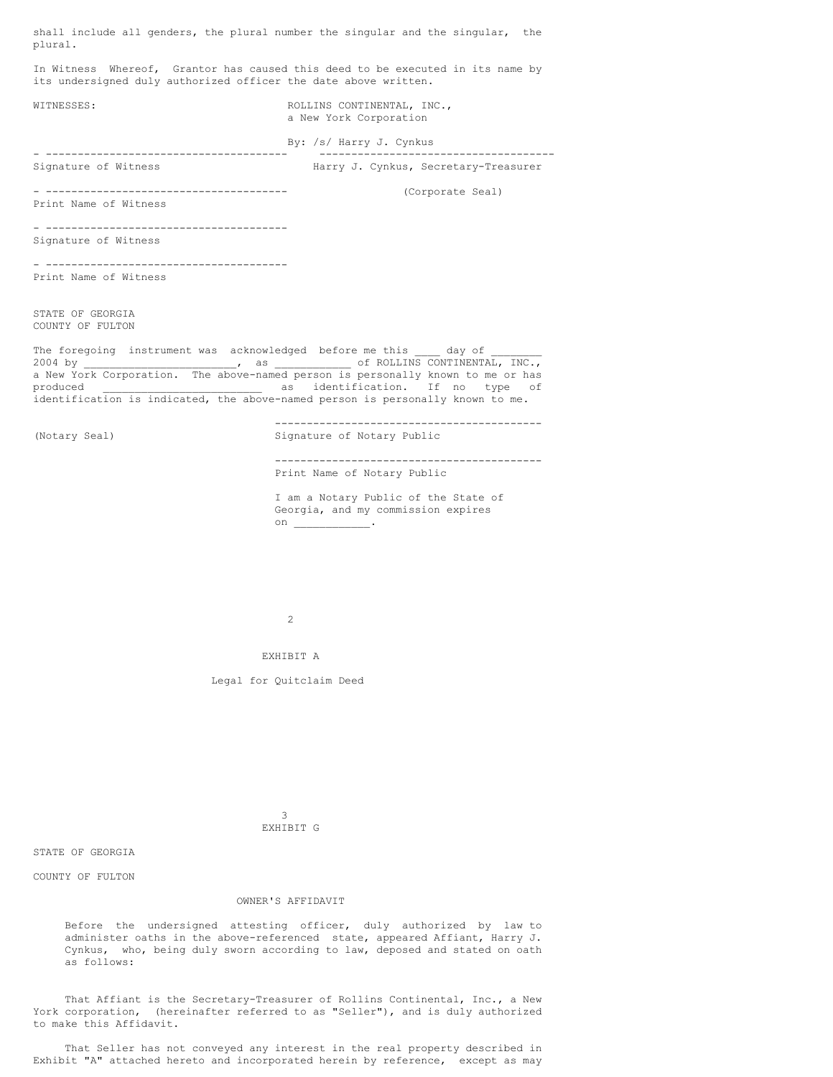plural. In Witness Whereof, Grantor has caused this deed to be executed in its name by its undersigned duly authorized officer the date above written. WITNESSES: ROLLINS CONTINENTAL, INC., a New York Corporation By: /s/ Harry J. Cynkus - -------------------------------------- ------------------------------------- Signature of Witness The Harry J. Cynkus, Secretary-Treasurer - -------------------------------------- (Corporate Seal) Print Name of Witness - -------------------------------------- Signature of Witness - -------------------------------------- Print Name of Witness STATE OF GEORGIA COUNTY OF FULTON The foregoing instrument was acknowledged before me this \_\_\_\_\_\_ day of 2004 by \_\_\_\_\_\_\_\_\_\_\_\_\_\_\_\_\_\_\_\_\_\_\_\_, as \_\_\_\_\_\_\_\_\_\_\_\_ of ROLLINS CONTINENTAL, INC., a New York Corporation. The above-named person is personally known to me or has<br>produced as identification. If no type of as identification. If no type of identification is indicated, the above-named person is personally known to me. ------------------------------------------ (Notary Seal) Signature of Notary Public ------------------------------------------ Print Name of Notary Public I am a Notary Public of the State of Georgia, and my commission expires on \_\_\_\_\_\_\_\_\_\_\_\_.

shall include all genders, the plural number the singular and the singular, the

2

EXHIBIT A

Legal for Quitclaim Deed

3 EXHIBIT G

STATE OF GEORGIA

COUNTY OF FULTON

#### OWNER'S AFFIDAVIT

Before the undersigned attesting officer, duly authorized by law to administer oaths in the above-referenced state, appeared Affiant, Harry J. Cynkus, who, being duly sworn according to law, deposed and stated on oath as follows:

That Affiant is the Secretary-Treasurer of Rollins Continental, Inc., a New York corporation, (hereinafter referred to as "Seller"), and is duly authorized to make this Affidavit.

That Seller has not conveyed any interest in the real property described in Exhibit "A" attached hereto and incorporated herein by reference, except as may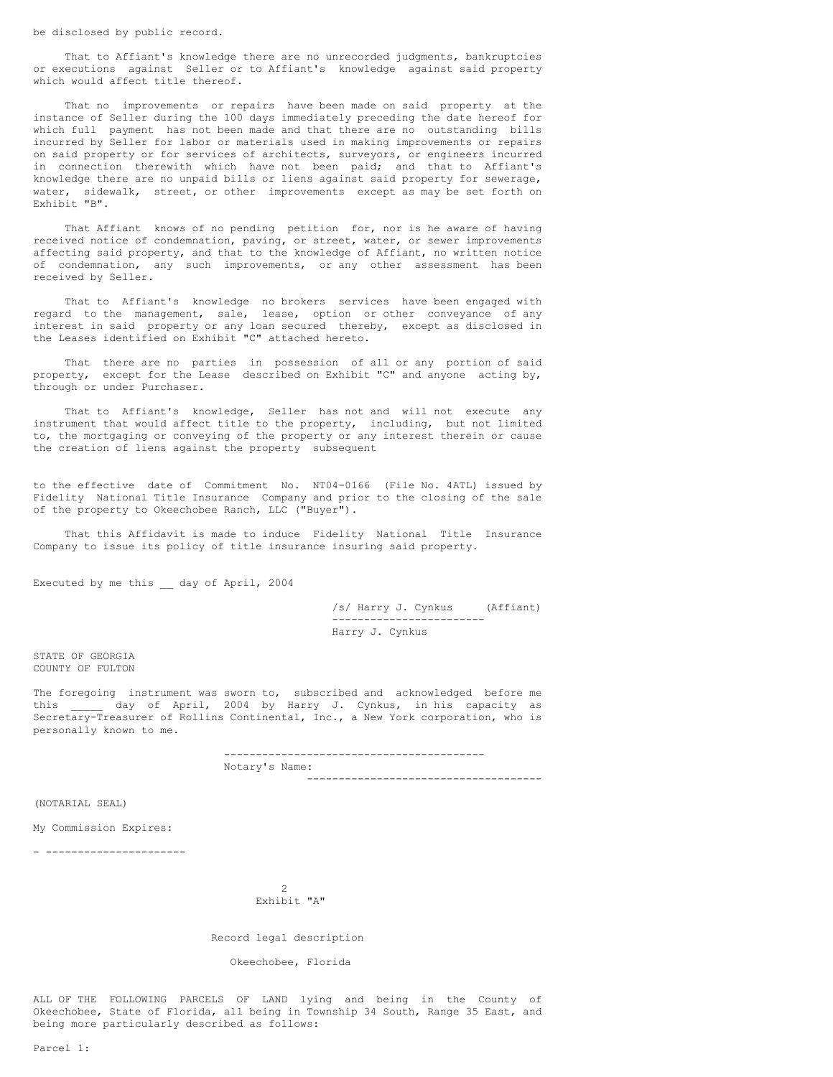That to Affiant's knowledge there are no unrecorded judgments, bankruptcies or executions against Seller or to Affiant's knowledge against said property which would affect title thereof.

That no improvements or repairs have been made on said property at the instance of Seller during the 100 days immediately preceding the date hereof for which full payment has not been made and that there are no outstanding bills incurred by Seller for labor or materials used in making improvements or repairs on said property or for services of architects, surveyors, or engineers incurred in connection therewith which have not been paid; and that to Affiant's knowledge there are no unpaid bills or liens against said property for sewerage, water, sidewalk, street, or other improvements except as may be set forth on Exhibit "B".

That Affiant knows of no pending petition for, nor is he aware of having received notice of condemnation, paving, or street, water, or sewer improvements affecting said property, and that to the knowledge of Affiant, no written notice of condemnation, any such improvements, or any other assessment has been received by Seller.

That to Affiant's knowledge no brokers services have been engaged with regard to the management, sale, lease, option or other conveyance of any interest in said property or any loan secured thereby, except as disclosed in the Leases identified on Exhibit "C" attached hereto.

That there are no parties in possession of all or any portion of said property, except for the Lease described on Exhibit "C" and anyone acting by, through or under Purchaser.

That to Affiant's knowledge, Seller has not and will not execute any instrument that would affect title to the property, including, but not limited to, the mortgaging or conveying of the property or any interest therein or cause the creation of liens against the property subsequent

to the effective date of Commitment No. NT04-0166 (File No. 4ATL) issued by Fidelity National Title Insurance Company and prior to the closing of the sale of the property to Okeechobee Ranch, LLC ("Buyer").

That this Affidavit is made to induce Fidelity National Title Insurance Company to issue its policy of title insurance insuring said property.

Executed by me this \_\_ day of April, 2004

/s/ Harry J. Cynkus (Affiant) ------------------------ Harry J. Cynkus

STATE OF GEORGIA COUNTY OF FULTON

The foregoing instrument was sworn to, subscribed and acknowledged before me this and day of April, 2004 by Harry J. Cynkus, in his capacity as Secretary-Treasurer of Rollins Continental, Inc., a New York corporation, who is personally known to me.

> ----------------------------------------- Notary's Name: -------------------------------------

(NOTARIAL SEAL)

My Commission Expires:

- ----------------------

# $\sim$ Exhibit "A"

Record legal description

Okeechobee, Florida

ALL OF THE FOLLOWING PARCELS OF LAND lying and being in the County of Okeechobee, State of Florida, all being in Township 34 South, Range 35 East, and being more particularly described as follows: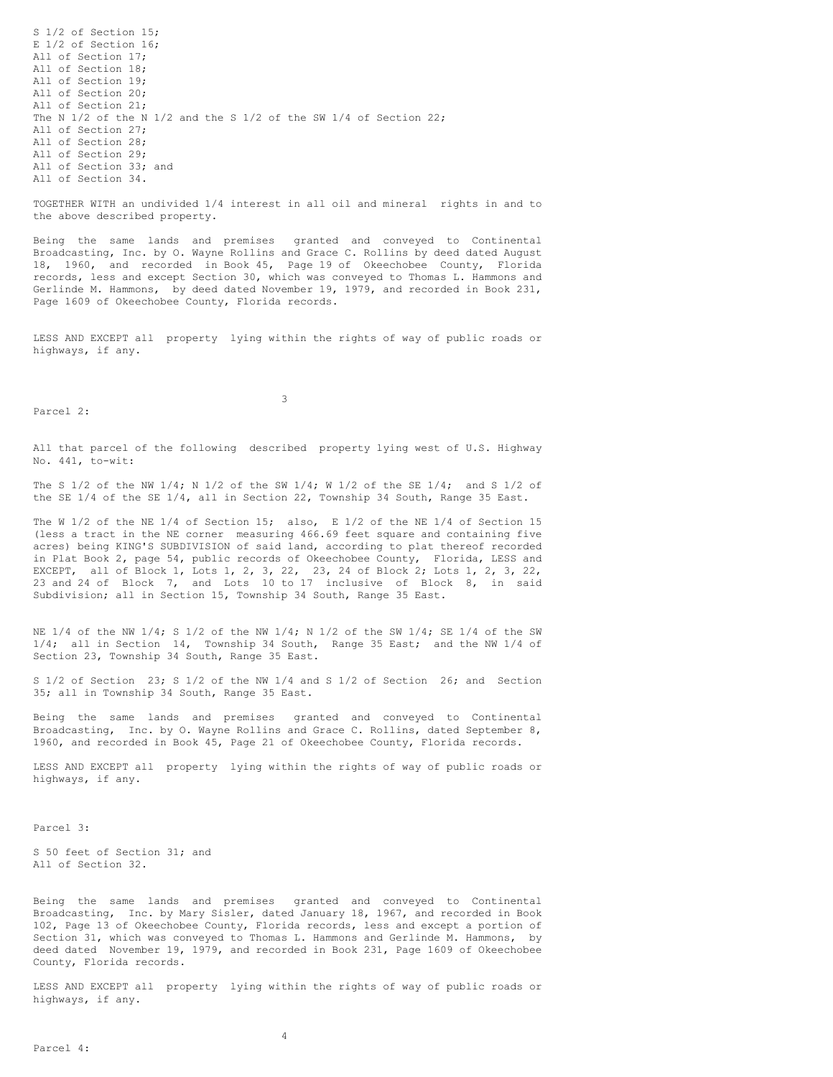S 1/2 of Section 15; E 1/2 of Section 16; All of Section 17; All of Section 18; All of Section 19; All of Section 20; All of Section 21; The N  $1/2$  of the N  $1/2$  and the S  $1/2$  of the SW  $1/4$  of Section 22; All of Section 27; All of Section 28; All of Section 29; All of Section 33; and All of Section 34.

TOGETHER WITH an undivided 1/4 interest in all oil and mineral rights in and to the above described property.

Being the same lands and premises granted and conveyed to Continental Broadcasting, Inc. by O. Wayne Rollins and Grace C. Rollins by deed dated August 18, 1960, and recorded in Book 45, Page 19 of Okeechobee County, Florida records, less and except Section 30, which was conveyed to Thomas L. Hammons and Gerlinde M. Hammons, by deed dated November 19, 1979, and recorded in Book 231, Page 1609 of Okeechobee County, Florida records.

LESS AND EXCEPT all property lying within the rights of way of public roads or highways, if any.

Parcel 2:

3

All that parcel of the following described property lying west of U.S. Highway No. 441, to-wit:

The S  $1/2$  of the NW  $1/4$ ; N  $1/2$  of the SW  $1/4$ ; W  $1/2$  of the SE  $1/4$ ; and S  $1/2$  of the SE 1/4 of the SE 1/4, all in Section 22, Township 34 South, Range 35 East.

The W 1/2 of the NE 1/4 of Section 15; also, E 1/2 of the NE 1/4 of Section 15 (less a tract in the NE corner measuring 466.69 feet square and containing five acres) being KING'S SUBDIVISION of said land, according to plat thereof recorded in Plat Book 2, page 54, public records of Okeechobee County, Florida, LESS and EXCEPT, all of Block 1, Lots 1, 2, 3, 22, 23, 24 of Block 2; Lots 1, 2, 3, 22, 23 and 24 of Block 7, and Lots 10 to 17 inclusive of Block 8, in said Subdivision; all in Section 15, Township 34 South, Range 35 East.

NE 1/4 of the NW 1/4; S 1/2 of the NW 1/4; N 1/2 of the SW 1/4; SE 1/4 of the SW 1/4; all in Section 14, Township 34 South, Range 35 East; and the NW 1/4 of Section 23, Township 34 South, Range 35 East.

S 1/2 of Section 23; S 1/2 of the NW 1/4 and S 1/2 of Section 26; and Section 35; all in Township 34 South, Range 35 East.

Being the same lands and premises granted and conveyed to Continental Broadcasting, Inc. by O. Wayne Rollins and Grace C. Rollins, dated September 8, 1960, and recorded in Book 45, Page 21 of Okeechobee County, Florida records.

LESS AND EXCEPT all property lying within the rights of way of public roads or highways, if any.

Parcel 3:

S 50 feet of Section 31; and All of Section 32.

Being the same lands and premises granted and conveyed to Continental Broadcasting, Inc. by Mary Sisler, dated January 18, 1967, and recorded in Book 102, Page 13 of Okeechobee County, Florida records, less and except a portion of Section 31, which was conveyed to Thomas L. Hammons and Gerlinde M. Hammons, by deed dated November 19, 1979, and recorded in Book 231, Page 1609 of Okeechobee County, Florida records.

LESS AND EXCEPT all property lying within the rights of way of public roads or highways, if any.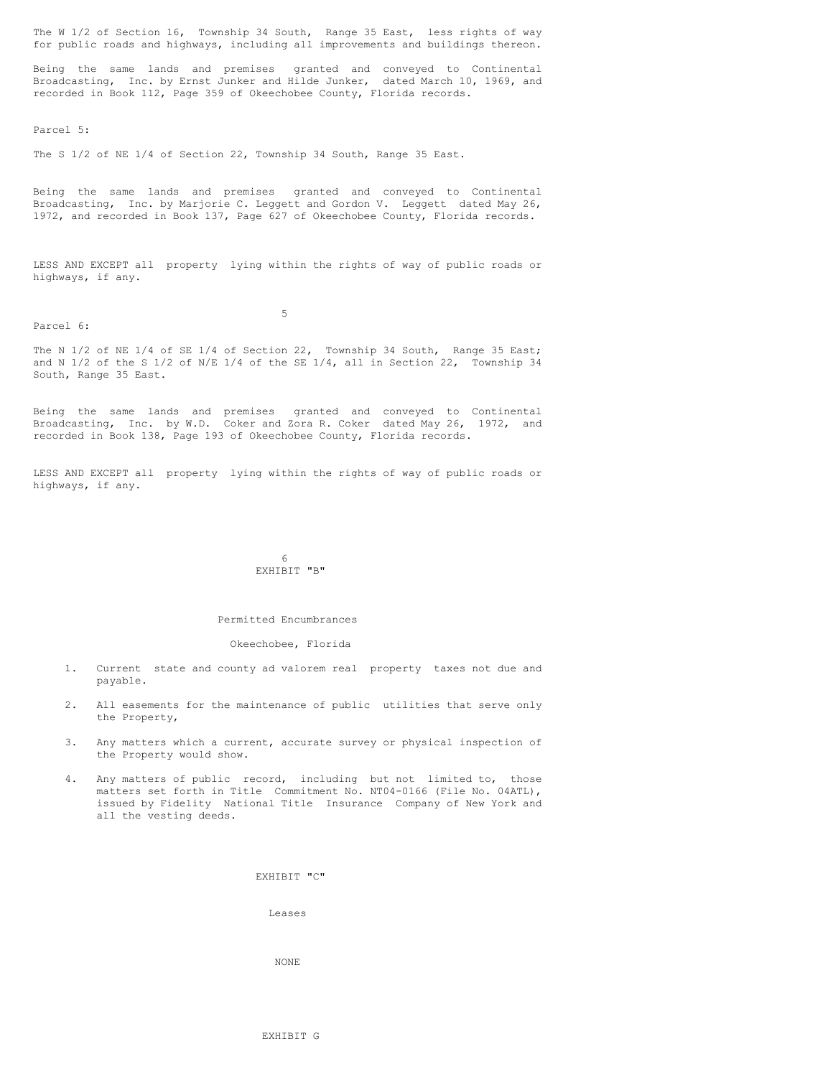The W 1/2 of Section 16, Township 34 South, Range 35 East, less rights of way for public roads and highways, including all improvements and buildings thereon.

Being the same lands and premises granted and conveyed to Continental Broadcasting, Inc. by Ernst Junker and Hilde Junker, dated March 10, 1969, and recorded in Book 112, Page 359 of Okeechobee County, Florida records.

Parcel 5:

The S 1/2 of NE 1/4 of Section 22, Township 34 South, Range 35 East.

Being the same lands and premises granted and conveyed to Continental Broadcasting, Inc. by Marjorie C. Leggett and Gordon V. Leggett dated May 26, 1972, and recorded in Book 137, Page 627 of Okeechobee County, Florida records.

LESS AND EXCEPT all property lying within the rights of way of public roads or highways, if any.

5

Parcel 6:

The N 1/2 of NE 1/4 of SE 1/4 of Section 22, Township 34 South, Range 35 East; and N  $1/2$  of the S  $1/2$  of N/E  $1/4$  of the SE  $1/4$ , all in Section 22, Township 34 South, Range 35 East.

Being the same lands and premises granted and conveyed to Continental Broadcasting, Inc. by W.D. Coker and Zora R. Coker dated May 26, 1972, and recorded in Book 138, Page 193 of Okeechobee County, Florida records.

LESS AND EXCEPT all property lying within the rights of way of public roads or highways, if any.

> 6 EXHIBIT "B"

#### Permitted Encumbrances

Okeechobee, Florida

- 1. Current state and county ad valorem real property taxes not due and payable.
- 2. All easements for the maintenance of public utilities that serve only the Property,
- 3. Any matters which a current, accurate survey or physical inspection of the Property would show.
- 4. Any matters of public record, including but not limited to, those matters set forth in Title Commitment No. NT04-0166 (File No. 04ATL), issued by Fidelity National Title Insurance Company of New York and all the vesting deeds.

EXHIBIT "C"

Leases

NONE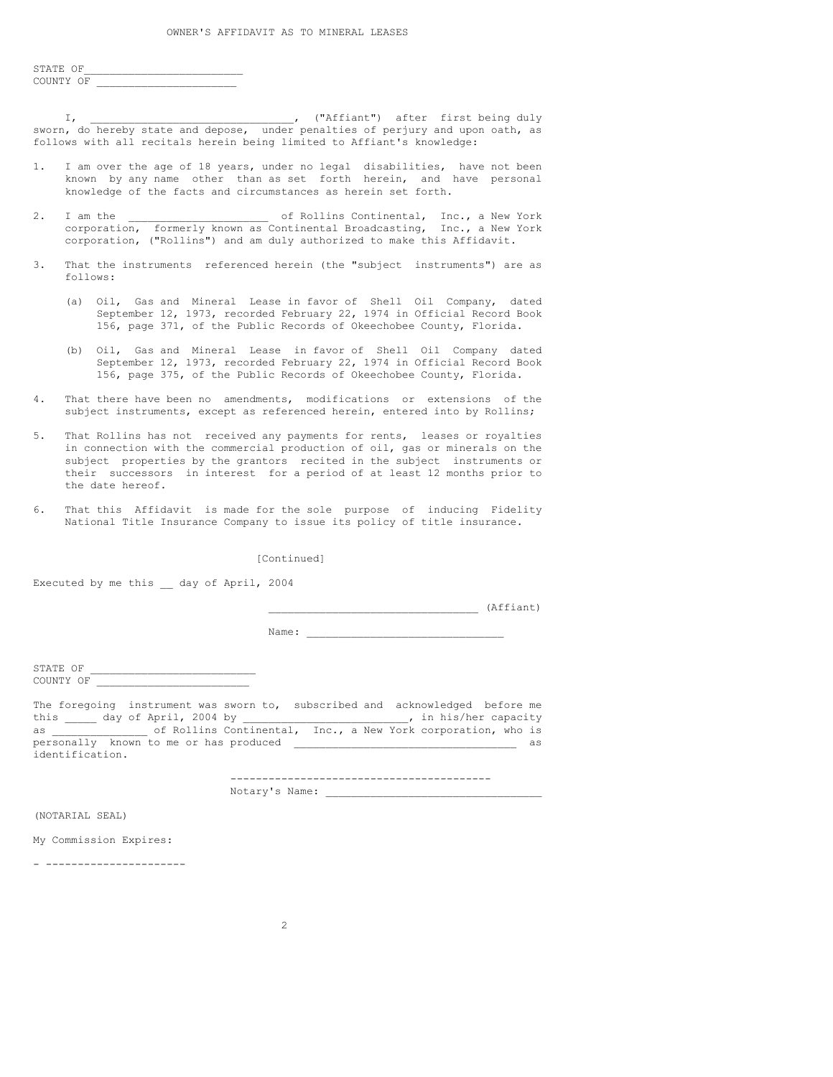| RTATE OF  |  |
|-----------|--|
| COUNTY OF |  |

I, \_\_\_\_\_\_\_\_\_\_\_\_\_\_\_\_\_\_\_\_\_\_\_\_\_\_\_\_\_\_\_\_, ("Affiant") after first being duly sworn, do hereby state and depose, under penalties of perjury and upon oath, as follows with all recitals herein being limited to Affiant's knowledge:

- 1. I am over the age of 18 years, under no legal disabilities, have not been known by any name other than as set forth herein, and have personal knowledge of the facts and circumstances as herein set forth.
- 2. I am the \_\_\_\_\_\_\_\_\_\_\_\_\_\_\_\_\_\_\_\_\_\_ of Rollins Continental, Inc., a New York corporation, formerly known as Continental Broadcasting, Inc., a New York corporation, ("Rollins") and am duly authorized to make this Affidavit.
- 3. That the instruments referenced herein (the "subject instruments") are as follows:
	- (a) Oil, Gas and Mineral Lease in favor of Shell Oil Company, dated September 12, 1973, recorded February 22, 1974 in Official Record Book 156, page 371, of the Public Records of Okeechobee County, Florida.
	- (b) Oil, Gas and Mineral Lease in favor of Shell Oil Company dated September 12, 1973, recorded February 22, 1974 in Official Record Book 156, page 375, of the Public Records of Okeechobee County, Florida.
- 4. That there have been no amendments, modifications or extensions of the subject instruments, except as referenced herein, entered into by Rollins;
- 5. That Rollins has not received any payments for rents, leases or royalties in connection with the commercial production of oil, gas or minerals on the subject properties by the grantors recited in the subject instruments or their successors in interest for a period of at least 12 months prior to the date hereof.
- 6. That this Affidavit is made for the sole purpose of inducing Fidelity National Title Insurance Company to issue its policy of title insurance.

[Continued]

Executed by me this \_\_ day of April, 2004

\_\_\_\_\_\_\_\_\_\_\_\_\_\_\_\_\_\_\_\_\_\_\_\_\_\_\_\_\_\_\_\_\_ (Affiant)

Name:  $\overline{\phantom{a}}$ 

STATE OF COUNTY OF

The foregoing instrument was sworn to, subscribed and acknowledged before me this \_\_\_\_\_ day of April, 2004 by \_\_\_\_\_\_\_\_\_\_\_\_\_\_\_\_\_\_\_\_\_\_\_, in his/her capacity as \_\_\_\_\_\_\_\_\_\_\_\_\_\_\_ of Rollins Continental, Inc., a New York corporation, who is personally known to me or has produced  $\qquad \qquad \text{as}$ identification.

-----------------------------------------

Notary's Name: \_\_\_\_\_\_\_\_\_\_\_\_\_\_\_\_\_\_\_\_\_\_\_\_\_\_\_\_\_\_\_\_\_\_

(NOTARIAL SEAL)

My Commission Expires:

- ----------------------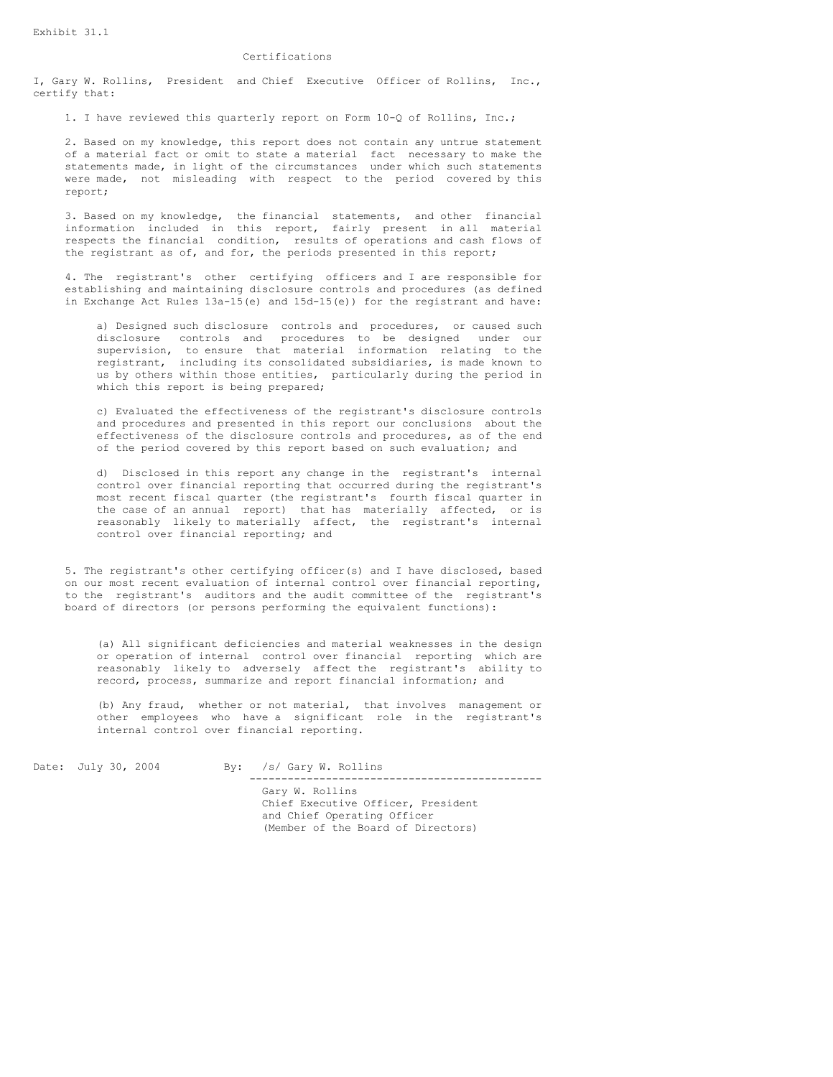#### Certifications

I, Gary W. Rollins, President and Chief Executive Officer of Rollins, Inc., certify that:

1. I have reviewed this quarterly report on Form 10-Q of Rollins, Inc.;

2. Based on my knowledge, this report does not contain any untrue statement of a material fact or omit to state a material fact necessary to make the statements made, in light of the circumstances under which such statements were made, not misleading with respect to the period covered by this report;

3. Based on my knowledge, the financial statements, and other financial information included in this report, fairly present in all material respects the financial condition, results of operations and cash flows of the registrant as of, and for, the periods presented in this report;

4. The registrant's other certifying officers and I are responsible for establishing and maintaining disclosure controls and procedures (as defined in Exchange Act Rules 13a-15(e) and 15d-15(e)) for the registrant and have:

a) Designed such disclosure controls and procedures, or caused such disclosure controls and procedures to be designed under our supervision, to ensure that material information relating to the registrant, including its consolidated subsidiaries, is made known to us by others within those entities, particularly during the period in which this report is being prepared;

c) Evaluated the effectiveness of the registrant's disclosure controls and procedures and presented in this report our conclusions about the effectiveness of the disclosure controls and procedures, as of the end of the period covered by this report based on such evaluation; and

d) Disclosed in this report any change in the registrant's internal control over financial reporting that occurred during the registrant's most recent fiscal quarter (the registrant's fourth fiscal quarter in the case of an annual report) that has materially affected, or is reasonably likely to materially affect, the registrant's internal control over financial reporting; and

5. The registrant's other certifying officer(s) and I have disclosed, based on our most recent evaluation of internal control over financial reporting, to the registrant's auditors and the audit committee of the registrant's board of directors (or persons performing the equivalent functions):

(a) All significant deficiencies and material weaknesses in the design or operation of internal control over financial reporting which are reasonably likely to adversely affect the registrant's ability to record, process, summarize and report financial information; and

(b) Any fraud, whether or not material, that involves management or other employees who have a significant role in the registrant's internal control over financial reporting.

Date: July 30, 2004 By: /s/ Gary W. Rollins

Gary W. Rollins Chief Executive Officer, President and Chief Operating Officer (Member of the Board of Directors)

----------------------------------------------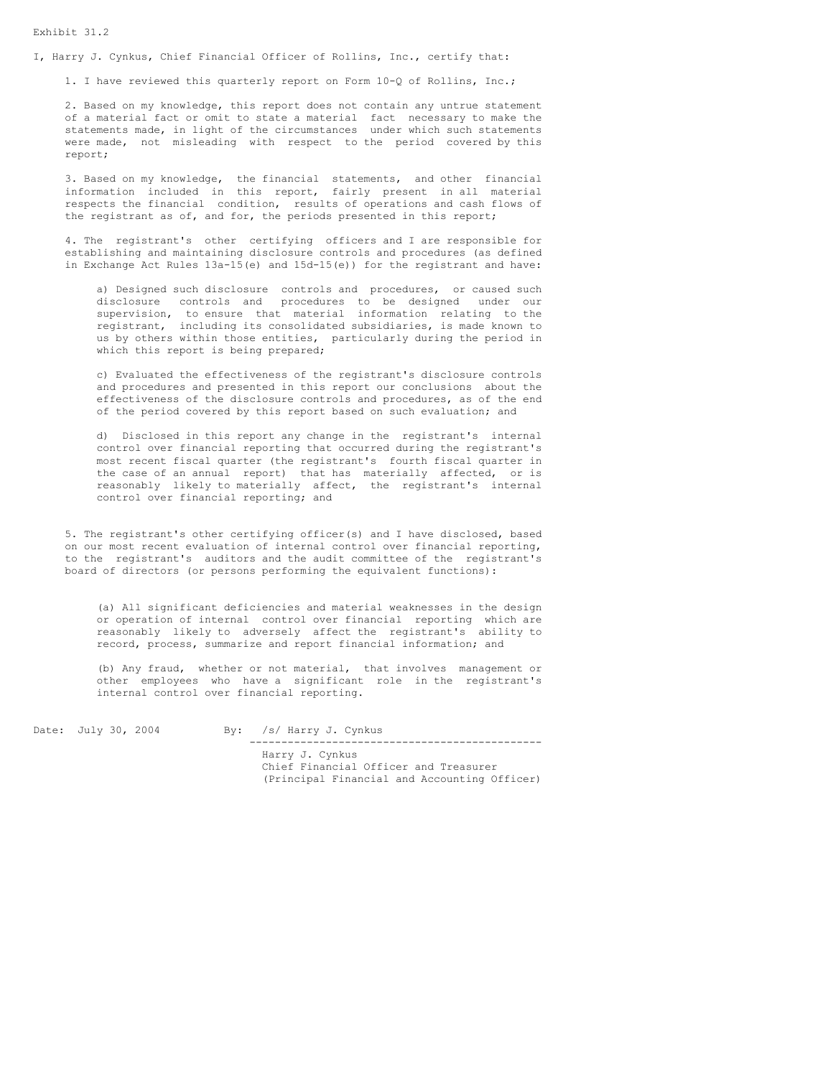Exhibit 31.2

I, Harry J. Cynkus, Chief Financial Officer of Rollins, Inc., certify that:

1. I have reviewed this quarterly report on Form 10-Q of Rollins, Inc.;

2. Based on my knowledge, this report does not contain any untrue statement of a material fact or omit to state a material fact necessary to make the statements made, in light of the circumstances under which such statements were made, not misleading with respect to the period covered by this report;

3. Based on my knowledge, the financial statements, and other financial information included in this report, fairly present in all material respects the financial condition, results of operations and cash flows of the registrant as of, and for, the periods presented in this report;

4. The registrant's other certifying officers and I are responsible for establishing and maintaining disclosure controls and procedures (as defined in Exchange Act Rules 13a-15(e) and 15d-15(e)) for the registrant and have:

a) Designed such disclosure controls and procedures, or caused such disclosure controls and procedures to be designed under our supervision, to ensure that material information relating to the registrant, including its consolidated subsidiaries, is made known to us by others within those entities, particularly during the period in which this report is being prepared;

c) Evaluated the effectiveness of the registrant's disclosure controls and procedures and presented in this report our conclusions about the effectiveness of the disclosure controls and procedures, as of the end of the period covered by this report based on such evaluation; and

d) Disclosed in this report any change in the registrant's internal control over financial reporting that occurred during the registrant's most recent fiscal quarter (the registrant's fourth fiscal quarter in the case of an annual report) that has materially affected, or is reasonably likely to materially affect, the registrant's internal control over financial reporting; and

5. The registrant's other certifying officer(s) and I have disclosed, based on our most recent evaluation of internal control over financial reporting, to the registrant's auditors and the audit committee of the registrant's board of directors (or persons performing the equivalent functions):

(a) All significant deficiencies and material weaknesses in the design or operation of internal control over financial reporting which are reasonably likely to adversely affect the registrant's ability to record, process, summarize and report financial information; and

(b) Any fraud, whether or not material, that involves management or other employees who have a significant role in the registrant's internal control over financial reporting.

Date: July 30, 2004 By: /s/ Harry J. Cynkus

---------------------------------------------- Harry J. Cynkus Chief Financial Officer and Treasurer (Principal Financial and Accounting Officer)